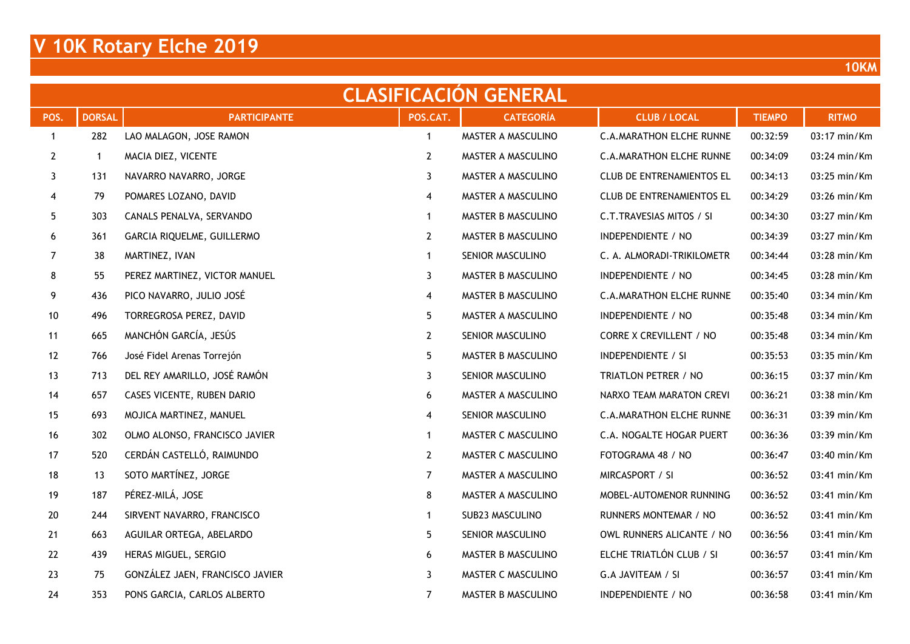| <b>CLASIFICACION GENERAL</b> |               |                                 |                |                    |                                  |               |                |  |  |  |  |  |
|------------------------------|---------------|---------------------------------|----------------|--------------------|----------------------------------|---------------|----------------|--|--|--|--|--|
| POS.                         | <b>DORSAL</b> | <b>PARTICIPANTE</b>             | POS.CAT.       | <b>CATEGORÍA</b>   | <b>CLUB / LOCAL</b>              | <b>TIEMPO</b> | <b>RITMO</b>   |  |  |  |  |  |
| $\mathbf{1}$                 | 282           | LAO MALAGON, JOSE RAMON         | $\mathbf{1}$   | MASTER A MASCULINO | <b>C.A.MARATHON ELCHE RUNNE</b>  | 00:32:59      | 03:17 min/Km   |  |  |  |  |  |
| $\mathbf{2}$                 |               | MACIA DIEZ, VICENTE             | $\mathbf{2}$   | MASTER A MASCULINO | <b>C.A.MARATHON ELCHE RUNNE</b>  | 00:34:09      | 03:24 min/Km   |  |  |  |  |  |
| 3                            | 131           | NAVARRO NAVARRO, JORGE          | 3              | MASTER A MASCULINO | <b>CLUB DE ENTRENAMIENTOS EL</b> | 00:34:13      | 03:25 min/Km   |  |  |  |  |  |
| 4                            | 79            | POMARES LOZANO, DAVID           | 4              | MASTER A MASCULINO | <b>CLUB DE ENTRENAMIENTOS EL</b> | 00:34:29      | 03:26 min/Km   |  |  |  |  |  |
| $5\phantom{.0}$              | 303           | CANALS PENALVA, SERVANDO        | $\mathbf{1}$   | MASTER B MASCULINO | C.T.TRAVESIAS MITOS / SI         | 00:34:30      | 03:27 min/Km   |  |  |  |  |  |
| 6                            | 361           | GARCIA RIQUELME, GUILLERMO      | $\mathbf{2}$   | MASTER B MASCULINO | INDEPENDIENTE / NO               | 00:34:39      | 03:27 min/Km   |  |  |  |  |  |
| $\overline{7}$               | 38            | MARTINEZ, IVAN                  | $\mathbf{1}$   | SENIOR MASCULINO   | C. A. ALMORADI-TRIKILOMETR       | 00:34:44      | 03:28 min/Km   |  |  |  |  |  |
| 8                            | 55            | PEREZ MARTINEZ, VICTOR MANUEL   | 3              | MASTER B MASCULINO | INDEPENDIENTE / NO               | 00:34:45      | 03:28 min/Km   |  |  |  |  |  |
| 9                            | 436           | PICO NAVARRO, JULIO JOSÉ        | 4              | MASTER B MASCULINO | <b>C.A.MARATHON ELCHE RUNNE</b>  | 00:35:40      | 03:34 min/Km   |  |  |  |  |  |
| 10                           | 496           | TORREGROSA PEREZ, DAVID         | 5              | MASTER A MASCULINO | INDEPENDIENTE / NO               | 00:35:48      | 03:34 min/Km   |  |  |  |  |  |
| 11                           | 665           | MANCHÓN GARCÍA, JESÚS           | $\mathbf{2}$   | SENIOR MASCULINO   | <b>CORRE X CREVILLENT / NO</b>   | 00:35:48      | 03:34 min/Km   |  |  |  |  |  |
| 12                           | 766           | José Fidel Arenas Torrejón      | 5              | MASTER B MASCULINO | INDEPENDIENTE / SI               | 00:35:53      | 03:35 min/Km   |  |  |  |  |  |
| 13                           | 713           | DEL REY AMARILLO, JOSÉ RAMÓN    | 3              | SENIOR MASCULINO   | TRIATLON PETRER / NO             | 00:36:15      | 03:37 min/Km   |  |  |  |  |  |
| 14                           | 657           | CASES VICENTE, RUBEN DARIO      | 6              | MASTER A MASCULINO | NARXO TEAM MARATON CREVI         | 00:36:21      | 03:38 min/Km   |  |  |  |  |  |
| 15                           | 693           | MOJICA MARTINEZ, MANUEL         | 4              | SENIOR MASCULINO   | <b>C.A.MARATHON ELCHE RUNNE</b>  | 00:36:31      | 03:39 min/Km   |  |  |  |  |  |
| 16                           | 302           | OLMO ALONSO, FRANCISCO JAVIER   | $\mathbf{1}$   | MASTER C MASCULINO | C.A. NOGALTE HOGAR PUERT         | 00:36:36      | 03:39 min/Km   |  |  |  |  |  |
| 17                           | 520           | CERDÁN CASTELLÓ, RAIMUNDO       | $\mathbf{2}$   | MASTER C MASCULINO | FOTOGRAMA 48 / NO                | 00:36:47      | 03:40 min/Km   |  |  |  |  |  |
| 18                           | 13            | SOTO MARTÍNEZ, JORGE            | $\mathbf{7}$   | MASTER A MASCULINO | MIRCASPORT / SI                  | 00:36:52      | 03:41 min/Km   |  |  |  |  |  |
| 19                           | 187           | PÉREZ-MILÁ, JOSE                | 8              | MASTER A MASCULINO | MOBEL-AUTOMENOR RUNNING          | 00:36:52      | 03:41 min/Km   |  |  |  |  |  |
| $20\,$                       | 244           | SIRVENT NAVARRO, FRANCISCO      | $\mathbf{1}$   | SUB23 MASCULINO    | RUNNERS MONTEMAR / NO            | 00:36:52      | 03:41 min/Km   |  |  |  |  |  |
| 21                           | 663           | AGUILAR ORTEGA, ABELARDO        | 5              | SENIOR MASCULINO   | OWL RUNNERS ALICANTE / NO        | 00:36:56      | 03:41 min/Km   |  |  |  |  |  |
| 22                           | 439           | HERAS MIGUEL, SERGIO            | 6              | MASTER B MASCULINO | ELCHE TRIATLÓN CLUB / SI         | 00:36:57      | 03:41 min/Km   |  |  |  |  |  |
| 23                           | 75            | GONZÁLEZ JAEN, FRANCISCO JAVIER | 3              | MASTER C MASCULINO | G.A JAVITEAM / SI                | 00:36:57      | 03:41 min/Km   |  |  |  |  |  |
| 24                           | 353           | PONS GARCIA, CARLOS ALBERTO     | $\overline{7}$ | MASTER B MASCULINO | INDEPENDIENTE / NO               | 00:36:58      | $03:41$ min/Km |  |  |  |  |  |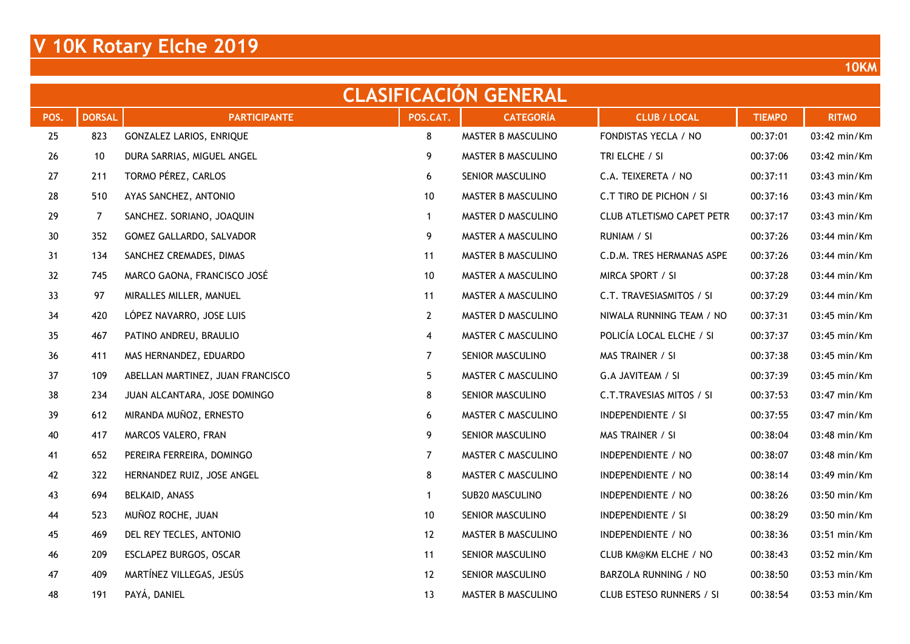| <b>CLASIFICACION GENERAL</b> |                |                                  |                 |                    |                                  |               |              |  |  |  |  |  |
|------------------------------|----------------|----------------------------------|-----------------|--------------------|----------------------------------|---------------|--------------|--|--|--|--|--|
| POS.                         | <b>DORSAL</b>  | <b>PARTICIPANTE</b>              | POS.CAT.        | <b>CATEGORÍA</b>   | <b>CLUB / LOCAL</b>              | <b>TIEMPO</b> | <b>RITMO</b> |  |  |  |  |  |
| 25                           | 823            | GONZALEZ LARIOS, ENRIQUE         | 8               | MASTER B MASCULINO | FONDISTAS YECLA / NO             | 00:37:01      | 03:42 min/Km |  |  |  |  |  |
| 26                           | 10             | DURA SARRIAS, MIGUEL ANGEL       | 9               | MASTER B MASCULINO | TRI ELCHE / SI                   | 00:37:06      | 03:42 min/Km |  |  |  |  |  |
| 27                           | 211            | TORMO PÉREZ, CARLOS              | 6               | SENIOR MASCULINO   | C.A. TEIXERETA / NO              | 00:37:11      | 03:43 min/Km |  |  |  |  |  |
| 28                           | 510            | AYAS SANCHEZ, ANTONIO            | 10              | MASTER B MASCULINO | C.T TIRO DE PICHON / SI          | 00:37:16      | 03:43 min/Km |  |  |  |  |  |
| 29                           | $\overline{7}$ | SANCHEZ. SORIANO, JOAQUIN        | $\mathbf{1}$    | MASTER D MASCULINO | <b>CLUB ATLETISMO CAPET PETR</b> | 00:37:17      | 03:43 min/Km |  |  |  |  |  |
| $30\,$                       | 352            | GOMEZ GALLARDO, SALVADOR         | 9               | MASTER A MASCULINO | RUNIAM / SI                      | 00:37:26      | 03:44 min/Km |  |  |  |  |  |
| 31                           | 134            | SANCHEZ CREMADES, DIMAS          | 11              | MASTER B MASCULINO | C.D.M. TRES HERMANAS ASPE        | 00:37:26      | 03:44 min/Km |  |  |  |  |  |
| 32                           | 745            | MARCO GAONA, FRANCISCO JOSÉ      | 10 <sup>°</sup> | MASTER A MASCULINO | MIRCA SPORT / SI                 | 00:37:28      | 03:44 min/Km |  |  |  |  |  |
| 33                           | 97             | MIRALLES MILLER, MANUEL          | 11              | MASTER A MASCULINO | C.T. TRAVESIASMITOS / SI         | 00:37:29      | 03:44 min/Km |  |  |  |  |  |
| 34                           | 420            | LÓPEZ NAVARRO, JOSE LUIS         | $\mathbf{2}$    | MASTER D MASCULINO | NIWALA RUNNING TEAM / NO         | 00:37:31      | 03:45 min/Km |  |  |  |  |  |
| 35                           | 467            | PATINO ANDREU, BRAULIO           | 4               | MASTER C MASCULINO | POLICÍA LOCAL ELCHE / SI         | 00:37:37      | 03:45 min/Km |  |  |  |  |  |
| 36                           | 411            | MAS HERNANDEZ, EDUARDO           | $\overline{7}$  | SENIOR MASCULINO   | MAS TRAINER / SI                 | 00:37:38      | 03:45 min/Km |  |  |  |  |  |
| 37                           | 109            | ABELLAN MARTINEZ, JUAN FRANCISCO | 5               | MASTER C MASCULINO | G.A JAVITEAM / SI                | 00:37:39      | 03:45 min/Km |  |  |  |  |  |
| 38                           | 234            | JUAN ALCANTARA, JOSE DOMINGO     | 8               | SENIOR MASCULINO   | C.T.TRAVESIAS MITOS / SI         | 00:37:53      | 03:47 min/Km |  |  |  |  |  |
| 39                           | 612            | MIRANDA MUÑOZ, ERNESTO           | 6               | MASTER C MASCULINO | <b>INDEPENDIENTE / SI</b>        | 00:37:55      | 03:47 min/Km |  |  |  |  |  |
| 40                           | 417            | MARCOS VALERO, FRAN              | 9               | SENIOR MASCULINO   | MAS TRAINER / SI                 | 00:38:04      | 03:48 min/Km |  |  |  |  |  |
| 41                           | 652            | PEREIRA FERREIRA, DOMINGO        | $\overline{7}$  | MASTER C MASCULINO | INDEPENDIENTE / NO               | 00:38:07      | 03:48 min/Km |  |  |  |  |  |
| 42                           | 322            | HERNANDEZ RUIZ, JOSE ANGEL       | 8               | MASTER C MASCULINO | INDEPENDIENTE / NO               | 00:38:14      | 03:49 min/Km |  |  |  |  |  |
| 43                           | 694            | BELKAID, ANASS                   | $\mathbf{1}$    | SUB20 MASCULINO    | INDEPENDIENTE / NO               | 00:38:26      | 03:50 min/Km |  |  |  |  |  |
| 44                           | 523            | MUÑOZ ROCHE, JUAN                | 10              | SENIOR MASCULINO   | INDEPENDIENTE / SI               | 00:38:29      | 03:50 min/Km |  |  |  |  |  |
| 45                           | 469            | DEL REY TECLES, ANTONIO          | 12              | MASTER B MASCULINO | INDEPENDIENTE / NO               | 00:38:36      | 03:51 min/Km |  |  |  |  |  |
| 46                           | 209            | ESCLAPEZ BURGOS, OSCAR           | 11              | SENIOR MASCULINO   | <b>CLUB KM@KM ELCHE / NO</b>     | 00:38:43      | 03:52 min/Km |  |  |  |  |  |
| 47                           | 409            | MARTÍNEZ VILLEGAS, JESÚS         | 12              | SENIOR MASCULINO   | BARZOLA RUNNING / NO             | 00:38:50      | 03:53 min/Km |  |  |  |  |  |
| 48                           | 191            | PAYÁ, DANIEL                     | 13              | MASTER B MASCULINO | CLUB ESTESO RUNNERS / SI         | 00:38:54      | 03:53 min/Km |  |  |  |  |  |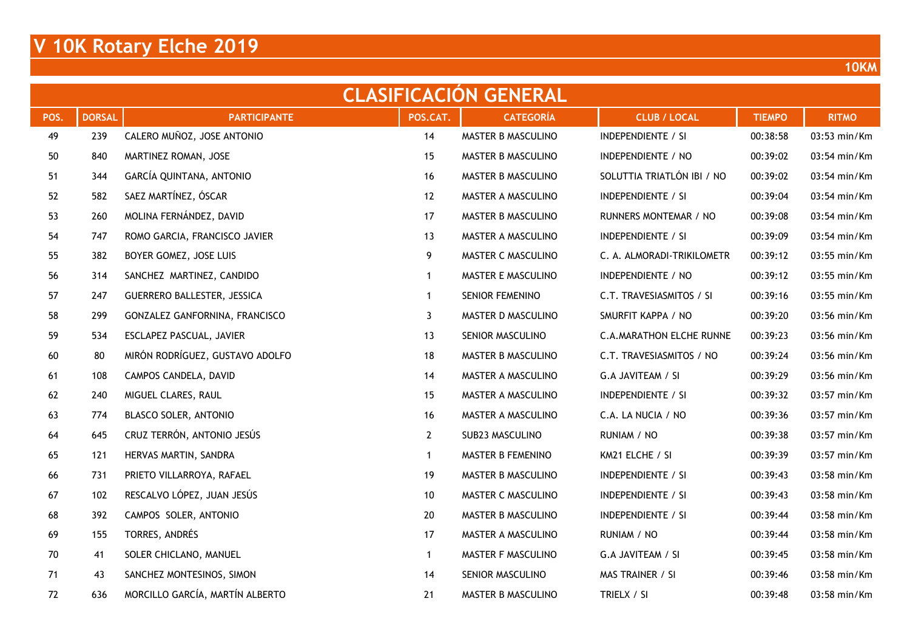| <b>CLASIFICACION GENERAL</b> |               |                                 |                 |                    |                                 |               |              |  |  |  |  |  |
|------------------------------|---------------|---------------------------------|-----------------|--------------------|---------------------------------|---------------|--------------|--|--|--|--|--|
| POS.                         | <b>DORSAL</b> | <b>PARTICIPANTE</b>             | POS.CAT.        | <b>CATEGORÍA</b>   | <b>CLUB / LOCAL</b>             | <b>TIEMPO</b> | <b>RITMO</b> |  |  |  |  |  |
| 49                           | 239           | CALERO MUÑOZ, JOSE ANTONIO      | 14              | MASTER B MASCULINO | INDEPENDIENTE / SI              | 00:38:58      | 03:53 min/Km |  |  |  |  |  |
| $50\,$                       | 840           | MARTINEZ ROMAN, JOSE            | 15              | MASTER B MASCULINO | INDEPENDIENTE / NO              | 00:39:02      | 03:54 min/Km |  |  |  |  |  |
| 51                           | 344           | GARCÍA QUINTANA, ANTONIO        | 16              | MASTER B MASCULINO | SOLUTTIA TRIATLÓN IBI / NO      | 00:39:02      | 03:54 min/Km |  |  |  |  |  |
| 52                           | 582           | SAEZ MARTÍNEZ, ÓSCAR            | 12              | MASTER A MASCULINO | <b>INDEPENDIENTE / SI</b>       | 00:39:04      | 03:54 min/Km |  |  |  |  |  |
| 53                           | 260           | MOLINA FERNÁNDEZ, DAVID         | 17              | MASTER B MASCULINO | RUNNERS MONTEMAR / NO           | 00:39:08      | 03:54 min/Km |  |  |  |  |  |
| 54                           | 747           | ROMO GARCIA, FRANCISCO JAVIER   | 13              | MASTER A MASCULINO | <b>INDEPENDIENTE / SI</b>       | 00:39:09      | 03:54 min/Km |  |  |  |  |  |
| 55                           | 382           | BOYER GOMEZ, JOSE LUIS          | 9               | MASTER C MASCULINO | C. A. ALMORADI-TRIKILOMETR      | 00:39:12      | 03:55 min/Km |  |  |  |  |  |
| 56                           | 314           | SANCHEZ MARTINEZ, CANDIDO       | $\mathbf{1}$    | MASTER E MASCULINO | INDEPENDIENTE / NO              | 00:39:12      | 03:55 min/Km |  |  |  |  |  |
| 57                           | 247           | GUERRERO BALLESTER, JESSICA     | $\mathbf{1}$    | SENIOR FEMENINO    | C.T. TRAVESIASMITOS / SI        | 00:39:16      | 03:55 min/Km |  |  |  |  |  |
| 58                           | 299           | GONZALEZ GANFORNINA, FRANCISCO  | 3               | MASTER D MASCULINO | SMURFIT KAPPA / NO              | 00:39:20      | 03:56 min/Km |  |  |  |  |  |
| 59                           | 534           | ESCLAPEZ PASCUAL, JAVIER        | 13              | SENIOR MASCULINO   | <b>C.A.MARATHON ELCHE RUNNE</b> | 00:39:23      | 03:56 min/Km |  |  |  |  |  |
| 60                           | 80            | MIRÓN RODRÍGUEZ, GUSTAVO ADOLFO | 18              | MASTER B MASCULINO | C.T. TRAVESIASMITOS / NO        | 00:39:24      | 03:56 min/Km |  |  |  |  |  |
| 61                           | 108           | CAMPOS CANDELA, DAVID           | 14              | MASTER A MASCULINO | G.A JAVITEAM / SI               | 00:39:29      | 03:56 min/Km |  |  |  |  |  |
| 62                           | 240           | MIGUEL CLARES, RAUL             | 15              | MASTER A MASCULINO | INDEPENDIENTE / SI              | 00:39:32      | 03:57 min/Km |  |  |  |  |  |
| 63                           | 774           | BLASCO SOLER, ANTONIO           | 16              | MASTER A MASCULINO | C.A. LA NUCIA / NO              | 00:39:36      | 03:57 min/Km |  |  |  |  |  |
| 64                           | 645           | CRUZ TERRÓN, ANTONIO JESÚS      | $2\overline{ }$ | SUB23 MASCULINO    | RUNIAM / NO                     | 00:39:38      | 03:57 min/Km |  |  |  |  |  |
| 65                           | 121           | HERVAS MARTIN, SANDRA           | $\mathbf{1}$    | MASTER B FEMENINO  | KM21 ELCHE / SI                 | 00:39:39      | 03:57 min/Km |  |  |  |  |  |
| 66                           | 731           | PRIETO VILLARROYA, RAFAEL       | 19              | MASTER B MASCULINO | <b>INDEPENDIENTE / SI</b>       | 00:39:43      | 03:58 min/Km |  |  |  |  |  |
| 67                           | 102           | RESCALVO LÓPEZ, JUAN JESÚS      | 10              | MASTER C MASCULINO | <b>INDEPENDIENTE / SI</b>       | 00:39:43      | 03:58 min/Km |  |  |  |  |  |
| 68                           | 392           | CAMPOS SOLER, ANTONIO           | 20              | MASTER B MASCULINO | <b>INDEPENDIENTE / SI</b>       | 00:39:44      | 03:58 min/Km |  |  |  |  |  |
| 69                           | 155           | TORRES, ANDRÉS                  | 17              | MASTER A MASCULINO | RUNIAM / NO                     | 00:39:44      | 03:58 min/Km |  |  |  |  |  |
| 70                           | 41            | SOLER CHICLANO, MANUEL          | $\mathbf{1}$    | MASTER F MASCULINO | G.A JAVITEAM / SI               | 00:39:45      | 03:58 min/Km |  |  |  |  |  |
| 71                           | 43            | SANCHEZ MONTESINOS, SIMON       | 14              | SENIOR MASCULINO   | MAS TRAINER / SI                | 00:39:46      | 03:58 min/Km |  |  |  |  |  |
| 72                           | 636           | MORCILLO GARCÍA, MARTÍN ALBERTO | 21              | MASTER B MASCULINO | TRIELX / SI                     | 00:39:48      | 03:58 min/Km |  |  |  |  |  |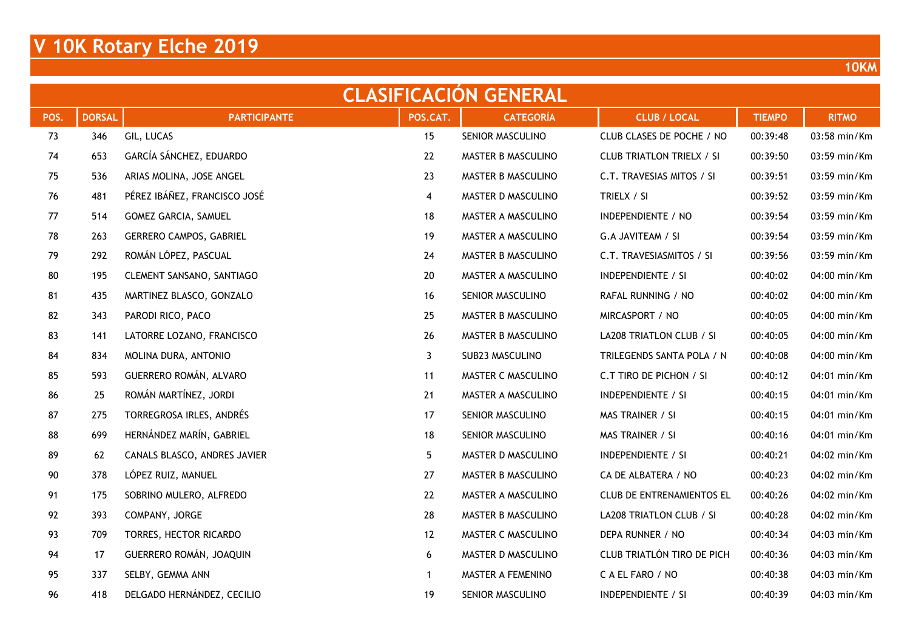|      | <b>CLASIFICACION GENERAL</b> |                                |                         |                    |                                  |               |              |  |  |  |  |  |  |
|------|------------------------------|--------------------------------|-------------------------|--------------------|----------------------------------|---------------|--------------|--|--|--|--|--|--|
| POS. | <b>DORSAL</b>                | <b>PARTICIPANTE</b>            | POS.CAT.                | <b>CATEGORÍA</b>   | <b>CLUB / LOCAL</b>              | <b>TIEMPO</b> | <b>RITMO</b> |  |  |  |  |  |  |
| 73   | 346                          | GIL, LUCAS                     | 15                      | SENIOR MASCULINO   | CLUB CLASES DE POCHE / NO        | 00:39:48      | 03:58 min/Km |  |  |  |  |  |  |
| 74   | 653                          | GARCÍA SÁNCHEZ, EDUARDO        | 22                      | MASTER B MASCULINO | <b>CLUB TRIATLON TRIELX / SI</b> | 00:39:50      | 03:59 min/Km |  |  |  |  |  |  |
| 75   | 536                          | ARIAS MOLINA, JOSE ANGEL       | 23                      | MASTER B MASCULINO | C.T. TRAVESIAS MITOS / SI        | 00:39:51      | 03:59 min/Km |  |  |  |  |  |  |
| 76   | 481                          | PÉREZ IBÁÑEZ, FRANCISCO JOSÉ   | $\overline{\mathbf{4}}$ | MASTER D MASCULINO | TRIELX / SI                      | 00:39:52      | 03:59 min/Km |  |  |  |  |  |  |
| 77   | 514                          | GOMEZ GARCIA, SAMUEL           | 18                      | MASTER A MASCULINO | INDEPENDIENTE / NO               | 00:39:54      | 03:59 min/Km |  |  |  |  |  |  |
| 78   | 263                          | <b>GERRERO CAMPOS, GABRIEL</b> | 19                      | MASTER A MASCULINO | G.A JAVITEAM / SI                | 00:39:54      | 03:59 min/Km |  |  |  |  |  |  |
| 79   | 292                          | ROMÁN LÓPEZ, PASCUAL           | 24                      | MASTER B MASCULINO | C.T. TRAVESIASMITOS / SI         | 00:39:56      | 03:59 min/Km |  |  |  |  |  |  |
| 80   | 195                          | CLEMENT SANSANO, SANTIAGO      | 20                      | MASTER A MASCULINO | INDEPENDIENTE / SI               | 00:40:02      | 04:00 min/Km |  |  |  |  |  |  |
| 81   | 435                          | MARTINEZ BLASCO, GONZALO       | 16                      | SENIOR MASCULINO   | RAFAL RUNNING / NO               | 00:40:02      | 04:00 min/Km |  |  |  |  |  |  |
| 82   | 343                          | PARODI RICO, PACO              | 25                      | MASTER B MASCULINO | MIRCASPORT / NO                  | 00:40:05      | 04:00 min/Km |  |  |  |  |  |  |
| 83   | 141                          | LATORRE LOZANO, FRANCISCO      | 26                      | MASTER B MASCULINO | LA208 TRIATLON CLUB / SI         | 00:40:05      | 04:00 min/Km |  |  |  |  |  |  |
| 84   | 834                          | MOLINA DURA, ANTONIO           | 3                       | SUB23 MASCULINO    | TRILEGENDS SANTA POLA / N        | 00:40:08      | 04:00 min/Km |  |  |  |  |  |  |
| 85   | 593                          | GUERRERO ROMÁN, ALVARO         | 11                      | MASTER C MASCULINO | C.T TIRO DE PICHON / SI          | 00:40:12      | 04:01 min/Km |  |  |  |  |  |  |
| 86   | 25                           | ROMÁN MARTÍNEZ, JORDI          | 21                      | MASTER A MASCULINO | <b>INDEPENDIENTE / SI</b>        | 00:40:15      | 04:01 min/Km |  |  |  |  |  |  |
| 87   | 275                          | TORREGROSA IRLES, ANDRÉS       | 17                      | SENIOR MASCULINO   | MAS TRAINER / SI                 | 00:40:15      | 04:01 min/Km |  |  |  |  |  |  |
| 88   | 699                          | HERNÁNDEZ MARÍN, GABRIEL       | 18                      | SENIOR MASCULINO   | MAS TRAINER / SI                 | 00:40:16      | 04:01 min/Km |  |  |  |  |  |  |
| 89   | 62                           | CANALS BLASCO, ANDRES JAVIER   | 5                       | MASTER D MASCULINO | INDEPENDIENTE / SI               | 00:40:21      | 04:02 min/Km |  |  |  |  |  |  |
| 90   | 378                          | LÓPEZ RUIZ, MANUEL             | 27                      | MASTER B MASCULINO | CA DE ALBATERA / NO              | 00:40:23      | 04:02 min/Km |  |  |  |  |  |  |
| 91   | 175                          | SOBRINO MULERO, ALFREDO        | 22                      | MASTER A MASCULINO | <b>CLUB DE ENTRENAMIENTOS EL</b> | 00:40:26      | 04:02 min/Km |  |  |  |  |  |  |
| 92   | 393                          | COMPANY, JORGE                 | 28                      | MASTER B MASCULINO | LA208 TRIATLON CLUB / SI         | 00:40:28      | 04:02 min/Km |  |  |  |  |  |  |
| 93   | 709                          | TORRES, HECTOR RICARDO         | 12                      | MASTER C MASCULINO | DEPA RUNNER / NO                 | 00:40:34      | 04:03 min/Km |  |  |  |  |  |  |
| 94   | 17                           | GUERRERO ROMÁN, JOAQUIN        | 6                       | MASTER D MASCULINO | CLUB TRIATLÓN TIRO DE PICH       | 00:40:36      | 04:03 min/Km |  |  |  |  |  |  |
| 95   | 337                          | SELBY, GEMMA ANN               | $\mathbf{1}$            | MASTER A FEMENINO  | C A EL FARO / NO                 | 00:40:38      | 04:03 min/Km |  |  |  |  |  |  |
| 96   | 418                          | DELGADO HERNÁNDEZ, CECILIO     | 19                      | SENIOR MASCULINO   | <b>INDEPENDIENTE / SI</b>        | 00:40:39      | 04:03 min/Km |  |  |  |  |  |  |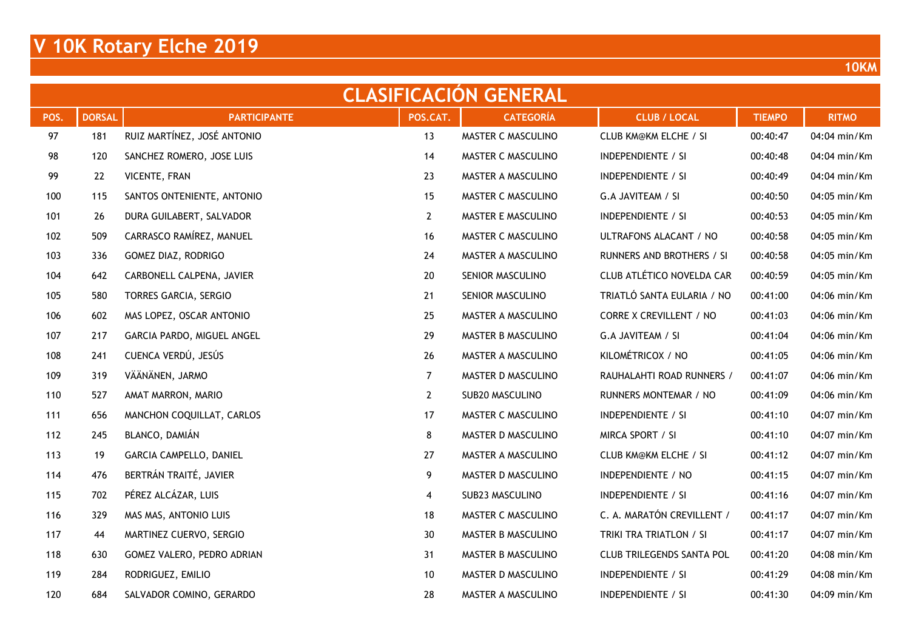| <b>CLASIFICACION GENERAL</b> |               |                             |                |                    |                                  |               |              |  |  |  |  |  |
|------------------------------|---------------|-----------------------------|----------------|--------------------|----------------------------------|---------------|--------------|--|--|--|--|--|
| POS.                         | <b>DORSAL</b> | <b>PARTICIPANTE</b>         | POS.CAT.       | <b>CATEGORÍA</b>   | <b>CLUB / LOCAL</b>              | <b>TIEMPO</b> | <b>RITMO</b> |  |  |  |  |  |
| 97                           | 181           | RUIZ MARTÍNEZ, JOSÉ ANTONIO | 13             | MASTER C MASCULINO | <b>CLUB KM@KM ELCHE / SI</b>     | 00:40:47      | 04:04 min/Km |  |  |  |  |  |
| 98                           | 120           | SANCHEZ ROMERO, JOSE LUIS   | 14             | MASTER C MASCULINO | <b>INDEPENDIENTE / SI</b>        | 00:40:48      | 04:04 min/Km |  |  |  |  |  |
| 99                           | 22            | VICENTE, FRAN               | 23             | MASTER A MASCULINO | <b>INDEPENDIENTE / SI</b>        | 00:40:49      | 04:04 min/Km |  |  |  |  |  |
| 100                          | 115           | SANTOS ONTENIENTE, ANTONIO  | 15             | MASTER C MASCULINO | G.A JAVITEAM / SI                | 00:40:50      | 04:05 min/Km |  |  |  |  |  |
| 101                          | 26            | DURA GUILABERT, SALVADOR    | $2^{\circ}$    | MASTER E MASCULINO | <b>INDEPENDIENTE / SI</b>        | 00:40:53      | 04:05 min/Km |  |  |  |  |  |
| 102                          | 509           | CARRASCO RAMÍREZ, MANUEL    | 16             | MASTER C MASCULINO | ULTRAFONS ALACANT / NO           | 00:40:58      | 04:05 min/Km |  |  |  |  |  |
| 103                          | 336           | GOMEZ DIAZ, RODRIGO         | 24             | MASTER A MASCULINO | RUNNERS AND BROTHERS / SI        | 00:40:58      | 04:05 min/Km |  |  |  |  |  |
| 104                          | 642           | CARBONELL CALPENA, JAVIER   | 20             | SENIOR MASCULINO   | CLUB ATLÉTICO NOVELDA CAR        | 00:40:59      | 04:05 min/Km |  |  |  |  |  |
| 105                          | 580           | TORRES GARCIA, SERGIO       | 21             | SENIOR MASCULINO   | TRIATLÓ SANTA EULARIA / NO       | 00:41:00      | 04:06 min/Km |  |  |  |  |  |
| 106                          | 602           | MAS LOPEZ, OSCAR ANTONIO    | 25             | MASTER A MASCULINO | <b>CORRE X CREVILLENT / NO</b>   | 00:41:03      | 04:06 min/Km |  |  |  |  |  |
| 107                          | 217           | GARCIA PARDO, MIGUEL ANGEL  | 29             | MASTER B MASCULINO | G.A JAVITEAM / SI                | 00:41:04      | 04:06 min/Km |  |  |  |  |  |
| 108                          | 241           | CUENCA VERDÚ, JESÚS         | 26             | MASTER A MASCULINO | KILOMÉTRICOX / NO                | 00:41:05      | 04:06 min/Km |  |  |  |  |  |
| 109                          | 319           | VÄÄNÄNEN, JARMO             | $\overline{7}$ | MASTER D MASCULINO | RAUHALAHTI ROAD RUNNERS /        | 00:41:07      | 04:06 min/Km |  |  |  |  |  |
| 110                          | 527           | AMAT MARRON, MARIO          | $\mathbf{2}$   | SUB20 MASCULINO    | RUNNERS MONTEMAR / NO            | 00:41:09      | 04:06 min/Km |  |  |  |  |  |
| 111                          | 656           | MANCHON COQUILLAT, CARLOS   | 17             | MASTER C MASCULINO | <b>INDEPENDIENTE / SI</b>        | 00:41:10      | 04:07 min/Km |  |  |  |  |  |
| 112                          | 245           | BLANCO, DAMIÁN              | 8              | MASTER D MASCULINO | MIRCA SPORT / SI                 | 00:41:10      | 04:07 min/Km |  |  |  |  |  |
| 113                          | 19            | GARCIA CAMPELLO, DANIEL     | 27             | MASTER A MASCULINO | <b>CLUB KM@KM ELCHE / SI</b>     | 00:41:12      | 04:07 min/Km |  |  |  |  |  |
| 114                          | 476           | BERTRÁN TRAITÉ, JAVIER      | 9              | MASTER D MASCULINO | INDEPENDIENTE / NO               | 00:41:15      | 04:07 min/Km |  |  |  |  |  |
| 115                          | 702           | PÉREZ ALCÁZAR, LUIS         | 4              | SUB23 MASCULINO    | <b>INDEPENDIENTE / SI</b>        | 00:41:16      | 04:07 min/Km |  |  |  |  |  |
| 116                          | 329           | MAS MAS, ANTONIO LUIS       | 18             | MASTER C MASCULINO | C. A. MARATÓN CREVILLENT /       | 00:41:17      | 04:07 min/Km |  |  |  |  |  |
| 117                          | 44            | MARTINEZ CUERVO, SERGIO     | 30             | MASTER B MASCULINO | TRIKI TRA TRIATLON / SI          | 00:41:17      | 04:07 min/Km |  |  |  |  |  |
| 118                          | 630           | GOMEZ VALERO, PEDRO ADRIAN  | 31             | MASTER B MASCULINO | <b>CLUB TRILEGENDS SANTA POL</b> | 00:41:20      | 04:08 min/Km |  |  |  |  |  |
| 119                          | 284           | RODRIGUEZ, EMILIO           | 10             | MASTER D MASCULINO | <b>INDEPENDIENTE / SI</b>        | 00:41:29      | 04:08 min/Km |  |  |  |  |  |
| 120                          | 684           | SALVADOR COMINO, GERARDO    | 28             | MASTER A MASCULINO | <b>INDEPENDIENTE / SI</b>        | 00:41:30      | 04:09 min/Km |  |  |  |  |  |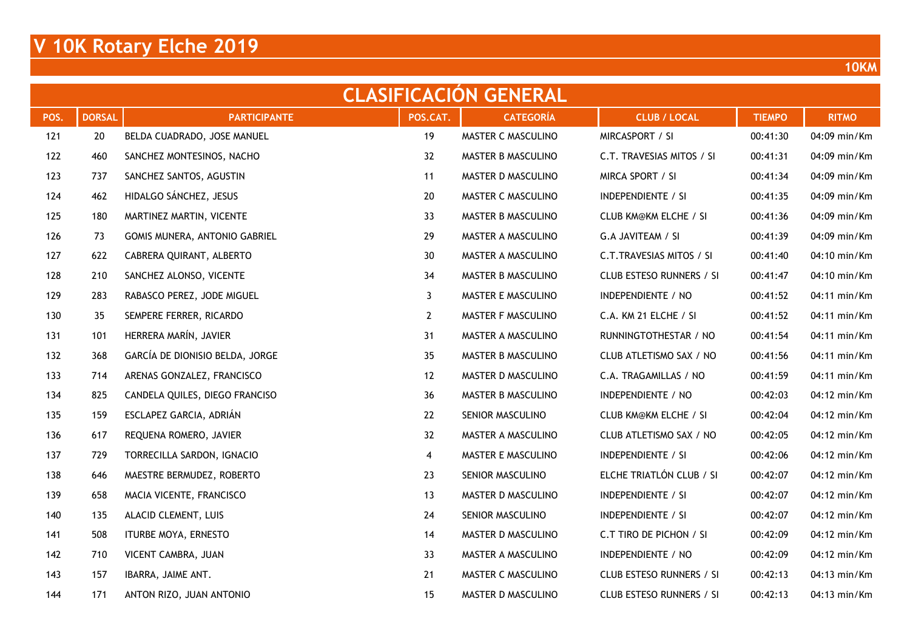|      | <b>CLASIFICACION GENERAL</b> |                                 |              |                    |                                 |               |                        |  |  |  |  |  |  |
|------|------------------------------|---------------------------------|--------------|--------------------|---------------------------------|---------------|------------------------|--|--|--|--|--|--|
| POS. | <b>DORSAL</b>                | <b>PARTICIPANTE</b>             | POS.CAT.     | <b>CATEGORÍA</b>   | <b>CLUB / LOCAL</b>             | <b>TIEMPO</b> | <b>RITMO</b>           |  |  |  |  |  |  |
| 121  | 20                           | BELDA CUADRADO, JOSE MANUEL     | 19           | MASTER C MASCULINO | MIRCASPORT / SI                 | 00:41:30      | 04:09 min/Km           |  |  |  |  |  |  |
| 122  | 460                          | SANCHEZ MONTESINOS, NACHO       | 32           | MASTER B MASCULINO | C.T. TRAVESIAS MITOS / SI       | 00:41:31      | 04:09 min/Km           |  |  |  |  |  |  |
| 123  | 737                          | SANCHEZ SANTOS, AGUSTIN         | 11           | MASTER D MASCULINO | MIRCA SPORT / SI                | 00:41:34      | 04:09 min/Km           |  |  |  |  |  |  |
| 124  | 462                          | HIDALGO SÁNCHEZ, JESUS          | 20           | MASTER C MASCULINO | INDEPENDIENTE / SI              | 00:41:35      | 04:09 min/Km           |  |  |  |  |  |  |
| 125  | 180                          | MARTINEZ MARTIN, VICENTE        | 33           | MASTER B MASCULINO | CLUB KM@KM ELCHE / SI           | 00:41:36      | 04:09 min/Km           |  |  |  |  |  |  |
| 126  | 73                           | GOMIS MUNERA, ANTONIO GABRIEL   | 29           | MASTER A MASCULINO | G.A JAVITEAM / SI               | 00:41:39      | 04:09 min/Km           |  |  |  |  |  |  |
| 127  | 622                          | CABRERA QUIRANT, ALBERTO        | 30           | MASTER A MASCULINO | C.T.TRAVESIAS MITOS / SI        | 00:41:40      | 04:10 min/Km           |  |  |  |  |  |  |
| 128  | 210                          | SANCHEZ ALONSO, VICENTE         | 34           | MASTER B MASCULINO | <b>CLUB ESTESO RUNNERS / SI</b> | 00:41:47      | 04:10 min/Km           |  |  |  |  |  |  |
| 129  | 283                          | RABASCO PEREZ, JODE MIGUEL      | 3            | MASTER E MASCULINO | INDEPENDIENTE / NO              | 00:41:52      | 04:11 min/Km           |  |  |  |  |  |  |
| 130  | 35                           | SEMPERE FERRER, RICARDO         | $\mathbf{2}$ | MASTER F MASCULINO | C.A. KM 21 ELCHE / SI           | 00:41:52      | 04:11 min/Km           |  |  |  |  |  |  |
| 131  | 101                          | HERRERA MARÍN, JAVIER           | 31           | MASTER A MASCULINO | RUNNINGTOTHESTAR / NO           | 00:41:54      | 04:11 min/Km           |  |  |  |  |  |  |
| 132  | 368                          | GARCÍA DE DIONISIO BELDA, JORGE | 35           | MASTER B MASCULINO | CLUB ATLETISMO SAX / NO         | 00:41:56      | 04:11 min/Km           |  |  |  |  |  |  |
| 133  | 714                          | ARENAS GONZALEZ, FRANCISCO      | 12           | MASTER D MASCULINO | C.A. TRAGAMILLAS / NO           | 00:41:59      | 04:11 min/Km           |  |  |  |  |  |  |
| 134  | 825                          | CANDELA QUILES, DIEGO FRANCISO  | 36           | MASTER B MASCULINO | INDEPENDIENTE / NO              | 00:42:03      | 04:12 min/Km           |  |  |  |  |  |  |
| 135  | 159                          | ESCLAPEZ GARCIA, ADRIÁN         | 22           | SENIOR MASCULINO   | <b>CLUB KM@KM ELCHE / SI</b>    | 00:42:04      | 04:12 min/Km           |  |  |  |  |  |  |
| 136  | 617                          | REQUENA ROMERO, JAVIER          | 32           | MASTER A MASCULINO | CLUB ATLETISMO SAX / NO         | 00:42:05      | 04:12 min/Km           |  |  |  |  |  |  |
| 137  | 729                          | TORRECILLA SARDON, IGNACIO      | 4            | MASTER E MASCULINO | INDEPENDIENTE / SI              | 00:42:06      | 04:12 min/Km           |  |  |  |  |  |  |
| 138  | 646                          | MAESTRE BERMUDEZ, ROBERTO       | 23           | SENIOR MASCULINO   | ELCHE TRIATLÓN CLUB / SI        | 00:42:07      | 04:12 min/Km           |  |  |  |  |  |  |
| 139  | 658                          | MACIA VICENTE, FRANCISCO        | 13           | MASTER D MASCULINO | <b>INDEPENDIENTE / SI</b>       | 00:42:07      | 04:12 min/Km           |  |  |  |  |  |  |
| 140  | 135                          | ALACID CLEMENT, LUIS            | 24           | SENIOR MASCULINO   | <b>INDEPENDIENTE / SI</b>       | 00:42:07      | 04:12 min/Km           |  |  |  |  |  |  |
| 141  | 508                          | ITURBE MOYA, ERNESTO            | 14           | MASTER D MASCULINO | C.T TIRO DE PICHON / SI         | 00:42:09      | 04:12 min/Km           |  |  |  |  |  |  |
| 142  | 710                          | VICENT CAMBRA, JUAN             | 33           | MASTER A MASCULINO | INDEPENDIENTE / NO              | 00:42:09      | 04:12 min/Km           |  |  |  |  |  |  |
| 143  | 157                          | IBARRA, JAIME ANT.              | 21           | MASTER C MASCULINO | CLUB ESTESO RUNNERS / SI        | 00:42:13      | 04:13 min/Km           |  |  |  |  |  |  |
| 144  | 171                          | ANTON RIZO, JUAN ANTONIO        | 15           | MASTER D MASCULINO | CLUB ESTESO RUNNERS / SI        | 00:42:13      | $04:13 \text{ min/Km}$ |  |  |  |  |  |  |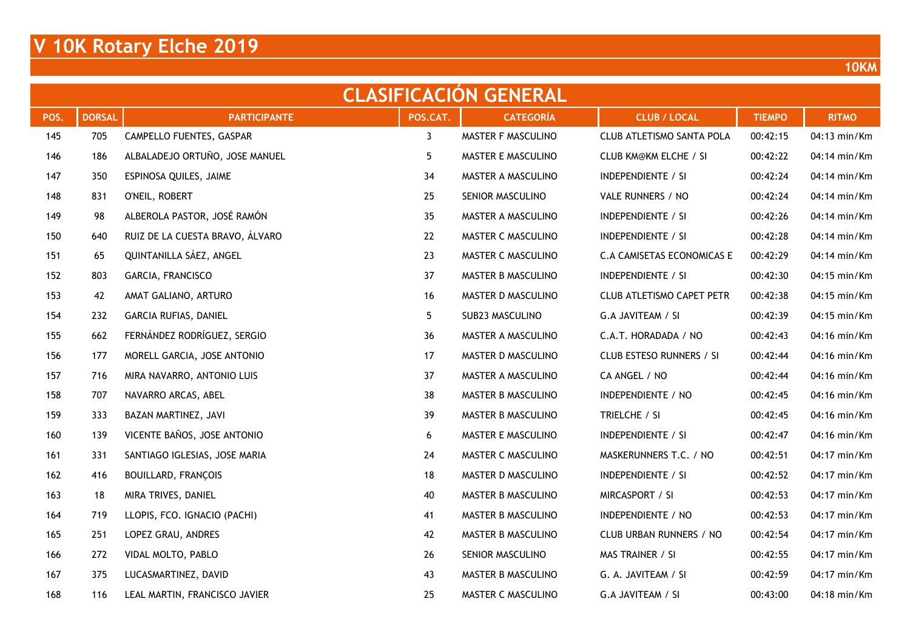|      | <b>CLASIFICACION GENERAL</b> |                                 |              |                    |                                  |               |              |  |  |  |  |  |  |
|------|------------------------------|---------------------------------|--------------|--------------------|----------------------------------|---------------|--------------|--|--|--|--|--|--|
| POS. | <b>DORSAL</b>                | <b>PARTICIPANTE</b>             | POS.CAT.     | <b>CATEGORÍA</b>   | <b>CLUB / LOCAL</b>              | <b>TIEMPO</b> | <b>RITMO</b> |  |  |  |  |  |  |
| 145  | 705                          | CAMPELLO FUENTES, GASPAR        | $\mathbf{3}$ | MASTER F MASCULINO | CLUB ATLETISMO SANTA POLA        | 00:42:15      | 04:13 min/Km |  |  |  |  |  |  |
| 146  | 186                          | ALBALADEJO ORTUÑO, JOSE MANUEL  | 5            | MASTER E MASCULINO | <b>CLUB KM@KM ELCHE / SI</b>     | 00:42:22      | 04:14 min/Km |  |  |  |  |  |  |
| 147  | 350                          | ESPINOSA QUILES, JAIME          | 34           | MASTER A MASCULINO | <b>INDEPENDIENTE / SI</b>        | 00:42:24      | 04:14 min/Km |  |  |  |  |  |  |
| 148  | 831                          | O'NEIL, ROBERT                  | 25           | SENIOR MASCULINO   | VALE RUNNERS / NO                | 00:42:24      | 04:14 min/Km |  |  |  |  |  |  |
| 149  | 98                           | ALBEROLA PASTOR, JOSÉ RAMÓN     | 35           | MASTER A MASCULINO | INDEPENDIENTE / SI               | 00:42:26      | 04:14 min/Km |  |  |  |  |  |  |
| 150  | 640                          | RUIZ DE LA CUESTA BRAVO, ÁLVARO | 22           | MASTER C MASCULINO | <b>INDEPENDIENTE / SI</b>        | 00:42:28      | 04:14 min/Km |  |  |  |  |  |  |
| 151  | 65                           | QUINTANILLA SÁEZ, ANGEL         | 23           | MASTER C MASCULINO | C.A CAMISETAS ECONOMICAS E       | 00:42:29      | 04:14 min/Km |  |  |  |  |  |  |
| 152  | 803                          | GARCIA, FRANCISCO               | 37           | MASTER B MASCULINO | INDEPENDIENTE / SI               | 00:42:30      | 04:15 min/Km |  |  |  |  |  |  |
| 153  | 42                           | AMAT GALIANO, ARTURO            | 16           | MASTER D MASCULINO | <b>CLUB ATLETISMO CAPET PETR</b> | 00:42:38      | 04:15 min/Km |  |  |  |  |  |  |
| 154  | 232                          | GARCIA RUFIAS, DANIEL           | 5            | SUB23 MASCULINO    | G.A JAVITEAM / SI                | 00:42:39      | 04:15 min/Km |  |  |  |  |  |  |
| 155  | 662                          | FERNÁNDEZ RODRÍGUEZ, SERGIO     | 36           | MASTER A MASCULINO | C.A.T. HORADADA / NO             | 00:42:43      | 04:16 min/Km |  |  |  |  |  |  |
| 156  | 177                          | MORELL GARCIA, JOSE ANTONIO     | 17           | MASTER D MASCULINO | <b>CLUB ESTESO RUNNERS / SI</b>  | 00:42:44      | 04:16 min/Km |  |  |  |  |  |  |
| 157  | 716                          | MIRA NAVARRO, ANTONIO LUIS      | 37           | MASTER A MASCULINO | CA ANGEL / NO                    | 00:42:44      | 04:16 min/Km |  |  |  |  |  |  |
| 158  | 707                          | NAVARRO ARCAS, ABEL             | 38           | MASTER B MASCULINO | INDEPENDIENTE / NO               | 00:42:45      | 04:16 min/Km |  |  |  |  |  |  |
| 159  | 333                          | BAZAN MARTINEZ, JAVI            | 39           | MASTER B MASCULINO | TRIELCHE / SI                    | 00:42:45      | 04:16 min/Km |  |  |  |  |  |  |
| 160  | 139                          | VICENTE BAÑOS, JOSE ANTONIO     | 6            | MASTER E MASCULINO | <b>INDEPENDIENTE / SI</b>        | 00:42:47      | 04:16 min/Km |  |  |  |  |  |  |
| 161  | 331                          | SANTIAGO IGLESIAS, JOSE MARIA   | 24           | MASTER C MASCULINO | MASKERUNNERS T.C. / NO           | 00:42:51      | 04:17 min/Km |  |  |  |  |  |  |
| 162  | 416                          | <b>BOUILLARD, FRANÇOIS</b>      | 18           | MASTER D MASCULINO | INDEPENDIENTE / SI               | 00:42:52      | 04:17 min/Km |  |  |  |  |  |  |
| 163  | 18                           | MIRA TRIVES, DANIEL             | 40           | MASTER B MASCULINO | MIRCASPORT / SI                  | 00:42:53      | 04:17 min/Km |  |  |  |  |  |  |
| 164  | 719                          | LLOPIS, FCO. IGNACIO (PACHI)    | 41           | MASTER B MASCULINO | INDEPENDIENTE / NO               | 00:42:53      | 04:17 min/Km |  |  |  |  |  |  |
| 165  | 251                          | LOPEZ GRAU, ANDRES              | 42           | MASTER B MASCULINO | CLUB URBAN RUNNERS / NO          | 00:42:54      | 04:17 min/Km |  |  |  |  |  |  |
| 166  | 272                          | VIDAL MOLTO, PABLO              | 26           | SENIOR MASCULINO   | MAS TRAINER / SI                 | 00:42:55      | 04:17 min/Km |  |  |  |  |  |  |
| 167  | 375                          | LUCASMARTINEZ, DAVID            | 43           | MASTER B MASCULINO | G. A. JAVITEAM / SI              | 00:42:59      | 04:17 min/Km |  |  |  |  |  |  |
| 168  | 116                          | LEAL MARTIN, FRANCISCO JAVIER   | 25           | MASTER C MASCULINO | G.A JAVITEAM / SI                | 00:43:00      | 04:18 min/Km |  |  |  |  |  |  |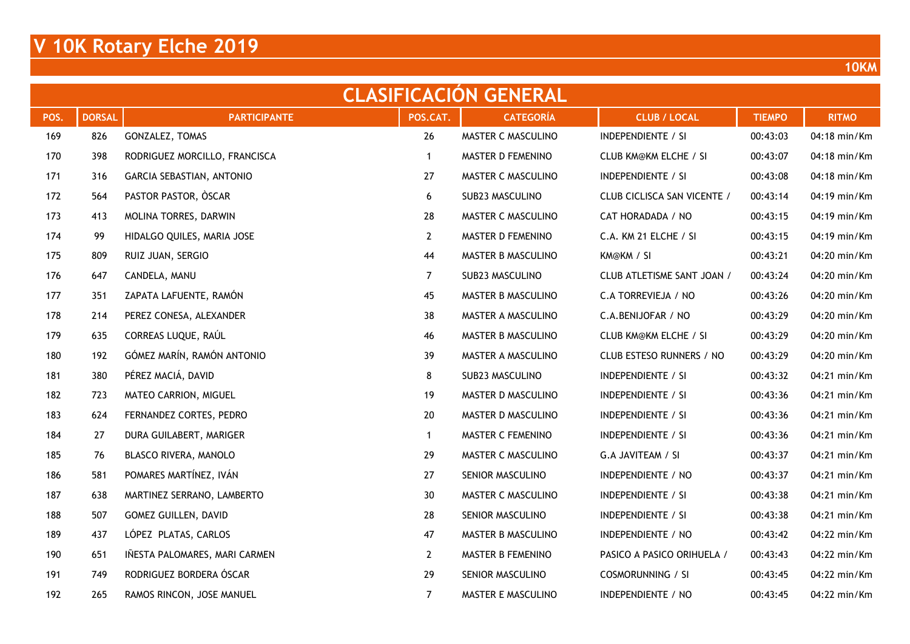| <b>CLASIFICACION GENERAL</b> |               |                               |                |                    |                              |               |              |  |  |  |  |
|------------------------------|---------------|-------------------------------|----------------|--------------------|------------------------------|---------------|--------------|--|--|--|--|
| POS.                         | <b>DORSAL</b> | <b>PARTICIPANTE</b>           | POS.CAT.       | <b>CATEGORÍA</b>   | <b>CLUB / LOCAL</b>          | <b>TIEMPO</b> | <b>RITMO</b> |  |  |  |  |
| 169                          | 826           | GONZALEZ, TOMAS               | 26             | MASTER C MASCULINO | INDEPENDIENTE / SI           | 00:43:03      | 04:18 min/Km |  |  |  |  |
| 170                          | 398           | RODRIGUEZ MORCILLO, FRANCISCA | $\mathbf{1}$   | MASTER D FEMENINO  | <b>CLUB KM@KM ELCHE / SI</b> | 00:43:07      | 04:18 min/Km |  |  |  |  |
| 171                          | 316           | GARCIA SEBASTIAN, ANTONIO     | 27             | MASTER C MASCULINO | <b>INDEPENDIENTE / SI</b>    | 00:43:08      | 04:18 min/Km |  |  |  |  |
| 172                          | 564           | PASTOR PASTOR, OSCAR          | 6              | SUB23 MASCULINO    | CLUB CICLISCA SAN VICENTE /  | 00:43:14      | 04:19 min/Km |  |  |  |  |
| 173                          | 413           | MOLINA TORRES, DARWIN         | 28             | MASTER C MASCULINO | CAT HORADADA / NO            | 00:43:15      | 04:19 min/Km |  |  |  |  |
| 174                          | 99            | HIDALGO QUILES, MARIA JOSE    | $\mathbf{2}$   | MASTER D FEMENINO  | C.A. KM 21 ELCHE / SI        | 00:43:15      | 04:19 min/Km |  |  |  |  |
| 175                          | 809           | RUIZ JUAN, SERGIO             | 44             | MASTER B MASCULINO | KM@KM / SI                   | 00:43:21      | 04:20 min/Km |  |  |  |  |
| 176                          | 647           | CANDELA, MANU                 | $\overline{7}$ | SUB23 MASCULINO    | CLUB ATLETISME SANT JOAN /   | 00:43:24      | 04:20 min/Km |  |  |  |  |
| 177                          | 351           | ZAPATA LAFUENTE, RAMÓN        | 45             | MASTER B MASCULINO | C.A TORREVIEJA / NO          | 00:43:26      | 04:20 min/Km |  |  |  |  |
| 178                          | 214           | PEREZ CONESA, ALEXANDER       | 38             | MASTER A MASCULINO | C.A.BENIJOFAR / NO           | 00:43:29      | 04:20 min/Km |  |  |  |  |
| 179                          | 635           | CORREAS LUQUE, RAÚL           | 46             | MASTER B MASCULINO | <b>CLUB KM@KM ELCHE / SI</b> | 00:43:29      | 04:20 min/Km |  |  |  |  |
| 180                          | 192           | GÓMEZ MARÍN, RAMÓN ANTONIO    | 39             | MASTER A MASCULINO | CLUB ESTESO RUNNERS / NO     | 00:43:29      | 04:20 min/Km |  |  |  |  |
| 181                          | 380           | PÉREZ MACIÁ, DAVID            | 8              | SUB23 MASCULINO    | <b>INDEPENDIENTE / SI</b>    | 00:43:32      | 04:21 min/Km |  |  |  |  |
| 182                          | 723           | MATEO CARRION, MIGUEL         | 19             | MASTER D MASCULINO | INDEPENDIENTE / SI           | 00:43:36      | 04:21 min/Km |  |  |  |  |
| 183                          | 624           | FERNANDEZ CORTES, PEDRO       | 20             | MASTER D MASCULINO | <b>INDEPENDIENTE / SI</b>    | 00:43:36      | 04:21 min/Km |  |  |  |  |
| 184                          | 27            | DURA GUILABERT, MARIGER       | $\mathbf{1}$   | MASTER C FEMENINO  | <b>INDEPENDIENTE / SI</b>    | 00:43:36      | 04:21 min/Km |  |  |  |  |
| 185                          | 76            | BLASCO RIVERA, MANOLO         | 29             | MASTER C MASCULINO | G.A JAVITEAM / SI            | 00:43:37      | 04:21 min/Km |  |  |  |  |
| 186                          | 581           | POMARES MARTÍNEZ, IVÁN        | 27             | SENIOR MASCULINO   | INDEPENDIENTE / NO           | 00:43:37      | 04:21 min/Km |  |  |  |  |
| 187                          | 638           | MARTINEZ SERRANO, LAMBERTO    | 30             | MASTER C MASCULINO | <b>INDEPENDIENTE / SI</b>    | 00:43:38      | 04:21 min/Km |  |  |  |  |
| 188                          | 507           | GOMEZ GUILLEN, DAVID          | 28             | SENIOR MASCULINO   | <b>INDEPENDIENTE / SI</b>    | 00:43:38      | 04:21 min/Km |  |  |  |  |
| 189                          | 437           | LÓPEZ PLATAS, CARLOS          | 47             | MASTER B MASCULINO | INDEPENDIENTE / NO           | 00:43:42      | 04:22 min/Km |  |  |  |  |
| 190                          | 651           | IÑESTA PALOMARES, MARI CARMEN | $\mathbf{2}$   | MASTER B FEMENINO  | PASICO A PASICO ORIHUELA /   | 00:43:43      | 04:22 min/Km |  |  |  |  |
| 191                          | 749           | RODRIGUEZ BORDERA ÓSCAR       | 29             | SENIOR MASCULINO   | <b>COSMORUNNING / SI</b>     | 00:43:45      | 04:22 min/Km |  |  |  |  |
| 192                          | 265           | RAMOS RINCON, JOSE MANUEL     | $\overline{7}$ | MASTER E MASCULINO | INDEPENDIENTE / NO           | 00:43:45      | 04:22 min/Km |  |  |  |  |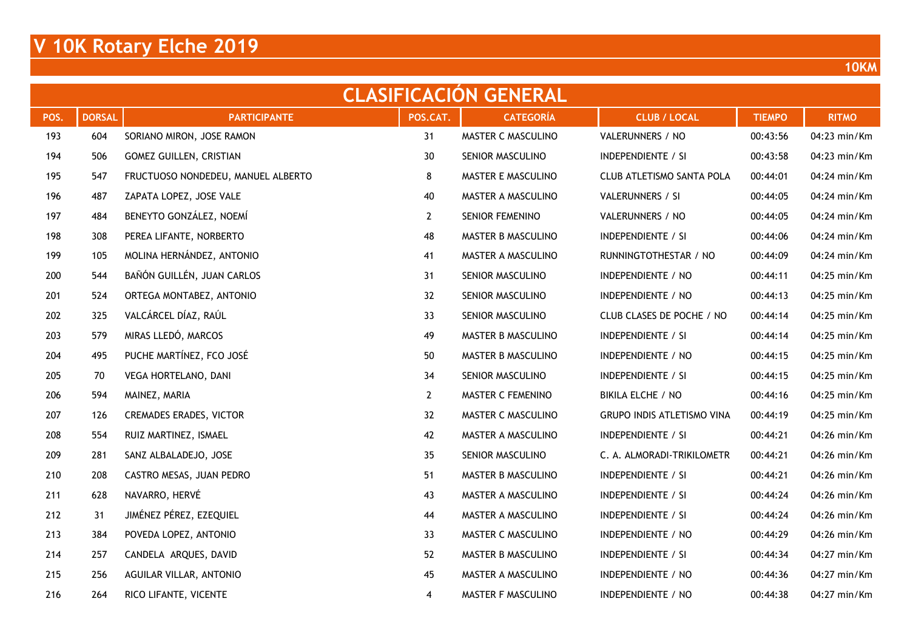| <b>CLASIFICACION GENERAL</b> |               |                                    |                |                    |                                   |               |              |  |  |  |  |
|------------------------------|---------------|------------------------------------|----------------|--------------------|-----------------------------------|---------------|--------------|--|--|--|--|
| POS.                         | <b>DORSAL</b> | <b>PARTICIPANTE</b>                | POS.CAT.       | <b>CATEGORÍA</b>   | <b>CLUB / LOCAL</b>               | <b>TIEMPO</b> | <b>RITMO</b> |  |  |  |  |
| 193                          | 604           | SORIANO MIRON, JOSE RAMON          | 31             | MASTER C MASCULINO | VALERUNNERS / NO                  | 00:43:56      | 04:23 min/Km |  |  |  |  |
| 194                          | 506           | <b>GOMEZ GUILLEN, CRISTIAN</b>     | 30             | SENIOR MASCULINO   | INDEPENDIENTE / SI                | 00:43:58      | 04:23 min/Km |  |  |  |  |
| 195                          | 547           | FRUCTUOSO NONDEDEU, MANUEL ALBERTO | 8              | MASTER E MASCULINO | CLUB ATLETISMO SANTA POLA         | 00:44:01      | 04:24 min/Km |  |  |  |  |
| 196                          | 487           | ZAPATA LOPEZ, JOSE VALE            | 40             | MASTER A MASCULINO | VALERUNNERS / SI                  | 00:44:05      | 04:24 min/Km |  |  |  |  |
| 197                          | 484           | BENEYTO GONZÁLEZ, NOEMÍ            | $\mathbf{2}$   | SENIOR FEMENINO    | VALERUNNERS / NO                  | 00:44:05      | 04:24 min/Km |  |  |  |  |
| 198                          | 308           | PEREA LIFANTE, NORBERTO            | 48             | MASTER B MASCULINO | <b>INDEPENDIENTE / SI</b>         | 00:44:06      | 04:24 min/Km |  |  |  |  |
| 199                          | 105           | MOLINA HERNÁNDEZ, ANTONIO          | 41             | MASTER A MASCULINO | RUNNINGTOTHESTAR / NO             | 00:44:09      | 04:24 min/Km |  |  |  |  |
| 200                          | 544           | BAÑÓN GUILLÉN, JUAN CARLOS         | 31             | SENIOR MASCULINO   | INDEPENDIENTE / NO                | 00:44:11      | 04:25 min/Km |  |  |  |  |
| 201                          | 524           | ORTEGA MONTABEZ, ANTONIO           | 32             | SENIOR MASCULINO   | INDEPENDIENTE / NO                | 00:44:13      | 04:25 min/Km |  |  |  |  |
| 202                          | 325           | VALCÁRCEL DÍAZ, RAÚL               | 33             | SENIOR MASCULINO   | CLUB CLASES DE POCHE / NO         | 00:44:14      | 04:25 min/Km |  |  |  |  |
| 203                          | 579           | MIRAS LLEDÓ, MARCOS                | 49             | MASTER B MASCULINO | INDEPENDIENTE / SI                | 00:44:14      | 04:25 min/Km |  |  |  |  |
| 204                          | 495           | PUCHE MARTÍNEZ, FCO JOSÉ           | 50             | MASTER B MASCULINO | INDEPENDIENTE / NO                | 00:44:15      | 04:25 min/Km |  |  |  |  |
| 205                          | 70            | VEGA HORTELANO, DANI               | 34             | SENIOR MASCULINO   | <b>INDEPENDIENTE / SI</b>         | 00:44:15      | 04:25 min/Km |  |  |  |  |
| 206                          | 594           | MAINEZ, MARIA                      | $\overline{2}$ | MASTER C FEMENINO  | BIKILA ELCHE / NO                 | 00:44:16      | 04:25 min/Km |  |  |  |  |
| 207                          | 126           | CREMADES ERADES, VICTOR            | 32             | MASTER C MASCULINO | <b>GRUPO INDIS ATLETISMO VINA</b> | 00:44:19      | 04:25 min/Km |  |  |  |  |
| 208                          | 554           | RUIZ MARTINEZ, ISMAEL              | 42             | MASTER A MASCULINO | <b>INDEPENDIENTE / SI</b>         | 00:44:21      | 04:26 min/Km |  |  |  |  |
| 209                          | 281           | SANZ ALBALADEJO, JOSE              | 35             | SENIOR MASCULINO   | C. A. ALMORADI-TRIKILOMETR        | 00:44:21      | 04:26 min/Km |  |  |  |  |
| 210                          | 208           | CASTRO MESAS, JUAN PEDRO           | 51             | MASTER B MASCULINO | <b>INDEPENDIENTE / SI</b>         | 00:44:21      | 04:26 min/Km |  |  |  |  |
| 211                          | 628           | NAVARRO, HERVÉ                     | 43             | MASTER A MASCULINO | INDEPENDIENTE / SI                | 00:44:24      | 04:26 min/Km |  |  |  |  |
| 212                          | 31            | JIMÉNEZ PÉREZ, EZEQUIEL            | 44             | MASTER A MASCULINO | INDEPENDIENTE / SI                | 00:44:24      | 04:26 min/Km |  |  |  |  |
| 213                          | 384           | POVEDA LOPEZ, ANTONIO              | 33             | MASTER C MASCULINO | INDEPENDIENTE / NO                | 00:44:29      | 04:26 min/Km |  |  |  |  |
| 214                          | 257           | CANDELA ARQUES, DAVID              | 52             | MASTER B MASCULINO | <b>INDEPENDIENTE / SI</b>         | 00:44:34      | 04:27 min/Km |  |  |  |  |
| 215                          | 256           | AGUILAR VILLAR, ANTONIO            | 45             | MASTER A MASCULINO | INDEPENDIENTE / NO                | 00:44:36      | 04:27 min/Km |  |  |  |  |
| 216                          | 264           | RICO LIFANTE, VICENTE              | 4              | MASTER F MASCULINO | INDEPENDIENTE / NO                | 00:44:38      | 04:27 min/Km |  |  |  |  |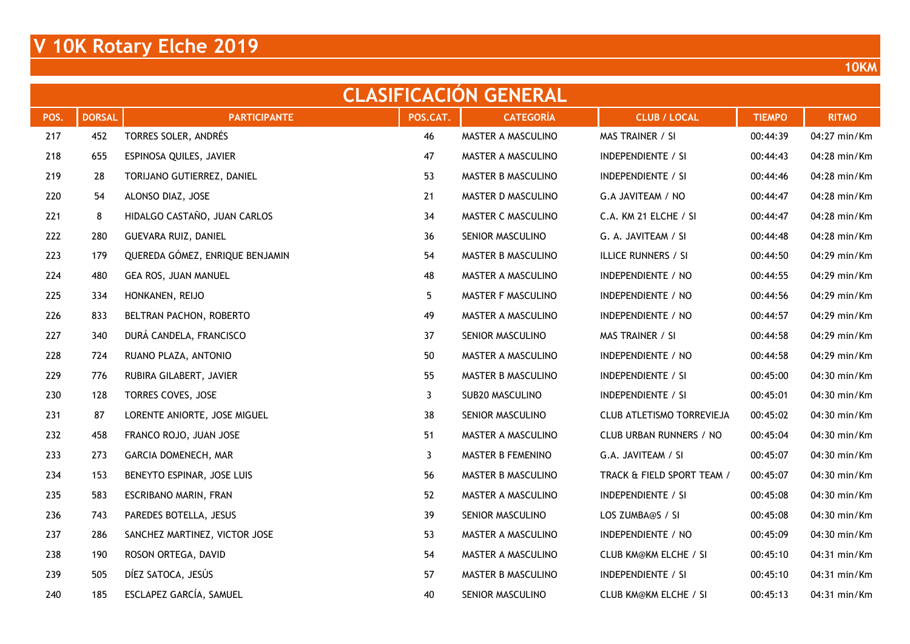|      | <b>CLASIFICACION GENERAL</b> |                                 |          |                    |                              |               |              |  |  |  |  |  |  |
|------|------------------------------|---------------------------------|----------|--------------------|------------------------------|---------------|--------------|--|--|--|--|--|--|
| POS. | <b>DORSAL</b>                | <b>PARTICIPANTE</b>             | POS.CAT. | <b>CATEGORÍA</b>   | <b>CLUB / LOCAL</b>          | <b>TIEMPO</b> | <b>RITMO</b> |  |  |  |  |  |  |
| 217  | 452                          | TORRES SOLER, ANDRÉS            | 46       | MASTER A MASCULINO | MAS TRAINER / SI             | 00:44:39      | 04:27 min/Km |  |  |  |  |  |  |
| 218  | 655                          | ESPINOSA QUILES, JAVIER         | 47       | MASTER A MASCULINO | <b>INDEPENDIENTE / SI</b>    | 00:44:43      | 04:28 min/Km |  |  |  |  |  |  |
| 219  | 28                           | TORIJANO GUTIERREZ, DANIEL      | 53       | MASTER B MASCULINO | INDEPENDIENTE / SI           | 00:44:46      | 04:28 min/Km |  |  |  |  |  |  |
| 220  | 54                           | ALONSO DIAZ, JOSE               | 21       | MASTER D MASCULINO | G.A JAVITEAM / NO            | 00:44:47      | 04:28 min/Km |  |  |  |  |  |  |
| 221  | 8                            | HIDALGO CASTAÑO, JUAN CARLOS    | 34       | MASTER C MASCULINO | C.A. KM 21 ELCHE / SI        | 00:44:47      | 04:28 min/Km |  |  |  |  |  |  |
| 222  | 280                          | GUEVARA RUIZ, DANIEL            | 36       | SENIOR MASCULINO   | G. A. JAVITEAM / SI          | 00:44:48      | 04:28 min/Km |  |  |  |  |  |  |
| 223  | 179                          | QUEREDA GÓMEZ, ENRIQUE BENJAMIN | 54       | MASTER B MASCULINO | <b>ILLICE RUNNERS / SI</b>   | 00:44:50      | 04:29 min/Km |  |  |  |  |  |  |
| 224  | 480                          | GEA ROS, JUAN MANUEL            | 48       | MASTER A MASCULINO | INDEPENDIENTE / NO           | 00:44:55      | 04:29 min/Km |  |  |  |  |  |  |
| 225  | 334                          | HONKANEN, REIJO                 | 5        | MASTER F MASCULINO | INDEPENDIENTE / NO           | 00:44:56      | 04:29 min/Km |  |  |  |  |  |  |
| 226  | 833                          | BELTRAN PACHON, ROBERTO         | 49       | MASTER A MASCULINO | INDEPENDIENTE / NO           | 00:44:57      | 04:29 min/Km |  |  |  |  |  |  |
| 227  | 340                          | DURÁ CANDELA, FRANCISCO         | 37       | SENIOR MASCULINO   | MAS TRAINER / SI             | 00:44:58      | 04:29 min/Km |  |  |  |  |  |  |
| 228  | 724                          | RUANO PLAZA, ANTONIO            | 50       | MASTER A MASCULINO | INDEPENDIENTE / NO           | 00:44:58      | 04:29 min/Km |  |  |  |  |  |  |
| 229  | 776                          | RUBIRA GILABERT, JAVIER         | 55       | MASTER B MASCULINO | <b>INDEPENDIENTE / SI</b>    | 00:45:00      | 04:30 min/Km |  |  |  |  |  |  |
| 230  | 128                          | TORRES COVES, JOSE              | 3        | SUB20 MASCULINO    | INDEPENDIENTE / SI           | 00:45:01      | 04:30 min/Km |  |  |  |  |  |  |
| 231  | 87                           | LORENTE ANIORTE, JOSE MIGUEL    | 38       | SENIOR MASCULINO   | CLUB ATLETISMO TORREVIEJA    | 00:45:02      | 04:30 min/Km |  |  |  |  |  |  |
| 232  | 458                          | FRANCO ROJO, JUAN JOSE          | 51       | MASTER A MASCULINO | CLUB URBAN RUNNERS / NO      | 00:45:04      | 04:30 min/Km |  |  |  |  |  |  |
| 233  | 273                          | GARCIA DOMENECH, MAR            | 3        | MASTER B FEMENINO  | G.A. JAVITEAM / SI           | 00:45:07      | 04:30 min/Km |  |  |  |  |  |  |
| 234  | 153                          | BENEYTO ESPINAR, JOSE LUIS      | 56       | MASTER B MASCULINO | TRACK & FIELD SPORT TEAM /   | 00:45:07      | 04:30 min/Km |  |  |  |  |  |  |
| 235  | 583                          | ESCRIBANO MARIN, FRAN           | 52       | MASTER A MASCULINO | <b>INDEPENDIENTE / SI</b>    | 00:45:08      | 04:30 min/Km |  |  |  |  |  |  |
| 236  | 743                          | PAREDES BOTELLA, JESUS          | 39       | SENIOR MASCULINO   | LOS ZUMBA@S / SI             | 00:45:08      | 04:30 min/Km |  |  |  |  |  |  |
| 237  | 286                          | SANCHEZ MARTINEZ, VICTOR JOSE   | 53       | MASTER A MASCULINO | INDEPENDIENTE / NO           | 00:45:09      | 04:30 min/Km |  |  |  |  |  |  |
| 238  | 190                          | ROSON ORTEGA, DAVID             | 54       | MASTER A MASCULINO | <b>CLUB KM@KM ELCHE / SI</b> | 00:45:10      | 04:31 min/Km |  |  |  |  |  |  |
| 239  | 505                          | DÍEZ SATOCA, JESÚS              | 57       | MASTER B MASCULINO | <b>INDEPENDIENTE / SI</b>    | 00:45:10      | 04:31 min/Km |  |  |  |  |  |  |
| 240  | 185                          | ESCLAPEZ GARCÍA, SAMUEL         | 40       | SENIOR MASCULINO   | <b>CLUB KM@KM ELCHE / SI</b> | 00:45:13      | 04:31 min/Km |  |  |  |  |  |  |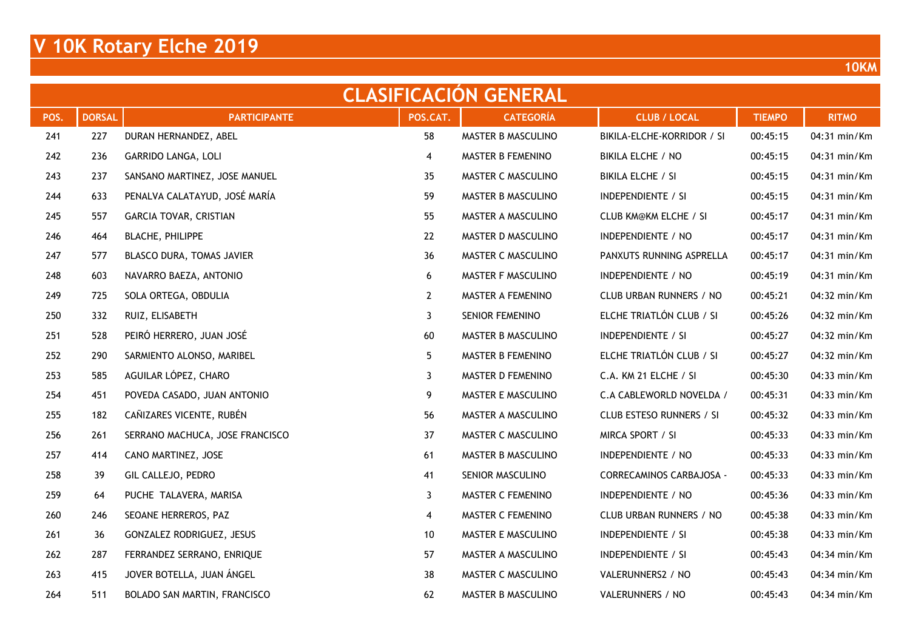|      | <b>CLASIFICACION GENERAL</b> |                                 |              |                    |                              |               |              |  |  |  |  |  |
|------|------------------------------|---------------------------------|--------------|--------------------|------------------------------|---------------|--------------|--|--|--|--|--|
| POS. | <b>DORSAL</b>                | <b>PARTICIPANTE</b>             | POS.CAT.     | <b>CATEGORÍA</b>   | <b>CLUB / LOCAL</b>          | <b>TIEMPO</b> | <b>RITMO</b> |  |  |  |  |  |
| 241  | 227                          | DURAN HERNANDEZ, ABEL           | 58           | MASTER B MASCULINO | BIKILA-ELCHE-KORRIDOR / SI   | 00:45:15      | 04:31 min/Km |  |  |  |  |  |
| 242  | 236                          | GARRIDO LANGA, LOLI             | 4            | MASTER B FEMENINO  | BIKILA ELCHE / NO            | 00:45:15      | 04:31 min/Km |  |  |  |  |  |
| 243  | 237                          | SANSANO MARTINEZ, JOSE MANUEL   | 35           | MASTER C MASCULINO | BIKILA ELCHE / SI            | 00:45:15      | 04:31 min/Km |  |  |  |  |  |
| 244  | 633                          | PENALVA CALATAYUD, JOSÉ MARÍA   | 59           | MASTER B MASCULINO | INDEPENDIENTE / SI           | 00:45:15      | 04:31 min/Km |  |  |  |  |  |
| 245  | 557                          | GARCIA TOVAR, CRISTIAN          | 55           | MASTER A MASCULINO | <b>CLUB KM@KM ELCHE / SI</b> | 00:45:17      | 04:31 min/Km |  |  |  |  |  |
| 246  | 464                          | <b>BLACHE, PHILIPPE</b>         | 22           | MASTER D MASCULINO | INDEPENDIENTE / NO           | 00:45:17      | 04:31 min/Km |  |  |  |  |  |
| 247  | 577                          | BLASCO DURA, TOMAS JAVIER       | 36           | MASTER C MASCULINO | PANXUTS RUNNING ASPRELLA     | 00:45:17      | 04:31 min/Km |  |  |  |  |  |
| 248  | 603                          | NAVARRO BAEZA, ANTONIO          | 6            | MASTER F MASCULINO | INDEPENDIENTE / NO           | 00:45:19      | 04:31 min/Km |  |  |  |  |  |
| 249  | 725                          | SOLA ORTEGA, OBDULIA            | $\mathbf{2}$ | MASTER A FEMENINO  | CLUB URBAN RUNNERS / NO      | 00:45:21      | 04:32 min/Km |  |  |  |  |  |
| 250  | 332                          | RUIZ, ELISABETH                 | 3            | SENIOR FEMENINO    | ELCHE TRIATLÓN CLUB / SI     | 00:45:26      | 04:32 min/Km |  |  |  |  |  |
| 251  | 528                          | PEIRÓ HERRERO, JUAN JOSÉ        | 60           | MASTER B MASCULINO | INDEPENDIENTE / SI           | 00:45:27      | 04:32 min/Km |  |  |  |  |  |
| 252  | 290                          | SARMIENTO ALONSO, MARIBEL       | 5            | MASTER B FEMENINO  | ELCHE TRIATLÓN CLUB / SI     | 00:45:27      | 04:32 min/Km |  |  |  |  |  |
| 253  | 585                          | AGUILAR LÓPEZ, CHARO            | 3            | MASTER D FEMENINO  | C.A. KM 21 ELCHE / SI        | 00:45:30      | 04:33 min/Km |  |  |  |  |  |
| 254  | 451                          | POVEDA CASADO, JUAN ANTONIO     | 9            | MASTER E MASCULINO | C.A CABLEWORLD NOVELDA /     | 00:45:31      | 04:33 min/Km |  |  |  |  |  |
| 255  | 182                          | CAÑIZARES VICENTE, RUBÉN        | 56           | MASTER A MASCULINO | CLUB ESTESO RUNNERS / SI     | 00:45:32      | 04:33 min/Km |  |  |  |  |  |
| 256  | 261                          | SERRANO MACHUCA, JOSE FRANCISCO | 37           | MASTER C MASCULINO | MIRCA SPORT / SI             | 00:45:33      | 04:33 min/Km |  |  |  |  |  |
| 257  | 414                          | CANO MARTINEZ, JOSE             | 61           | MASTER B MASCULINO | INDEPENDIENTE / NO           | 00:45:33      | 04:33 min/Km |  |  |  |  |  |
| 258  | 39                           | GIL CALLEJO, PEDRO              | 41           | SENIOR MASCULINO   | CORRECAMINOS CARBAJOSA -     | 00:45:33      | 04:33 min/Km |  |  |  |  |  |
| 259  | 64                           | PUCHE TALAVERA, MARISA          | 3            | MASTER C FEMENINO  | INDEPENDIENTE / NO           | 00:45:36      | 04:33 min/Km |  |  |  |  |  |
| 260  | 246                          | SEOANE HERREROS, PAZ            | 4            | MASTER C FEMENINO  | CLUB URBAN RUNNERS / NO      | 00:45:38      | 04:33 min/Km |  |  |  |  |  |
| 261  | 36                           | GONZALEZ RODRIGUEZ, JESUS       | 10           | MASTER E MASCULINO | INDEPENDIENTE / SI           | 00:45:38      | 04:33 min/Km |  |  |  |  |  |
| 262  | 287                          | FERRANDEZ SERRANO, ENRIQUE      | 57           | MASTER A MASCULINO | <b>INDEPENDIENTE / SI</b>    | 00:45:43      | 04:34 min/Km |  |  |  |  |  |
| 263  | 415                          | JOVER BOTELLA, JUAN ÁNGEL       | 38           | MASTER C MASCULINO | VALERUNNERS2 / NO            | 00:45:43      | 04:34 min/Km |  |  |  |  |  |
| 264  | 511                          | BOLADO SAN MARTIN, FRANCISCO    | 62           | MASTER B MASCULINO | VALERUNNERS / NO             | 00:45:43      | 04:34 min/Km |  |  |  |  |  |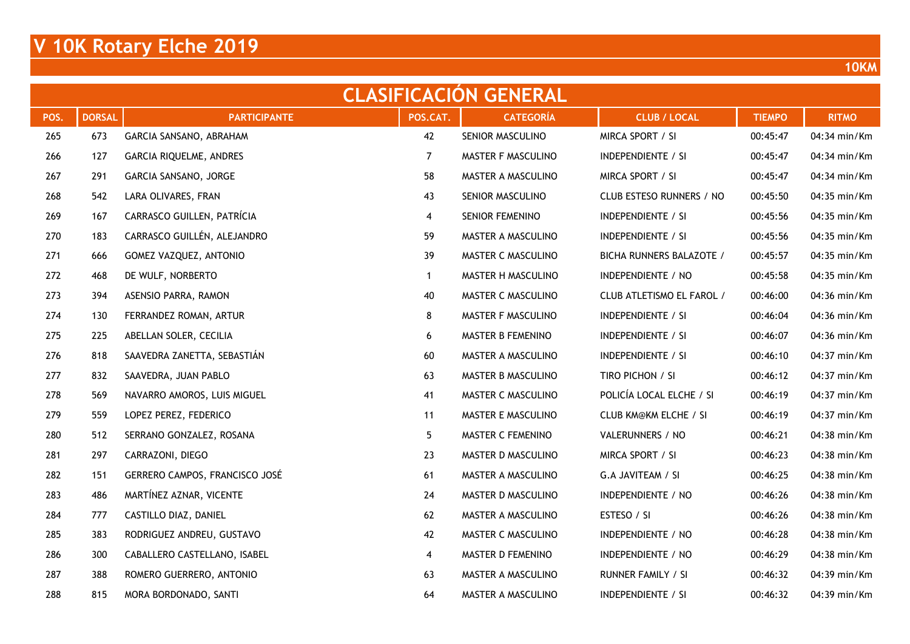|      | <b>CLASIFICACION GENERAL</b> |                                |              |                    |                              |               |              |  |  |  |  |  |  |
|------|------------------------------|--------------------------------|--------------|--------------------|------------------------------|---------------|--------------|--|--|--|--|--|--|
| POS. | <b>DORSAL</b>                | <b>PARTICIPANTE</b>            | POS.CAT.     | <b>CATEGORÍA</b>   | <b>CLUB / LOCAL</b>          | <b>TIEMPO</b> | <b>RITMO</b> |  |  |  |  |  |  |
| 265  | 673                          | GARCIA SANSANO, ABRAHAM        | 42           | SENIOR MASCULINO   | MIRCA SPORT / SI             | 00:45:47      | 04:34 min/Km |  |  |  |  |  |  |
| 266  | 127                          | GARCIA RIQUELME, ANDRES        | 7            | MASTER F MASCULINO | <b>INDEPENDIENTE / SI</b>    | 00:45:47      | 04:34 min/Km |  |  |  |  |  |  |
| 267  | 291                          | GARCIA SANSANO, JORGE          | 58           | MASTER A MASCULINO | MIRCA SPORT / SI             | 00:45:47      | 04:34 min/Km |  |  |  |  |  |  |
| 268  | 542                          | LARA OLIVARES, FRAN            | 43           | SENIOR MASCULINO   | CLUB ESTESO RUNNERS / NO     | 00:45:50      | 04:35 min/Km |  |  |  |  |  |  |
| 269  | 167                          | CARRASCO GUILLEN, PATRÍCIA     | 4            | SENIOR FEMENINO    | INDEPENDIENTE / SI           | 00:45:56      | 04:35 min/Km |  |  |  |  |  |  |
| 270  | 183                          | CARRASCO GUILLÉN, ALEJANDRO    | 59           | MASTER A MASCULINO | <b>INDEPENDIENTE / SI</b>    | 00:45:56      | 04:35 min/Km |  |  |  |  |  |  |
| 271  | 666                          | GOMEZ VAZQUEZ, ANTONIO         | 39           | MASTER C MASCULINO | BICHA RUNNERS BALAZOTE /     | 00:45:57      | 04:35 min/Km |  |  |  |  |  |  |
| 272  | 468                          | DE WULF, NORBERTO              | $\mathbf{1}$ | MASTER H MASCULINO | INDEPENDIENTE / NO           | 00:45:58      | 04:35 min/Km |  |  |  |  |  |  |
| 273  | 394                          | ASENSIO PARRA, RAMON           | 40           | MASTER C MASCULINO | CLUB ATLETISMO EL FAROL /    | 00:46:00      | 04:36 min/Km |  |  |  |  |  |  |
| 274  | 130                          | FERRANDEZ ROMAN, ARTUR         | 8            | MASTER F MASCULINO | INDEPENDIENTE / SI           | 00:46:04      | 04:36 min/Km |  |  |  |  |  |  |
| 275  | 225                          | ABELLAN SOLER, CECILIA         | 6            | MASTER B FEMENINO  | INDEPENDIENTE / SI           | 00:46:07      | 04:36 min/Km |  |  |  |  |  |  |
| 276  | 818                          | SAAVEDRA ZANETTA, SEBASTIÁN    | 60           | MASTER A MASCULINO | <b>INDEPENDIENTE / SI</b>    | 00:46:10      | 04:37 min/Km |  |  |  |  |  |  |
| 277  | 832                          | SAAVEDRA, JUAN PABLO           | 63           | MASTER B MASCULINO | TIRO PICHON / SI             | 00:46:12      | 04:37 min/Km |  |  |  |  |  |  |
| 278  | 569                          | NAVARRO AMOROS, LUIS MIGUEL    | 41           | MASTER C MASCULINO | POLICÍA LOCAL ELCHE / SI     | 00:46:19      | 04:37 min/Km |  |  |  |  |  |  |
| 279  | 559                          | LOPEZ PEREZ, FEDERICO          | 11           | MASTER E MASCULINO | <b>CLUB KM@KM ELCHE / SI</b> | 00:46:19      | 04:37 min/Km |  |  |  |  |  |  |
| 280  | 512                          | SERRANO GONZALEZ, ROSANA       | 5            | MASTER C FEMENINO  | VALERUNNERS / NO             | 00:46:21      | 04:38 min/Km |  |  |  |  |  |  |
| 281  | 297                          | CARRAZONI, DIEGO               | 23           | MASTER D MASCULINO | MIRCA SPORT / SI             | 00:46:23      | 04:38 min/Km |  |  |  |  |  |  |
| 282  | 151                          | GERRERO CAMPOS, FRANCISCO JOSÉ | 61           | MASTER A MASCULINO | G.A JAVITEAM / SI            | 00:46:25      | 04:38 min/Km |  |  |  |  |  |  |
| 283  | 486                          | MARTÍNEZ AZNAR, VICENTE        | 24           | MASTER D MASCULINO | INDEPENDIENTE / NO           | 00:46:26      | 04:38 min/Km |  |  |  |  |  |  |
| 284  | 777                          | CASTILLO DIAZ, DANIEL          | 62           | MASTER A MASCULINO | ESTESO / SI                  | 00:46:26      | 04:38 min/Km |  |  |  |  |  |  |
| 285  | 383                          | RODRIGUEZ ANDREU, GUSTAVO      | 42           | MASTER C MASCULINO | INDEPENDIENTE / NO           | 00:46:28      | 04:38 min/Km |  |  |  |  |  |  |
| 286  | 300                          | CABALLERO CASTELLANO, ISABEL   | 4            | MASTER D FEMENINO  | INDEPENDIENTE / NO           | 00:46:29      | 04:38 min/Km |  |  |  |  |  |  |
| 287  | 388                          | ROMERO GUERRERO, ANTONIO       | 63           | MASTER A MASCULINO | <b>RUNNER FAMILY / SI</b>    | 00:46:32      | 04:39 min/Km |  |  |  |  |  |  |
| 288  | 815                          | MORA BORDONADO, SANTI          | 64           | MASTER A MASCULINO | <b>INDEPENDIENTE / SI</b>    | 00:46:32      | 04:39 min/Km |  |  |  |  |  |  |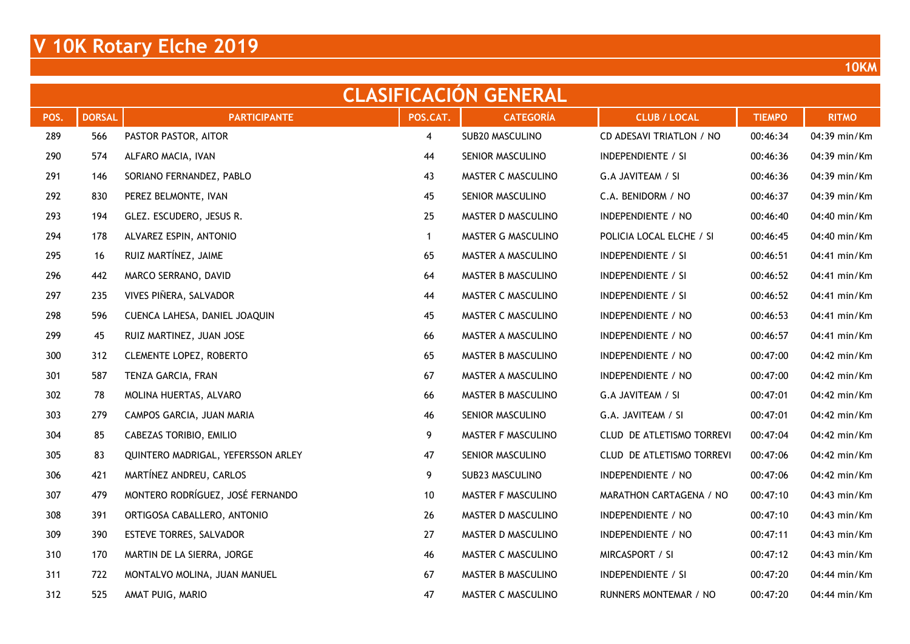|      | <b>CLASIFICACIÓN GENERAL</b> |                                    |              |                    |                           |               |              |  |  |  |  |  |  |
|------|------------------------------|------------------------------------|--------------|--------------------|---------------------------|---------------|--------------|--|--|--|--|--|--|
| POS. | <b>DORSAL</b>                | <b>PARTICIPANTE</b>                | POS.CAT.     | <b>CATEGORÍA</b>   | <b>CLUB / LOCAL</b>       | <b>TIEMPO</b> | <b>RITMO</b> |  |  |  |  |  |  |
| 289  | 566                          | PASTOR PASTOR, AITOR               | 4            | SUB20 MASCULINO    | CD ADESAVI TRIATLON / NO  | 00:46:34      | 04:39 min/Km |  |  |  |  |  |  |
| 290  | 574                          | ALFARO MACIA, IVAN                 | 44           | SENIOR MASCULINO   | <b>INDEPENDIENTE / SI</b> | 00:46:36      | 04:39 min/Km |  |  |  |  |  |  |
| 291  | 146                          | SORIANO FERNANDEZ, PABLO           | 43           | MASTER C MASCULINO | G.A JAVITEAM / SI         | 00:46:36      | 04:39 min/Km |  |  |  |  |  |  |
| 292  | 830                          | PEREZ BELMONTE, IVAN               | 45           | SENIOR MASCULINO   | C.A. BENIDORM / NO        | 00:46:37      | 04:39 min/Km |  |  |  |  |  |  |
| 293  | 194                          | GLEZ. ESCUDERO, JESUS R.           | 25           | MASTER D MASCULINO | INDEPENDIENTE / NO        | 00:46:40      | 04:40 min/Km |  |  |  |  |  |  |
| 294  | 178                          | ALVAREZ ESPIN, ANTONIO             | $\mathbf{1}$ | MASTER G MASCULINO | POLICIA LOCAL ELCHE / SI  | 00:46:45      | 04:40 min/Km |  |  |  |  |  |  |
| 295  | 16                           | RUIZ MARTÍNEZ, JAIME               | 65           | MASTER A MASCULINO | <b>INDEPENDIENTE / SI</b> | 00:46:51      | 04:41 min/Km |  |  |  |  |  |  |
| 296  | 442                          | MARCO SERRANO, DAVID               | 64           | MASTER B MASCULINO | INDEPENDIENTE / SI        | 00:46:52      | 04:41 min/Km |  |  |  |  |  |  |
| 297  | 235                          | VIVES PIÑERA, SALVADOR             | 44           | MASTER C MASCULINO | <b>INDEPENDIENTE / SI</b> | 00:46:52      | 04:41 min/Km |  |  |  |  |  |  |
| 298  | 596                          | CUENCA LAHESA, DANIEL JOAQUIN      | 45           | MASTER C MASCULINO | INDEPENDIENTE / NO        | 00:46:53      | 04:41 min/Km |  |  |  |  |  |  |
| 299  | 45                           | RUIZ MARTINEZ, JUAN JOSE           | 66           | MASTER A MASCULINO | INDEPENDIENTE / NO        | 00:46:57      | 04:41 min/Km |  |  |  |  |  |  |
| 300  | 312                          | <b>CLEMENTE LOPEZ, ROBERTO</b>     | 65           | MASTER B MASCULINO | INDEPENDIENTE / NO        | 00:47:00      | 04:42 min/Km |  |  |  |  |  |  |
| 301  | 587                          | TENZA GARCIA, FRAN                 | 67           | MASTER A MASCULINO | INDEPENDIENTE / NO        | 00:47:00      | 04:42 min/Km |  |  |  |  |  |  |
| 302  | 78                           | MOLINA HUERTAS, ALVARO             | 66           | MASTER B MASCULINO | G.A JAVITEAM / SI         | 00:47:01      | 04:42 min/Km |  |  |  |  |  |  |
| 303  | 279                          | CAMPOS GARCIA, JUAN MARIA          | 46           | SENIOR MASCULINO   | G.A. JAVITEAM / SI        | 00:47:01      | 04:42 min/Km |  |  |  |  |  |  |
| 304  | 85                           | CABEZAS TORIBIO, EMILIO            | 9            | MASTER F MASCULINO | CLUD DE ATLETISMO TORREVI | 00:47:04      | 04:42 min/Km |  |  |  |  |  |  |
| 305  | 83                           | QUINTERO MADRIGAL, YEFERSSON ARLEY | 47           | SENIOR MASCULINO   | CLUD DE ATLETISMO TORREVI | 00:47:06      | 04:42 min/Km |  |  |  |  |  |  |
| 306  | 421                          | MARTÍNEZ ANDREU, CARLOS            | 9            | SUB23 MASCULINO    | INDEPENDIENTE / NO        | 00:47:06      | 04:42 min/Km |  |  |  |  |  |  |
| 307  | 479                          | MONTERO RODRÍGUEZ, JOSÉ FERNANDO   | 10           | MASTER F MASCULINO | MARATHON CARTAGENA / NO   | 00:47:10      | 04:43 min/Km |  |  |  |  |  |  |
| 308  | 391                          | ORTIGOSA CABALLERO, ANTONIO        | 26           | MASTER D MASCULINO | INDEPENDIENTE / NO        | 00:47:10      | 04:43 min/Km |  |  |  |  |  |  |
| 309  | 390                          | <b>ESTEVE TORRES, SALVADOR</b>     | 27           | MASTER D MASCULINO | INDEPENDIENTE / NO        | 00:47:11      | 04:43 min/Km |  |  |  |  |  |  |
| 310  | 170                          | MARTIN DE LA SIERRA, JORGE         | 46           | MASTER C MASCULINO | MIRCASPORT / SI           | 00:47:12      | 04:43 min/Km |  |  |  |  |  |  |
| 311  | 722                          | MONTALVO MOLINA, JUAN MANUEL       | 67           | MASTER B MASCULINO | <b>INDEPENDIENTE / SI</b> | 00:47:20      | 04:44 min/Km |  |  |  |  |  |  |
| 312  | 525                          | AMAT PUIG, MARIO                   | 47           | MASTER C MASCULINO | RUNNERS MONTEMAR / NO     | 00:47:20      | 04:44 min/Km |  |  |  |  |  |  |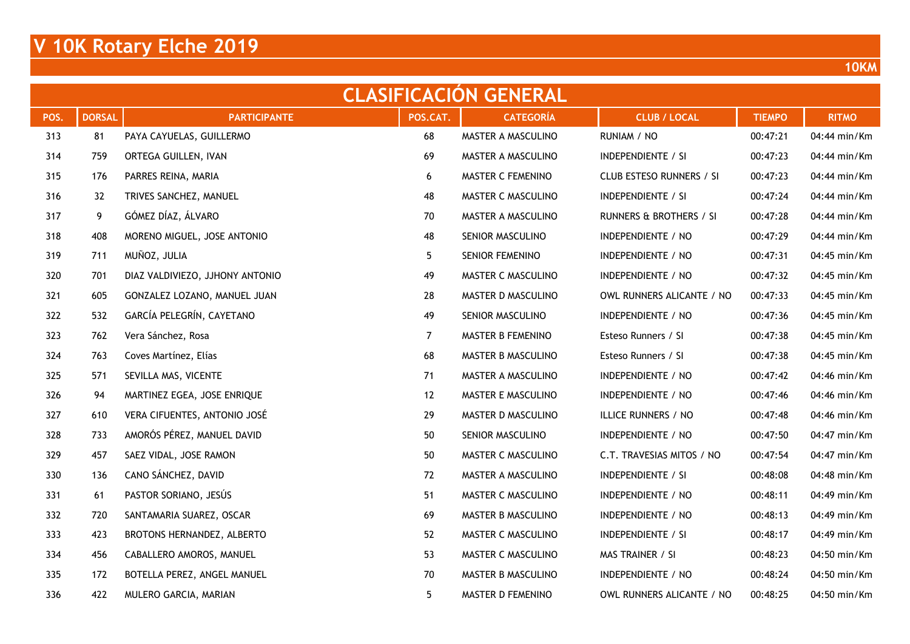|      | <b>CLASIFICACION GENERAL</b> |                                 |          |                    |                           |               |              |  |  |  |  |  |  |
|------|------------------------------|---------------------------------|----------|--------------------|---------------------------|---------------|--------------|--|--|--|--|--|--|
| POS. | <b>DORSAL</b>                | <b>PARTICIPANTE</b>             | POS.CAT. | <b>CATEGORÍA</b>   | <b>CLUB / LOCAL</b>       | <b>TIEMPO</b> | <b>RITMO</b> |  |  |  |  |  |  |
| 313  | 81                           | PAYA CAYUELAS, GUILLERMO        | 68       | MASTER A MASCULINO | RUNIAM / NO               | 00:47:21      | 04:44 min/Km |  |  |  |  |  |  |
| 314  | 759                          | ORTEGA GUILLEN, IVAN            | 69       | MASTER A MASCULINO | <b>INDEPENDIENTE / SI</b> | 00:47:23      | 04:44 min/Km |  |  |  |  |  |  |
| 315  | 176                          | PARRES REINA, MARIA             | 6        | MASTER C FEMENINO  | CLUB ESTESO RUNNERS / SI  | 00:47:23      | 04:44 min/Km |  |  |  |  |  |  |
| 316  | 32                           | TRIVES SANCHEZ, MANUEL          | 48       | MASTER C MASCULINO | <b>INDEPENDIENTE / SI</b> | 00:47:24      | 04:44 min/Km |  |  |  |  |  |  |
| 317  | 9                            | GÓMEZ DÍAZ, ÁLVARO              | 70       | MASTER A MASCULINO | RUNNERS & BROTHERS / SI   | 00:47:28      | 04:44 min/Km |  |  |  |  |  |  |
| 318  | 408                          | MORENO MIGUEL, JOSE ANTONIO     | 48       | SENIOR MASCULINO   | INDEPENDIENTE / NO        | 00:47:29      | 04:44 min/Km |  |  |  |  |  |  |
| 319  | 711                          | MUÑOZ, JULIA                    | 5        | SENIOR FEMENINO    | INDEPENDIENTE / NO        | 00:47:31      | 04:45 min/Km |  |  |  |  |  |  |
| 320  | 701                          | DIAZ VALDIVIEZO, JJHONY ANTONIO | 49       | MASTER C MASCULINO | INDEPENDIENTE / NO        | 00:47:32      | 04:45 min/Km |  |  |  |  |  |  |
| 321  | 605                          | GONZALEZ LOZANO, MANUEL JUAN    | 28       | MASTER D MASCULINO | OWL RUNNERS ALICANTE / NO | 00:47:33      | 04:45 min/Km |  |  |  |  |  |  |
| 322  | 532                          | GARCÍA PELEGRÍN, CAYETANO       | 49       | SENIOR MASCULINO   | INDEPENDIENTE / NO        | 00:47:36      | 04:45 min/Km |  |  |  |  |  |  |
| 323  | 762                          | Vera Sánchez, Rosa              | 7        | MASTER B FEMENINO  | Esteso Runners / SI       | 00:47:38      | 04:45 min/Km |  |  |  |  |  |  |
| 324  | 763                          | Coves Martínez, Elías           | 68       | MASTER B MASCULINO | Esteso Runners / SI       | 00:47:38      | 04:45 min/Km |  |  |  |  |  |  |
| 325  | 571                          | SEVILLA MAS, VICENTE            | 71       | MASTER A MASCULINO | INDEPENDIENTE / NO        | 00:47:42      | 04:46 min/Km |  |  |  |  |  |  |
| 326  | 94                           | MARTINEZ EGEA, JOSE ENRIQUE     | 12       | MASTER E MASCULINO | INDEPENDIENTE / NO        | 00:47:46      | 04:46 min/Km |  |  |  |  |  |  |
| 327  | 610                          | VERA CIFUENTES, ANTONIO JOSÉ    | 29       | MASTER D MASCULINO | ILLICE RUNNERS / NO       | 00:47:48      | 04:46 min/Km |  |  |  |  |  |  |
| 328  | 733                          | AMORÓS PÉREZ, MANUEL DAVID      | 50       | SENIOR MASCULINO   | INDEPENDIENTE / NO        | 00:47:50      | 04:47 min/Km |  |  |  |  |  |  |
| 329  | 457                          | SAEZ VIDAL, JOSE RAMON          | 50       | MASTER C MASCULINO | C.T. TRAVESIAS MITOS / NO | 00:47:54      | 04:47 min/Km |  |  |  |  |  |  |
| 330  | 136                          | CANO SÁNCHEZ, DAVID             | 72       | MASTER A MASCULINO | <b>INDEPENDIENTE / SI</b> | 00:48:08      | 04:48 min/Km |  |  |  |  |  |  |
| 331  | 61                           | PASTOR SORIANO, JESÚS           | 51       | MASTER C MASCULINO | INDEPENDIENTE / NO        | 00:48:11      | 04:49 min/Km |  |  |  |  |  |  |
| 332  | 720                          | SANTAMARIA SUAREZ, OSCAR        | 69       | MASTER B MASCULINO | INDEPENDIENTE / NO        | 00:48:13      | 04:49 min/Km |  |  |  |  |  |  |
| 333  | 423                          | BROTONS HERNANDEZ, ALBERTO      | 52       | MASTER C MASCULINO | <b>INDEPENDIENTE / SI</b> | 00:48:17      | 04:49 min/Km |  |  |  |  |  |  |
| 334  | 456                          | CABALLERO AMOROS, MANUEL        | 53       | MASTER C MASCULINO | MAS TRAINER / SI          | 00:48:23      | 04:50 min/Km |  |  |  |  |  |  |
| 335  | 172                          | BOTELLA PEREZ, ANGEL MANUEL     | 70       | MASTER B MASCULINO | INDEPENDIENTE / NO        | 00:48:24      | 04:50 min/Km |  |  |  |  |  |  |
| 336  | 422                          | MULERO GARCIA, MARIAN           | 5        | MASTER D FEMENINO  | OWL RUNNERS ALICANTE / NO | 00:48:25      | 04:50 min/Km |  |  |  |  |  |  |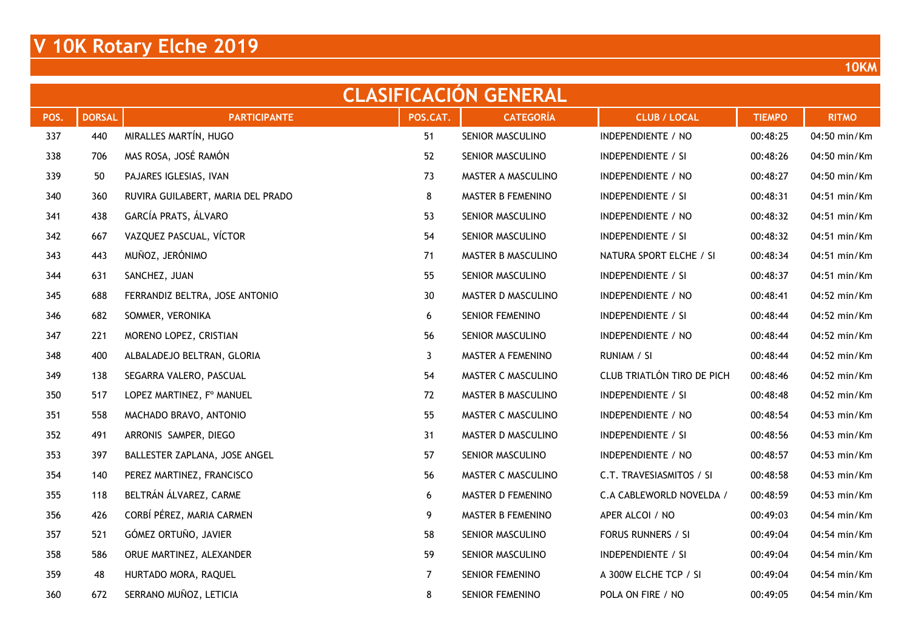|      | <b>CLASIFICACION GENERAL</b> |                                   |          |                        |                            |               |              |  |  |  |  |  |  |
|------|------------------------------|-----------------------------------|----------|------------------------|----------------------------|---------------|--------------|--|--|--|--|--|--|
| POS. | <b>DORSAL</b>                | <b>PARTICIPANTE</b>               | POS.CAT. | <b>CATEGORÍA</b>       | <b>CLUB / LOCAL</b>        | <b>TIEMPO</b> | <b>RITMO</b> |  |  |  |  |  |  |
| 337  | 440                          | MIRALLES MARTÍN, HUGO             | 51       | SENIOR MASCULINO       | INDEPENDIENTE / NO         | 00:48:25      | 04:50 min/Km |  |  |  |  |  |  |
| 338  | 706                          | MAS ROSA, JOSÉ RAMÓN              | 52       | SENIOR MASCULINO       | <b>INDEPENDIENTE / SI</b>  | 00:48:26      | 04:50 min/Km |  |  |  |  |  |  |
| 339  | 50                           | PAJARES IGLESIAS, IVAN            | 73       | MASTER A MASCULINO     | INDEPENDIENTE / NO         | 00:48:27      | 04:50 min/Km |  |  |  |  |  |  |
| 340  | 360                          | RUVIRA GUILABERT, MARIA DEL PRADO | 8        | MASTER B FEMENINO      | INDEPENDIENTE / SI         | 00:48:31      | 04:51 min/Km |  |  |  |  |  |  |
| 341  | 438                          | GARCÍA PRATS, ÁLVARO              | 53       | SENIOR MASCULINO       | INDEPENDIENTE / NO         | 00:48:32      | 04:51 min/Km |  |  |  |  |  |  |
| 342  | 667                          | VAZQUEZ PASCUAL, VÍCTOR           | 54       | SENIOR MASCULINO       | INDEPENDIENTE / SI         | 00:48:32      | 04:51 min/Km |  |  |  |  |  |  |
| 343  | 443                          | MUÑOZ, JERÓNIMO                   | 71       | MASTER B MASCULINO     | NATURA SPORT ELCHE / SI    | 00:48:34      | 04:51 min/Km |  |  |  |  |  |  |
| 344  | 631                          | SANCHEZ, JUAN                     | 55       | SENIOR MASCULINO       | <b>INDEPENDIENTE / SI</b>  | 00:48:37      | 04:51 min/Km |  |  |  |  |  |  |
| 345  | 688                          | FERRANDIZ BELTRA, JOSE ANTONIO    | 30       | MASTER D MASCULINO     | INDEPENDIENTE / NO         | 00:48:41      | 04:52 min/Km |  |  |  |  |  |  |
| 346  | 682                          | SOMMER, VERONIKA                  | 6        | <b>SENIOR FEMENINO</b> | INDEPENDIENTE / SI         | 00:48:44      | 04:52 min/Km |  |  |  |  |  |  |
| 347  | 221                          | MORENO LOPEZ, CRISTIAN            | 56       | SENIOR MASCULINO       | INDEPENDIENTE / NO         | 00:48:44      | 04:52 min/Km |  |  |  |  |  |  |
| 348  | 400                          | ALBALADEJO BELTRAN, GLORIA        | 3        | MASTER A FEMENINO      | RUNIAM / SI                | 00:48:44      | 04:52 min/Km |  |  |  |  |  |  |
| 349  | 138                          | SEGARRA VALERO, PASCUAL           | 54       | MASTER C MASCULINO     | CLUB TRIATLÓN TIRO DE PICH | 00:48:46      | 04:52 min/Km |  |  |  |  |  |  |
| 350  | 517                          | LOPEZ MARTINEZ, F° MANUEL         | 72       | MASTER B MASCULINO     | INDEPENDIENTE / SI         | 00:48:48      | 04:52 min/Km |  |  |  |  |  |  |
| 351  | 558                          | MACHADO BRAVO, ANTONIO            | 55       | MASTER C MASCULINO     | INDEPENDIENTE / NO         | 00:48:54      | 04:53 min/Km |  |  |  |  |  |  |
| 352  | 491                          | ARRONIS SAMPER, DIEGO             | 31       | MASTER D MASCULINO     | INDEPENDIENTE / SI         | 00:48:56      | 04:53 min/Km |  |  |  |  |  |  |
| 353  | 397                          | BALLESTER ZAPLANA, JOSE ANGEL     | 57       | SENIOR MASCULINO       | INDEPENDIENTE / NO         | 00:48:57      | 04:53 min/Km |  |  |  |  |  |  |
| 354  | 140                          | PEREZ MARTINEZ, FRANCISCO         | 56       | MASTER C MASCULINO     | C.T. TRAVESIASMITOS / SI   | 00:48:58      | 04:53 min/Km |  |  |  |  |  |  |
| 355  | 118                          | BELTRÁN ÁLVAREZ, CARME            | 6        | MASTER D FEMENINO      | C.A CABLEWORLD NOVELDA /   | 00:48:59      | 04:53 min/Km |  |  |  |  |  |  |
| 356  | 426                          | CORBÍ PÉREZ, MARIA CARMEN         | 9        | MASTER B FEMENINO      | APER ALCOI / NO            | 00:49:03      | 04:54 min/Km |  |  |  |  |  |  |
| 357  | 521                          | GÓMEZ ORTUÑO, JAVIER              | 58       | SENIOR MASCULINO       | FORUS RUNNERS / SI         | 00:49:04      | 04:54 min/Km |  |  |  |  |  |  |
| 358  | 586                          | ORUE MARTINEZ, ALEXANDER          | 59       | SENIOR MASCULINO       | INDEPENDIENTE / SI         | 00:49:04      | 04:54 min/Km |  |  |  |  |  |  |
| 359  | 48                           | HURTADO MORA, RAQUEL              | 7        | SENIOR FEMENINO        | A 300W ELCHE TCP / SI      | 00:49:04      | 04:54 min/Km |  |  |  |  |  |  |
| 360  | 672                          | SERRANO MUÑOZ, LETICIA            | 8        | <b>SENIOR FEMENINO</b> | POLA ON FIRE / NO          | 00:49:05      | 04:54 min/Km |  |  |  |  |  |  |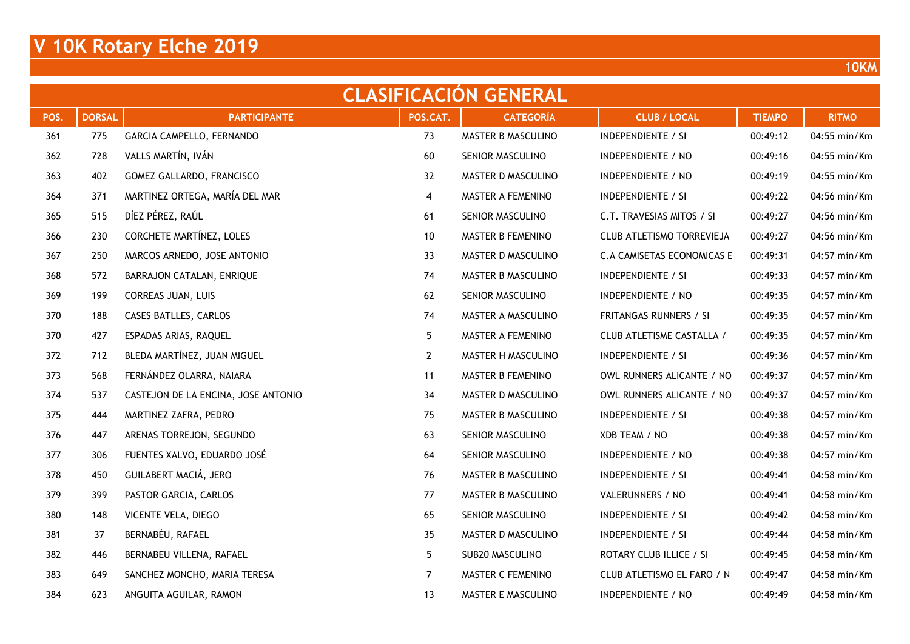| <b>CLASIFICACION GENERAL</b> |               |                                     |              |                    |                            |               |              |  |  |  |  |  |
|------------------------------|---------------|-------------------------------------|--------------|--------------------|----------------------------|---------------|--------------|--|--|--|--|--|
| POS.                         | <b>DORSAL</b> | <b>PARTICIPANTE</b>                 | POS.CAT.     | <b>CATEGORÍA</b>   | <b>CLUB / LOCAL</b>        | <b>TIEMPO</b> | <b>RITMO</b> |  |  |  |  |  |
| 361                          | 775           | GARCIA CAMPELLO, FERNANDO           | 73           | MASTER B MASCULINO | INDEPENDIENTE / SI         | 00:49:12      | 04:55 min/Km |  |  |  |  |  |
| 362                          | 728           | VALLS MARTÍN, IVÁN                  | 60           | SENIOR MASCULINO   | INDEPENDIENTE / NO         | 00:49:16      | 04:55 min/Km |  |  |  |  |  |
| 363                          | 402           | GOMEZ GALLARDO, FRANCISCO           | 32           | MASTER D MASCULINO | INDEPENDIENTE / NO         | 00:49:19      | 04:55 min/Km |  |  |  |  |  |
| 364                          | 371           | MARTINEZ ORTEGA, MARÍA DEL MAR      | 4            | MASTER A FEMENINO  | INDEPENDIENTE / SI         | 00:49:22      | 04:56 min/Km |  |  |  |  |  |
| 365                          | 515           | DÍEZ PÉREZ, RAÚL                    | 61           | SENIOR MASCULINO   | C.T. TRAVESIAS MITOS / SI  | 00:49:27      | 04:56 min/Km |  |  |  |  |  |
| 366                          | 230           | CORCHETE MARTÍNEZ, LOLES            | 10           | MASTER B FEMENINO  | CLUB ATLETISMO TORREVIEJA  | 00:49:27      | 04:56 min/Km |  |  |  |  |  |
| 367                          | 250           | MARCOS ARNEDO, JOSE ANTONIO         | 33           | MASTER D MASCULINO | C.A CAMISETAS ECONOMICAS E | 00:49:31      | 04:57 min/Km |  |  |  |  |  |
| 368                          | 572           | BARRAJON CATALAN, ENRIQUE           | 74           | MASTER B MASCULINO | INDEPENDIENTE / SI         | 00:49:33      | 04:57 min/Km |  |  |  |  |  |
| 369                          | 199           | <b>CORREAS JUAN, LUIS</b>           | 62           | SENIOR MASCULINO   | INDEPENDIENTE / NO         | 00:49:35      | 04:57 min/Km |  |  |  |  |  |
| 370                          | 188           | CASES BATLLES, CARLOS               | 74           | MASTER A MASCULINO | FRITANGAS RUNNERS / SI     | 00:49:35      | 04:57 min/Km |  |  |  |  |  |
| 370                          | 427           | ESPADAS ARIAS, RAQUEL               | 5            | MASTER A FEMENINO  | CLUB ATLETISME CASTALLA /  | 00:49:35      | 04:57 min/Km |  |  |  |  |  |
| 372                          | 712           | BLEDA MARTÍNEZ, JUAN MIGUEL         | $\mathbf{2}$ | MASTER H MASCULINO | INDEPENDIENTE / SI         | 00:49:36      | 04:57 min/Km |  |  |  |  |  |
| 373                          | 568           | FERNÁNDEZ OLARRA, NAIARA            | 11           | MASTER B FEMENINO  | OWL RUNNERS ALICANTE / NO  | 00:49:37      | 04:57 min/Km |  |  |  |  |  |
| 374                          | 537           | CASTEJON DE LA ENCINA, JOSE ANTONIO | 34           | MASTER D MASCULINO | OWL RUNNERS ALICANTE / NO  | 00:49:37      | 04:57 min/Km |  |  |  |  |  |
| 375                          | 444           | MARTINEZ ZAFRA, PEDRO               | 75           | MASTER B MASCULINO | INDEPENDIENTE / SI         | 00:49:38      | 04:57 min/Km |  |  |  |  |  |
| 376                          | 447           | ARENAS TORREJON, SEGUNDO            | 63           | SENIOR MASCULINO   | XDB TEAM / NO              | 00:49:38      | 04:57 min/Km |  |  |  |  |  |
| 377                          | 306           | FUENTES XALVO, EDUARDO JOSÉ         | 64           | SENIOR MASCULINO   | INDEPENDIENTE / NO         | 00:49:38      | 04:57 min/Km |  |  |  |  |  |
| 378                          | 450           | GUILABERT MACIÁ, JERO               | 76           | MASTER B MASCULINO | <b>INDEPENDIENTE / SI</b>  | 00:49:41      | 04:58 min/Km |  |  |  |  |  |
| 379                          | 399           | PASTOR GARCIA, CARLOS               | 77           | MASTER B MASCULINO | VALERUNNERS / NO           | 00:49:41      | 04:58 min/Km |  |  |  |  |  |
| 380                          | 148           | VICENTE VELA, DIEGO                 | 65           | SENIOR MASCULINO   | INDEPENDIENTE / SI         | 00:49:42      | 04:58 min/Km |  |  |  |  |  |
| 381                          | 37            | BERNABÉU, RAFAEL                    | 35           | MASTER D MASCULINO | INDEPENDIENTE / SI         | 00:49:44      | 04:58 min/Km |  |  |  |  |  |
| 382                          | 446           | BERNABEU VILLENA, RAFAEL            | 5            | SUB20 MASCULINO    | ROTARY CLUB ILLICE / SI    | 00:49:45      | 04:58 min/Km |  |  |  |  |  |
| 383                          | 649           | SANCHEZ MONCHO, MARIA TERESA        | 7            | MASTER C FEMENINO  | CLUB ATLETISMO EL FARO / N | 00:49:47      | 04:58 min/Km |  |  |  |  |  |
| 384                          | 623           | ANGUITA AGUILAR, RAMON              | 13           | MASTER E MASCULINO | INDEPENDIENTE / NO         | 00:49:49      | 04:58 min/Km |  |  |  |  |  |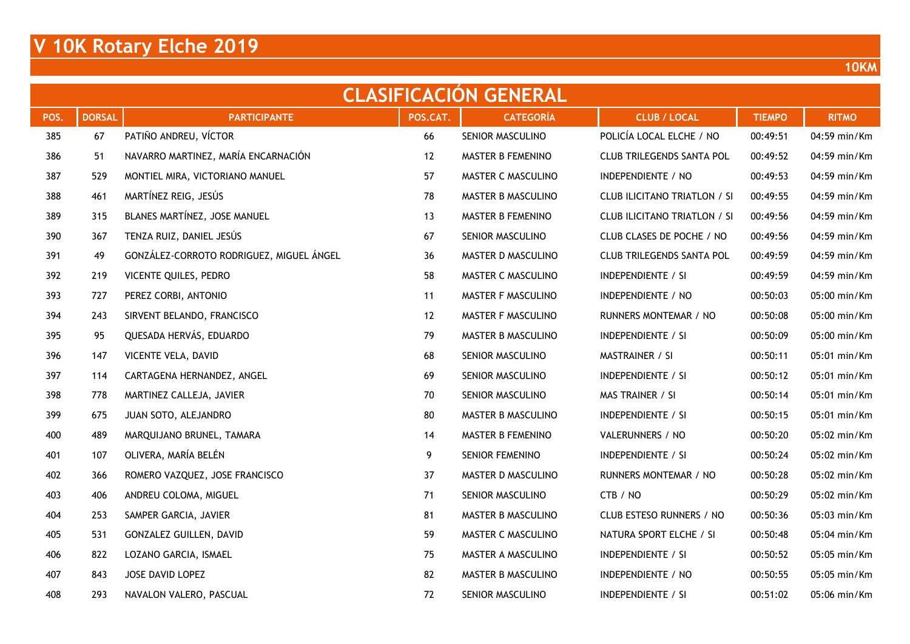|      | <b>CLASIFICACION GENERAL</b> |                                          |          |                    |                                     |               |              |  |  |  |  |  |  |
|------|------------------------------|------------------------------------------|----------|--------------------|-------------------------------------|---------------|--------------|--|--|--|--|--|--|
| POS. | <b>DORSAL</b>                | <b>PARTICIPANTE</b>                      | POS.CAT. | <b>CATEGORÍA</b>   | <b>CLUB / LOCAL</b>                 | <b>TIEMPO</b> | <b>RITMO</b> |  |  |  |  |  |  |
| 385  | 67                           | PATIÑO ANDREU, VÍCTOR                    | 66       | SENIOR MASCULINO   | POLICÍA LOCAL ELCHE / NO            | 00:49:51      | 04:59 min/Km |  |  |  |  |  |  |
| 386  | 51                           | NAVARRO MARTINEZ, MARÍA ENCARNACIÓN      | 12       | MASTER B FEMENINO  | <b>CLUB TRILEGENDS SANTA POL</b>    | 00:49:52      | 04:59 min/Km |  |  |  |  |  |  |
| 387  | 529                          | MONTIEL MIRA, VICTORIANO MANUEL          | 57       | MASTER C MASCULINO | INDEPENDIENTE / NO                  | 00:49:53      | 04:59 min/Km |  |  |  |  |  |  |
| 388  | 461                          | MARTÍNEZ REIG, JESÚS                     | 78       | MASTER B MASCULINO | <b>CLUB ILICITANO TRIATLON / SI</b> | 00:49:55      | 04:59 min/Km |  |  |  |  |  |  |
| 389  | 315                          | BLANES MARTÍNEZ, JOSE MANUEL             | 13       | MASTER B FEMENINO  | <b>CLUB ILICITANO TRIATLON / SI</b> | 00:49:56      | 04:59 min/Km |  |  |  |  |  |  |
| 390  | 367                          | TENZA RUIZ, DANIEL JESÚS                 | 67       | SENIOR MASCULINO   | CLUB CLASES DE POCHE / NO           | 00:49:56      | 04:59 min/Km |  |  |  |  |  |  |
| 391  | 49                           | GONZÁLEZ-CORROTO RODRIGUEZ, MIGUEL ÁNGEL | 36       | MASTER D MASCULINO | CLUB TRILEGENDS SANTA POL           | 00:49:59      | 04:59 min/Km |  |  |  |  |  |  |
| 392  | 219                          | VICENTE QUILES, PEDRO                    | 58       | MASTER C MASCULINO | <b>INDEPENDIENTE / SI</b>           | 00:49:59      | 04:59 min/Km |  |  |  |  |  |  |
| 393  | 727                          | PEREZ CORBI, ANTONIO                     | 11       | MASTER F MASCULINO | INDEPENDIENTE / NO                  | 00:50:03      | 05:00 min/Km |  |  |  |  |  |  |
| 394  | 243                          | SIRVENT BELANDO, FRANCISCO               | 12       | MASTER F MASCULINO | RUNNERS MONTEMAR / NO               | 00:50:08      | 05:00 min/Km |  |  |  |  |  |  |
| 395  | 95                           | QUESADA HERVÁS, EDUARDO                  | 79       | MASTER B MASCULINO | <b>INDEPENDIENTE / SI</b>           | 00:50:09      | 05:00 min/Km |  |  |  |  |  |  |
| 396  | 147                          | VICENTE VELA, DAVID                      | 68       | SENIOR MASCULINO   | MASTRAINER / SI                     | 00:50:11      | 05:01 min/Km |  |  |  |  |  |  |
| 397  | 114                          | CARTAGENA HERNANDEZ, ANGEL               | 69       | SENIOR MASCULINO   | <b>INDEPENDIENTE / SI</b>           | 00:50:12      | 05:01 min/Km |  |  |  |  |  |  |
| 398  | 778                          | MARTINEZ CALLEJA, JAVIER                 | 70       | SENIOR MASCULINO   | MAS TRAINER / SI                    | 00:50:14      | 05:01 min/Km |  |  |  |  |  |  |
| 399  | 675                          | JUAN SOTO, ALEJANDRO                     | 80       | MASTER B MASCULINO | <b>INDEPENDIENTE / SI</b>           | 00:50:15      | 05:01 min/Km |  |  |  |  |  |  |
| 400  | 489                          | MARQUIJANO BRUNEL, TAMARA                | 14       | MASTER B FEMENINO  | VALERUNNERS / NO                    | 00:50:20      | 05:02 min/Km |  |  |  |  |  |  |
| 401  | 107                          | OLIVERA, MARÍA BELÉN                     | 9        | SENIOR FEMENINO    | <b>INDEPENDIENTE / SI</b>           | 00:50:24      | 05:02 min/Km |  |  |  |  |  |  |
| 402  | 366                          | ROMERO VAZQUEZ, JOSE FRANCISCO           | 37       | MASTER D MASCULINO | RUNNERS MONTEMAR / NO               | 00:50:28      | 05:02 min/Km |  |  |  |  |  |  |
| 403  | 406                          | ANDREU COLOMA, MIGUEL                    | 71       | SENIOR MASCULINO   | CTB / NO                            | 00:50:29      | 05:02 min/Km |  |  |  |  |  |  |
| 404  | 253                          | SAMPER GARCIA, JAVIER                    | 81       | MASTER B MASCULINO | CLUB ESTESO RUNNERS / NO            | 00:50:36      | 05:03 min/Km |  |  |  |  |  |  |
| 405  | 531                          | GONZALEZ GUILLEN, DAVID                  | 59       | MASTER C MASCULINO | NATURA SPORT ELCHE / SI             | 00:50:48      | 05:04 min/Km |  |  |  |  |  |  |
| 406  | 822                          | LOZANO GARCIA, ISMAEL                    | 75       | MASTER A MASCULINO | <b>INDEPENDIENTE / SI</b>           | 00:50:52      | 05:05 min/Km |  |  |  |  |  |  |
| 407  | 843                          | JOSE DAVID LOPEZ                         | 82       | MASTER B MASCULINO | INDEPENDIENTE / NO                  | 00:50:55      | 05:05 min/Km |  |  |  |  |  |  |
| 408  | 293                          | NAVALON VALERO, PASCUAL                  | 72       | SENIOR MASCULINO   | <b>INDEPENDIENTE / SI</b>           | 00:51:02      | 05:06 min/Km |  |  |  |  |  |  |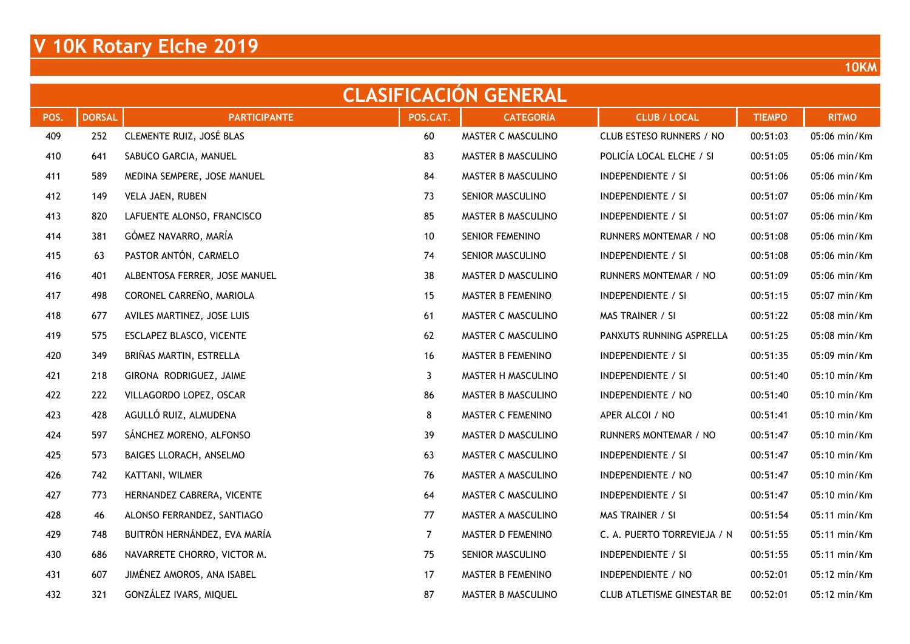|      | <b>CLASIFICACION GENERAL</b> |                               |                |                        |                                   |               |              |  |  |  |  |  |  |
|------|------------------------------|-------------------------------|----------------|------------------------|-----------------------------------|---------------|--------------|--|--|--|--|--|--|
| POS. | <b>DORSAL</b>                | <b>PARTICIPANTE</b>           | POS.CAT.       | <b>CATEGORÍA</b>       | <b>CLUB / LOCAL</b>               | <b>TIEMPO</b> | <b>RITMO</b> |  |  |  |  |  |  |
| 409  | 252                          | CLEMENTE RUIZ, JOSÉ BLAS      | 60             | MASTER C MASCULINO     | CLUB ESTESO RUNNERS / NO          | 00:51:03      | 05:06 min/Km |  |  |  |  |  |  |
| 410  | 641                          | SABUCO GARCIA, MANUEL         | 83             | MASTER B MASCULINO     | POLICÍA LOCAL ELCHE / SI          | 00:51:05      | 05:06 min/Km |  |  |  |  |  |  |
| 411  | 589                          | MEDINA SEMPERE, JOSE MANUEL   | 84             | MASTER B MASCULINO     | <b>INDEPENDIENTE / SI</b>         | 00:51:06      | 05:06 min/Km |  |  |  |  |  |  |
| 412  | 149                          | VELA JAEN, RUBEN              | 73             | SENIOR MASCULINO       | <b>INDEPENDIENTE / SI</b>         | 00:51:07      | 05:06 min/Km |  |  |  |  |  |  |
| 413  | 820                          | LAFUENTE ALONSO, FRANCISCO    | 85             | MASTER B MASCULINO     | <b>INDEPENDIENTE / SI</b>         | 00:51:07      | 05:06 min/Km |  |  |  |  |  |  |
| 414  | 381                          | GÓMEZ NAVARRO, MARÍA          | 10             | <b>SENIOR FEMENINO</b> | RUNNERS MONTEMAR / NO             | 00:51:08      | 05:06 min/Km |  |  |  |  |  |  |
| 415  | 63                           | PASTOR ANTÓN, CARMELO         | 74             | SENIOR MASCULINO       | <b>INDEPENDIENTE / SI</b>         | 00:51:08      | 05:06 min/Km |  |  |  |  |  |  |
| 416  | 401                          | ALBENTOSA FERRER, JOSE MANUEL | 38             | MASTER D MASCULINO     | RUNNERS MONTEMAR / NO             | 00:51:09      | 05:06 min/Km |  |  |  |  |  |  |
| 417  | 498                          | CORONEL CARREÑO, MARIOLA      | 15             | MASTER B FEMENINO      | <b>INDEPENDIENTE / SI</b>         | 00:51:15      | 05:07 min/Km |  |  |  |  |  |  |
| 418  | 677                          | AVILES MARTINEZ, JOSE LUIS    | 61             | MASTER C MASCULINO     | MAS TRAINER / SI                  | 00:51:22      | 05:08 min/Km |  |  |  |  |  |  |
| 419  | 575                          | ESCLAPEZ BLASCO, VICENTE      | 62             | MASTER C MASCULINO     | PANXUTS RUNNING ASPRELLA          | 00:51:25      | 05:08 min/Km |  |  |  |  |  |  |
| 420  | 349                          | BRIÑAS MARTIN, ESTRELLA       | 16             | MASTER B FEMENINO      | <b>INDEPENDIENTE / SI</b>         | 00:51:35      | 05:09 min/Km |  |  |  |  |  |  |
| 421  | 218                          | GIRONA RODRIGUEZ, JAIME       | 3              | MASTER H MASCULINO     | <b>INDEPENDIENTE / SI</b>         | 00:51:40      | 05:10 min/Km |  |  |  |  |  |  |
| 422  | 222                          | VILLAGORDO LOPEZ, OSCAR       | 86             | MASTER B MASCULINO     | INDEPENDIENTE / NO                | 00:51:40      | 05:10 min/Km |  |  |  |  |  |  |
| 423  | 428                          | AGULLÓ RUIZ, ALMUDENA         | 8              | MASTER C FEMENINO      | APER ALCOI / NO                   | 00:51:41      | 05:10 min/Km |  |  |  |  |  |  |
| 424  | 597                          | SÁNCHEZ MORENO, ALFONSO       | 39             | MASTER D MASCULINO     | RUNNERS MONTEMAR / NO             | 00:51:47      | 05:10 min/Km |  |  |  |  |  |  |
| 425  | 573                          | BAIGES LLORACH, ANSELMO       | 63             | MASTER C MASCULINO     | INDEPENDIENTE / SI                | 00:51:47      | 05:10 min/Km |  |  |  |  |  |  |
| 426  | 742                          | KATTANI, WILMER               | 76             | MASTER A MASCULINO     | INDEPENDIENTE / NO                | 00:51:47      | 05:10 min/Km |  |  |  |  |  |  |
| 427  | 773                          | HERNANDEZ CABRERA, VICENTE    | 64             | MASTER C MASCULINO     | INDEPENDIENTE / SI                | 00:51:47      | 05:10 min/Km |  |  |  |  |  |  |
| 428  | 46                           | ALONSO FERRANDEZ, SANTIAGO    | 77             | MASTER A MASCULINO     | MAS TRAINER / SI                  | 00:51:54      | 05:11 min/Km |  |  |  |  |  |  |
| 429  | 748                          | BUITRÓN HERNÁNDEZ, EVA MARÍA  | $\overline{7}$ | MASTER D FEMENINO      | C. A. PUERTO TORREVIEJA / N       | 00:51:55      | 05:11 min/Km |  |  |  |  |  |  |
| 430  | 686                          | NAVARRETE CHORRO, VICTOR M.   | 75             | SENIOR MASCULINO       | INDEPENDIENTE / SI                | 00:51:55      | 05:11 min/Km |  |  |  |  |  |  |
| 431  | 607                          | JIMÉNEZ AMOROS, ANA ISABEL    | 17             | MASTER B FEMENINO      | INDEPENDIENTE / NO                | 00:52:01      | 05:12 min/Km |  |  |  |  |  |  |
| 432  | 321                          | GONZÁLEZ IVARS, MIQUEL        | 87             | MASTER B MASCULINO     | <b>CLUB ATLETISME GINESTAR BE</b> | 00:52:01      | 05:12 min/Km |  |  |  |  |  |  |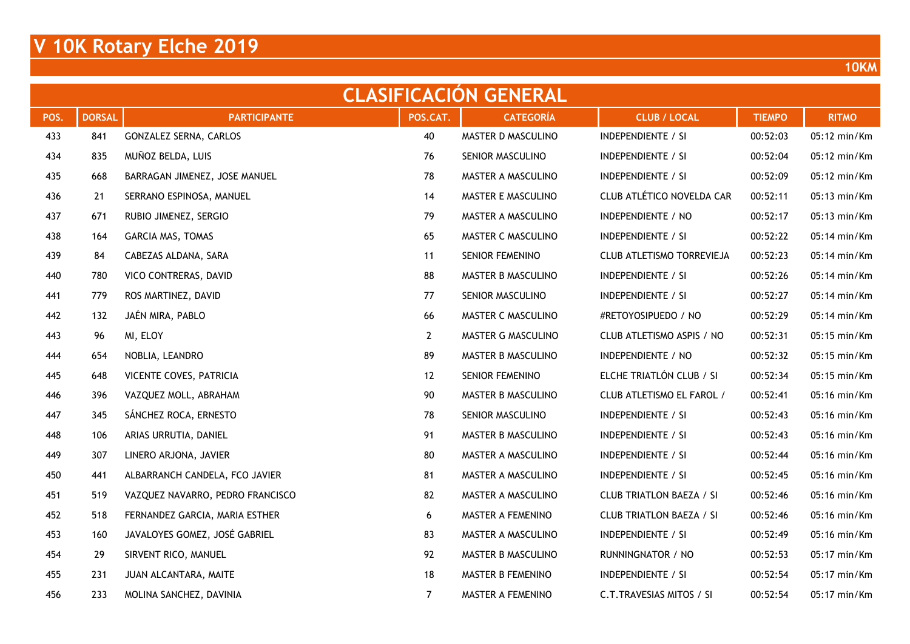|      | <b>CLASIFICACION GENERAL</b> |                                  |                |                        |                                 |               |                        |  |  |  |  |  |  |
|------|------------------------------|----------------------------------|----------------|------------------------|---------------------------------|---------------|------------------------|--|--|--|--|--|--|
| POS. | <b>DORSAL</b>                | <b>PARTICIPANTE</b>              | POS.CAT.       | <b>CATEGORÍA</b>       | <b>CLUB / LOCAL</b>             | <b>TIEMPO</b> | <b>RITMO</b>           |  |  |  |  |  |  |
| 433  | 841                          | GONZALEZ SERNA, CARLOS           | 40             | MASTER D MASCULINO     | INDEPENDIENTE / SI              | 00:52:03      | 05:12 min/Km           |  |  |  |  |  |  |
| 434  | 835                          | MUÑOZ BELDA, LUIS                | 76             | SENIOR MASCULINO       | <b>INDEPENDIENTE / SI</b>       | 00:52:04      | 05:12 min/Km           |  |  |  |  |  |  |
| 435  | 668                          | BARRAGAN JIMENEZ, JOSE MANUEL    | 78             | MASTER A MASCULINO     | <b>INDEPENDIENTE / SI</b>       | 00:52:09      | 05:12 min/Km           |  |  |  |  |  |  |
| 436  | 21                           | SERRANO ESPINOSA, MANUEL         | 14             | MASTER E MASCULINO     | CLUB ATLÉTICO NOVELDA CAR       | 00:52:11      | 05:13 min/Km           |  |  |  |  |  |  |
| 437  | 671                          | RUBIO JIMENEZ, SERGIO            | 79             | MASTER A MASCULINO     | INDEPENDIENTE / NO              | 00:52:17      | 05:13 min/Km           |  |  |  |  |  |  |
| 438  | 164                          | GARCIA MAS, TOMAS                | 65             | MASTER C MASCULINO     | INDEPENDIENTE / SI              | 00:52:22      | 05:14 min/Km           |  |  |  |  |  |  |
| 439  | 84                           | CABEZAS ALDANA, SARA             | 11             | SENIOR FEMENINO        | CLUB ATLETISMO TORREVIEJA       | 00:52:23      | 05:14 min/Km           |  |  |  |  |  |  |
| 440  | 780                          | VICO CONTRERAS, DAVID            | 88             | MASTER B MASCULINO     | INDEPENDIENTE / SI              | 00:52:26      | 05:14 min/Km           |  |  |  |  |  |  |
| 441  | 779                          | ROS MARTINEZ, DAVID              | 77             | SENIOR MASCULINO       | INDEPENDIENTE / SI              | 00:52:27      | 05:14 min/Km           |  |  |  |  |  |  |
| 442  | 132                          | JAÉN MIRA, PABLO                 | 66             | MASTER C MASCULINO     | #RETOYOSIPUEDO / NO             | 00:52:29      | 05:14 min/Km           |  |  |  |  |  |  |
| 443  | 96                           | MI, ELOY                         | $\mathbf{2}$   | MASTER G MASCULINO     | CLUB ATLETISMO ASPIS / NO       | 00:52:31      | 05:15 min/Km           |  |  |  |  |  |  |
| 444  | 654                          | NOBLIA, LEANDRO                  | 89             | MASTER B MASCULINO     | INDEPENDIENTE / NO              | 00:52:32      | 05:15 min/Km           |  |  |  |  |  |  |
| 445  | 648                          | VICENTE COVES, PATRICIA          | 12             | <b>SENIOR FEMENINO</b> | ELCHE TRIATLÓN CLUB / SI        | 00:52:34      | 05:15 min/Km           |  |  |  |  |  |  |
| 446  | 396                          | VAZQUEZ MOLL, ABRAHAM            | 90             | MASTER B MASCULINO     | CLUB ATLETISMO EL FAROL /       | 00:52:41      | $05:16 \text{ min/Km}$ |  |  |  |  |  |  |
| 447  | 345                          | SÁNCHEZ ROCA, ERNESTO            | 78             | SENIOR MASCULINO       | <b>INDEPENDIENTE / SI</b>       | 00:52:43      | 05:16 min/Km           |  |  |  |  |  |  |
| 448  | 106                          | ARIAS URRUTIA, DANIEL            | 91             | MASTER B MASCULINO     | <b>INDEPENDIENTE / SI</b>       | 00:52:43      | 05:16 min/Km           |  |  |  |  |  |  |
| 449  | 307                          | LINERO ARJONA, JAVIER            | 80             | MASTER A MASCULINO     | INDEPENDIENTE / SI              | 00:52:44      | 05:16 min/Km           |  |  |  |  |  |  |
| 450  | 441                          | ALBARRANCH CANDELA, FCO JAVIER   | 81             | MASTER A MASCULINO     | <b>INDEPENDIENTE / SI</b>       | 00:52:45      | 05:16 min/Km           |  |  |  |  |  |  |
| 451  | 519                          | VAZQUEZ NAVARRO, PEDRO FRANCISCO | 82             | MASTER A MASCULINO     | <b>CLUB TRIATLON BAEZA / SI</b> | 00:52:46      | 05:16 min/Km           |  |  |  |  |  |  |
| 452  | 518                          | FERNANDEZ GARCIA, MARIA ESTHER   | 6              | MASTER A FEMENINO      | <b>CLUB TRIATLON BAEZA / SI</b> | 00:52:46      | 05:16 min/Km           |  |  |  |  |  |  |
| 453  | 160                          | JAVALOYES GOMEZ, JOSÉ GABRIEL    | 83             | MASTER A MASCULINO     | INDEPENDIENTE / SI              | 00:52:49      | 05:16 min/Km           |  |  |  |  |  |  |
| 454  | 29                           | SIRVENT RICO, MANUEL             | 92             | MASTER B MASCULINO     | RUNNINGNATOR / NO               | 00:52:53      | 05:17 min/Km           |  |  |  |  |  |  |
| 455  | 231                          | JUAN ALCANTARA, MAITE            | 18             | MASTER B FEMENINO      | <b>INDEPENDIENTE / SI</b>       | 00:52:54      | 05:17 min/Km           |  |  |  |  |  |  |
| 456  | 233                          | MOLINA SANCHEZ, DAVINIA          | $\overline{7}$ | MASTER A FEMENINO      | C.T.TRAVESIAS MITOS / SI        | 00:52:54      | 05:17 min/Km           |  |  |  |  |  |  |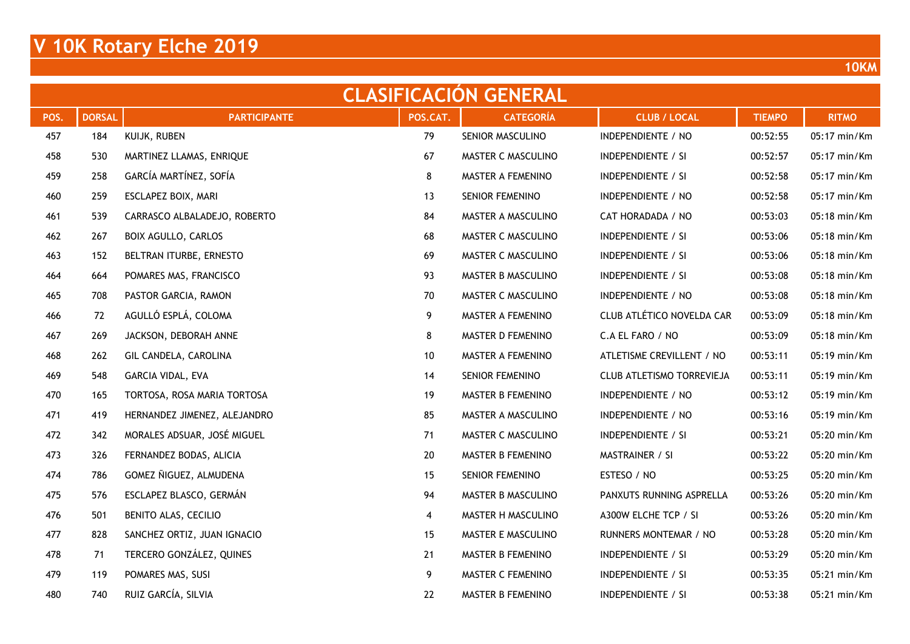| <b>CLASIFICACION GENERAL</b> |               |                              |                         |                        |                           |               |              |  |  |  |  |  |
|------------------------------|---------------|------------------------------|-------------------------|------------------------|---------------------------|---------------|--------------|--|--|--|--|--|
| POS.                         | <b>DORSAL</b> | <b>PARTICIPANTE</b>          | POS.CAT.                | <b>CATEGORÍA</b>       | <b>CLUB / LOCAL</b>       | <b>TIEMPO</b> | <b>RITMO</b> |  |  |  |  |  |
| 457                          | 184           | KUIJK, RUBEN                 | 79                      | SENIOR MASCULINO       | INDEPENDIENTE / NO        | 00:52:55      | 05:17 min/Km |  |  |  |  |  |
| 458                          | 530           | MARTINEZ LLAMAS, ENRIQUE     | 67                      | MASTER C MASCULINO     | <b>INDEPENDIENTE / SI</b> | 00:52:57      | 05:17 min/Km |  |  |  |  |  |
| 459                          | 258           | GARCÍA MARTÍNEZ, SOFÍA       | 8                       | MASTER A FEMENINO      | <b>INDEPENDIENTE / SI</b> | 00:52:58      | 05:17 min/Km |  |  |  |  |  |
| 460                          | 259           | ESCLAPEZ BOIX, MARI          | 13                      | SENIOR FEMENINO        | INDEPENDIENTE / NO        | 00:52:58      | 05:17 min/Km |  |  |  |  |  |
| 461                          | 539           | CARRASCO ALBALADEJO, ROBERTO | 84                      | MASTER A MASCULINO     | CAT HORADADA / NO         | 00:53:03      | 05:18 min/Km |  |  |  |  |  |
| 462                          | 267           | <b>BOIX AGULLO, CARLOS</b>   | 68                      | MASTER C MASCULINO     | <b>INDEPENDIENTE / SI</b> | 00:53:06      | 05:18 min/Km |  |  |  |  |  |
| 463                          | 152           | BELTRAN ITURBE, ERNESTO      | 69                      | MASTER C MASCULINO     | <b>INDEPENDIENTE / SI</b> | 00:53:06      | 05:18 min/Km |  |  |  |  |  |
| 464                          | 664           | POMARES MAS, FRANCISCO       | 93                      | MASTER B MASCULINO     | <b>INDEPENDIENTE / SI</b> | 00:53:08      | 05:18 min/Km |  |  |  |  |  |
| 465                          | 708           | PASTOR GARCIA, RAMON         | 70                      | MASTER C MASCULINO     | INDEPENDIENTE / NO        | 00:53:08      | 05:18 min/Km |  |  |  |  |  |
| 466                          | 72            | AGULLÓ ESPLÁ, COLOMA         | 9                       | MASTER A FEMENINO      | CLUB ATLÉTICO NOVELDA CAR | 00:53:09      | 05:18 min/Km |  |  |  |  |  |
| 467                          | 269           | JACKSON, DEBORAH ANNE        | 8                       | MASTER D FEMENINO      | C.A EL FARO / NO          | 00:53:09      | 05:18 min/Km |  |  |  |  |  |
| 468                          | 262           | GIL CANDELA, CAROLINA        | 10                      | MASTER A FEMENINO      | ATLETISME CREVILLENT / NO | 00:53:11      | 05:19 min/Km |  |  |  |  |  |
| 469                          | 548           | GARCIA VIDAL, EVA            | 14                      | <b>SENIOR FEMENINO</b> | CLUB ATLETISMO TORREVIEJA | 00:53:11      | 05:19 min/Km |  |  |  |  |  |
| 470                          | 165           | TORTOSA, ROSA MARIA TORTOSA  | 19                      | MASTER B FEMENINO      | INDEPENDIENTE / NO        | 00:53:12      | 05:19 min/Km |  |  |  |  |  |
| 471                          | 419           | HERNANDEZ JIMENEZ, ALEJANDRO | 85                      | MASTER A MASCULINO     | INDEPENDIENTE / NO        | 00:53:16      | 05:19 min/Km |  |  |  |  |  |
| 472                          | 342           | MORALES ADSUAR, JOSÉ MIGUEL  | 71                      | MASTER C MASCULINO     | <b>INDEPENDIENTE / SI</b> | 00:53:21      | 05:20 min/Km |  |  |  |  |  |
| 473                          | 326           | FERNANDEZ BODAS, ALICIA      | 20                      | MASTER B FEMENINO      | MASTRAINER / SI           | 00:53:22      | 05:20 min/Km |  |  |  |  |  |
| 474                          | 786           | GOMEZ ÑIGUEZ, ALMUDENA       | 15                      | SENIOR FEMENINO        | ESTESO / NO               | 00:53:25      | 05:20 min/Km |  |  |  |  |  |
| 475                          | 576           | ESCLAPEZ BLASCO, GERMÁN      | 94                      | MASTER B MASCULINO     | PANXUTS RUNNING ASPRELLA  | 00:53:26      | 05:20 min/Km |  |  |  |  |  |
| 476                          | 501           | BENITO ALAS, CECILIO         | $\overline{\mathbf{4}}$ | MASTER H MASCULINO     | A300W ELCHE TCP / SI      | 00:53:26      | 05:20 min/Km |  |  |  |  |  |
| 477                          | 828           | SANCHEZ ORTIZ, JUAN IGNACIO  | 15                      | MASTER E MASCULINO     | RUNNERS MONTEMAR / NO     | 00:53:28      | 05:20 min/Km |  |  |  |  |  |
| 478                          | 71            | TERCERO GONZÁLEZ, QUINES     | 21                      | MASTER B FEMENINO      | INDEPENDIENTE / SI        | 00:53:29      | 05:20 min/Km |  |  |  |  |  |
| 479                          | 119           | POMARES MAS, SUSI            | 9                       | MASTER C FEMENINO      | INDEPENDIENTE / SI        | 00:53:35      | 05:21 min/Km |  |  |  |  |  |
| 480                          | 740           | RUIZ GARCÍA, SILVIA          | 22                      | MASTER B FEMENINO      | <b>INDEPENDIENTE / SI</b> | 00:53:38      | 05:21 min/Km |  |  |  |  |  |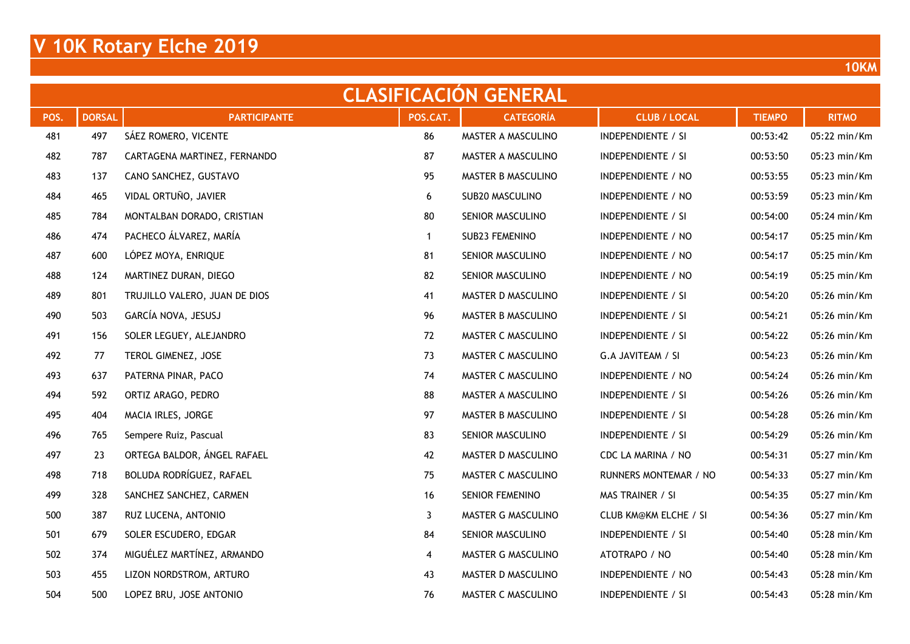| <b>CLASIFICACION GENERAL</b> |               |                               |              |                    |                              |               |              |  |  |  |  |  |
|------------------------------|---------------|-------------------------------|--------------|--------------------|------------------------------|---------------|--------------|--|--|--|--|--|
| POS.                         | <b>DORSAL</b> | <b>PARTICIPANTE</b>           | POS.CAT.     | <b>CATEGORÍA</b>   | <b>CLUB / LOCAL</b>          | <b>TIEMPO</b> | <b>RITMO</b> |  |  |  |  |  |
| 481                          | 497           | SÁEZ ROMERO, VICENTE          | 86           | MASTER A MASCULINO | INDEPENDIENTE / SI           | 00:53:42      | 05:22 min/Km |  |  |  |  |  |
| 482                          | 787           | CARTAGENA MARTINEZ, FERNANDO  | 87           | MASTER A MASCULINO | <b>INDEPENDIENTE / SI</b>    | 00:53:50      | 05:23 min/Km |  |  |  |  |  |
| 483                          | 137           | CANO SANCHEZ, GUSTAVO         | 95           | MASTER B MASCULINO | INDEPENDIENTE / NO           | 00:53:55      | 05:23 min/Km |  |  |  |  |  |
| 484                          | 465           | VIDAL ORTUÑO, JAVIER          | 6            | SUB20 MASCULINO    | INDEPENDIENTE / NO           | 00:53:59      | 05:23 min/Km |  |  |  |  |  |
| 485                          | 784           | MONTALBAN DORADO, CRISTIAN    | 80           | SENIOR MASCULINO   | <b>INDEPENDIENTE / SI</b>    | 00:54:00      | 05:24 min/Km |  |  |  |  |  |
| 486                          | 474           | PACHECO ÁLVAREZ, MARÍA        | $\mathbf{1}$ | SUB23 FEMENINO     | INDEPENDIENTE / NO           | 00:54:17      | 05:25 min/Km |  |  |  |  |  |
| 487                          | 600           | LÓPEZ MOYA, ENRIQUE           | 81           | SENIOR MASCULINO   | INDEPENDIENTE / NO           | 00:54:17      | 05:25 min/Km |  |  |  |  |  |
| 488                          | 124           | MARTINEZ DURAN, DIEGO         | 82           | SENIOR MASCULINO   | INDEPENDIENTE / NO           | 00:54:19      | 05:25 min/Km |  |  |  |  |  |
| 489                          | 801           | TRUJILLO VALERO, JUAN DE DIOS | 41           | MASTER D MASCULINO | <b>INDEPENDIENTE / SI</b>    | 00:54:20      | 05:26 min/Km |  |  |  |  |  |
| 490                          | 503           | GARCÍA NOVA, JESUSJ           | 96           | MASTER B MASCULINO | INDEPENDIENTE / SI           | 00:54:21      | 05:26 min/Km |  |  |  |  |  |
| 491                          | 156           | SOLER LEGUEY, ALEJANDRO       | 72           | MASTER C MASCULINO | <b>INDEPENDIENTE / SI</b>    | 00:54:22      | 05:26 min/Km |  |  |  |  |  |
| 492                          | 77            | TEROL GIMENEZ, JOSE           | 73           | MASTER C MASCULINO | G.A JAVITEAM / SI            | 00:54:23      | 05:26 min/Km |  |  |  |  |  |
| 493                          | 637           | PATERNA PINAR, PACO           | 74           | MASTER C MASCULINO | INDEPENDIENTE / NO           | 00:54:24      | 05:26 min/Km |  |  |  |  |  |
| 494                          | 592           | ORTIZ ARAGO, PEDRO            | 88           | MASTER A MASCULINO | INDEPENDIENTE / SI           | 00:54:26      | 05:26 min/Km |  |  |  |  |  |
| 495                          | 404           | MACIA IRLES, JORGE            | 97           | MASTER B MASCULINO | <b>INDEPENDIENTE / SI</b>    | 00:54:28      | 05:26 min/Km |  |  |  |  |  |
| 496                          | 765           | Sempere Ruiz, Pascual         | 83           | SENIOR MASCULINO   | <b>INDEPENDIENTE / SI</b>    | 00:54:29      | 05:26 min/Km |  |  |  |  |  |
| 497                          | 23            | ORTEGA BALDOR, ÁNGEL RAFAEL   | 42           | MASTER D MASCULINO | CDC LA MARINA / NO           | 00:54:31      | 05:27 min/Km |  |  |  |  |  |
| 498                          | 718           | BOLUDA RODRÍGUEZ, RAFAEL      | 75           | MASTER C MASCULINO | RUNNERS MONTEMAR / NO        | 00:54:33      | 05:27 min/Km |  |  |  |  |  |
| 499                          | 328           | SANCHEZ SANCHEZ, CARMEN       | 16           | SENIOR FEMENINO    | MAS TRAINER / SI             | 00:54:35      | 05:27 min/Km |  |  |  |  |  |
| 500                          | 387           | RUZ LUCENA, ANTONIO           | 3            | MASTER G MASCULINO | <b>CLUB KM@KM ELCHE / SI</b> | 00:54:36      | 05:27 min/Km |  |  |  |  |  |
| 501                          | 679           | SOLER ESCUDERO, EDGAR         | 84           | SENIOR MASCULINO   | INDEPENDIENTE / SI           | 00:54:40      | 05:28 min/Km |  |  |  |  |  |
| 502                          | 374           | MIGUÉLEZ MARTÍNEZ, ARMANDO    | 4            | MASTER G MASCULINO | ATOTRAPO / NO                | 00:54:40      | 05:28 min/Km |  |  |  |  |  |
| 503                          | 455           | LIZON NORDSTROM, ARTURO       | 43           | MASTER D MASCULINO | INDEPENDIENTE / NO           | 00:54:43      | 05:28 min/Km |  |  |  |  |  |
| 504                          | 500           | LOPEZ BRU, JOSE ANTONIO       | 76           | MASTER C MASCULINO | <b>INDEPENDIENTE / SI</b>    | 00:54:43      | 05:28 min/Km |  |  |  |  |  |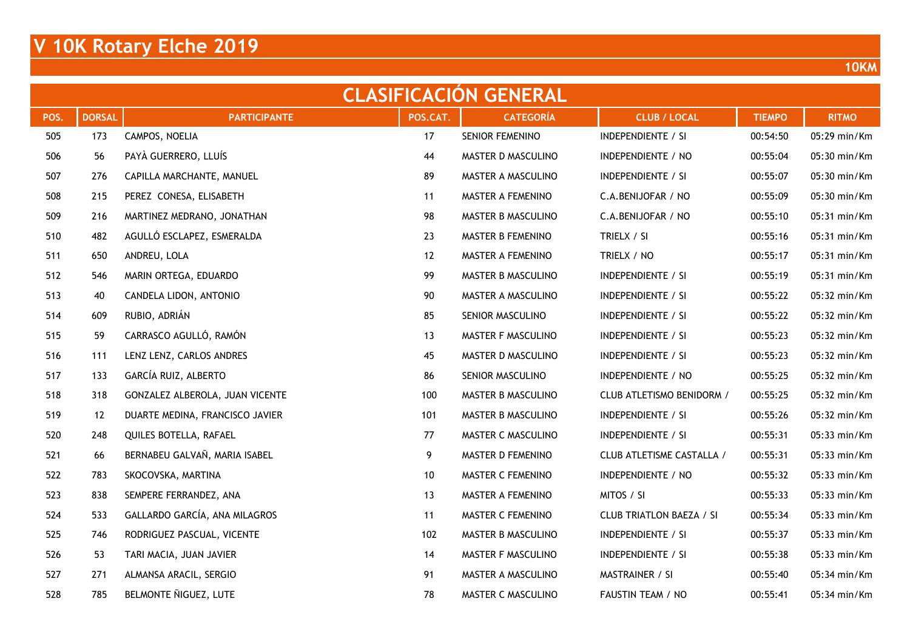|      | <b>CLASIFICACION GENERAL</b> |                                 |          |                    |                                 |               |              |  |  |  |  |  |  |
|------|------------------------------|---------------------------------|----------|--------------------|---------------------------------|---------------|--------------|--|--|--|--|--|--|
| POS. | <b>DORSAL</b>                | <b>PARTICIPANTE</b>             | POS.CAT. | <b>CATEGORÍA</b>   | <b>CLUB / LOCAL</b>             | <b>TIEMPO</b> | <b>RITMO</b> |  |  |  |  |  |  |
| 505  | 173                          | CAMPOS, NOELIA                  | 17       | SENIOR FEMENINO    | <b>INDEPENDIENTE / SI</b>       | 00:54:50      | 05:29 min/Km |  |  |  |  |  |  |
| 506  | 56                           | PAYÀ GUERRERO, LLUÍS            | 44       | MASTER D MASCULINO | INDEPENDIENTE / NO              | 00:55:04      | 05:30 min/Km |  |  |  |  |  |  |
| 507  | 276                          | CAPILLA MARCHANTE, MANUEL       | 89       | MASTER A MASCULINO | <b>INDEPENDIENTE / SI</b>       | 00:55:07      | 05:30 min/Km |  |  |  |  |  |  |
| 508  | 215                          | PEREZ CONESA, ELISABETH         | 11       | MASTER A FEMENINO  | C.A.BENIJOFAR / NO              | 00:55:09      | 05:30 min/Km |  |  |  |  |  |  |
| 509  | 216                          | MARTINEZ MEDRANO, JONATHAN      | 98       | MASTER B MASCULINO | C.A.BENIJOFAR / NO              | 00:55:10      | 05:31 min/Km |  |  |  |  |  |  |
| 510  | 482                          | AGULLÓ ESCLAPEZ, ESMERALDA      | 23       | MASTER B FEMENINO  | TRIELX / SI                     | 00:55:16      | 05:31 min/Km |  |  |  |  |  |  |
| 511  | 650                          | ANDREU, LOLA                    | 12       | MASTER A FEMENINO  | TRIELX / NO                     | 00:55:17      | 05:31 min/Km |  |  |  |  |  |  |
| 512  | 546                          | MARIN ORTEGA, EDUARDO           | 99       | MASTER B MASCULINO | <b>INDEPENDIENTE / SI</b>       | 00:55:19      | 05:31 min/Km |  |  |  |  |  |  |
| 513  | 40                           | CANDELA LIDON, ANTONIO          | 90       | MASTER A MASCULINO | INDEPENDIENTE / SI              | 00:55:22      | 05:32 min/Km |  |  |  |  |  |  |
| 514  | 609                          | RUBIO, ADRIÁN                   | 85       | SENIOR MASCULINO   | INDEPENDIENTE / SI              | 00:55:22      | 05:32 min/Km |  |  |  |  |  |  |
| 515  | 59                           | CARRASCO AGULLÓ, RAMÓN          | 13       | MASTER F MASCULINO | <b>INDEPENDIENTE / SI</b>       | 00:55:23      | 05:32 min/Km |  |  |  |  |  |  |
| 516  | 111                          | LENZ LENZ, CARLOS ANDRES        | 45       | MASTER D MASCULINO | INDEPENDIENTE / SI              | 00:55:23      | 05:32 min/Km |  |  |  |  |  |  |
| 517  | 133                          | GARCÍA RUIZ, ALBERTO            | 86       | SENIOR MASCULINO   | INDEPENDIENTE / NO              | 00:55:25      | 05:32 min/Km |  |  |  |  |  |  |
| 518  | 318                          | GONZALEZ ALBEROLA, JUAN VICENTE | 100      | MASTER B MASCULINO | CLUB ATLETISMO BENIDORM /       | 00:55:25      | 05:32 min/Km |  |  |  |  |  |  |
| 519  | 12                           | DUARTE MEDINA, FRANCISCO JAVIER | 101      | MASTER B MASCULINO | <b>INDEPENDIENTE / SI</b>       | 00:55:26      | 05:32 min/Km |  |  |  |  |  |  |
| 520  | 248                          | QUILES BOTELLA, RAFAEL          | 77       | MASTER C MASCULINO | <b>INDEPENDIENTE / SI</b>       | 00:55:31      | 05:33 min/Km |  |  |  |  |  |  |
| 521  | 66                           | BERNABEU GALVAÑ, MARIA ISABEL   | 9        | MASTER D FEMENINO  | CLUB ATLETISME CASTALLA /       | 00:55:31      | 05:33 min/Km |  |  |  |  |  |  |
| 522  | 783                          | SKOCOVSKA, MARTINA              | 10       | MASTER C FEMENINO  | INDEPENDIENTE / NO              | 00:55:32      | 05:33 min/Km |  |  |  |  |  |  |
| 523  | 838                          | SEMPERE FERRANDEZ, ANA          | 13       | MASTER A FEMENINO  | MITOS / SI                      | 00:55:33      | 05:33 min/Km |  |  |  |  |  |  |
| 524  | 533                          | GALLARDO GARCÍA, ANA MILAGROS   | 11       | MASTER C FEMENINO  | <b>CLUB TRIATLON BAEZA / SI</b> | 00:55:34      | 05:33 min/Km |  |  |  |  |  |  |
| 525  | 746                          | RODRIGUEZ PASCUAL, VICENTE      | 102      | MASTER B MASCULINO | <b>INDEPENDIENTE / SI</b>       | 00:55:37      | 05:33 min/Km |  |  |  |  |  |  |
| 526  | 53                           | TARI MACIA, JUAN JAVIER         | 14       | MASTER F MASCULINO | INDEPENDIENTE / SI              | 00:55:38      | 05:33 min/Km |  |  |  |  |  |  |
| 527  | 271                          | ALMANSA ARACIL, SERGIO          | 91       | MASTER A MASCULINO | MASTRAINER / SI                 | 00:55:40      | 05:34 min/Km |  |  |  |  |  |  |
| 528  | 785                          | BELMONTE ÑIGUEZ, LUTE           | 78       | MASTER C MASCULINO | FAUSTIN TEAM / NO               | 00:55:41      | 05:34 min/Km |  |  |  |  |  |  |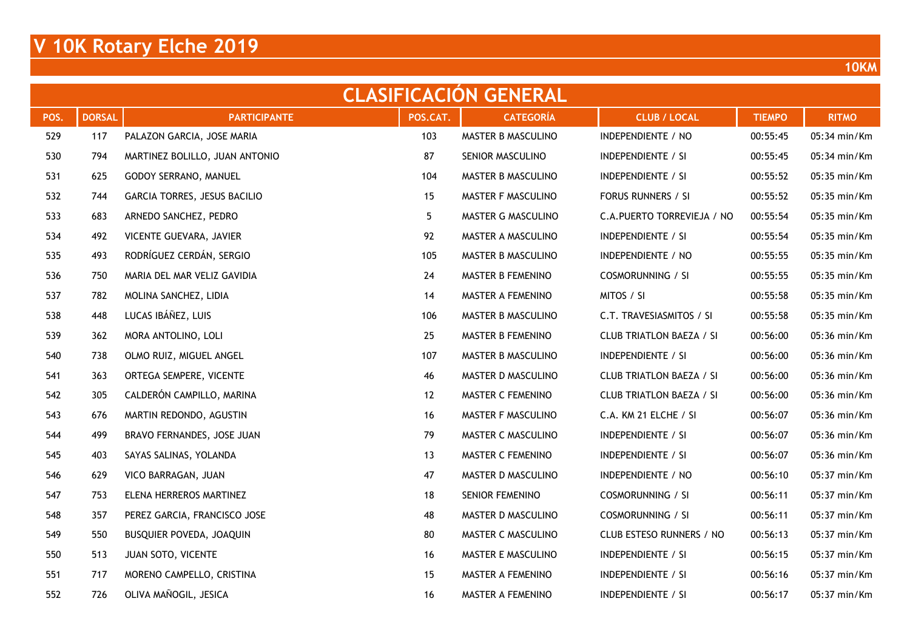| <b>CLASIFICACION GENERAL</b> |               |                                |          |                    |                                 |               |              |  |  |  |  |  |
|------------------------------|---------------|--------------------------------|----------|--------------------|---------------------------------|---------------|--------------|--|--|--|--|--|
| POS.                         | <b>DORSAL</b> | <b>PARTICIPANTE</b>            | POS.CAT. | <b>CATEGORÍA</b>   | <b>CLUB / LOCAL</b>             | <b>TIEMPO</b> | <b>RITMO</b> |  |  |  |  |  |
| 529                          | 117           | PALAZON GARCIA, JOSE MARIA     | 103      | MASTER B MASCULINO | INDEPENDIENTE / NO              | 00:55:45      | 05:34 min/Km |  |  |  |  |  |
| 530                          | 794           | MARTINEZ BOLILLO, JUAN ANTONIO | 87       | SENIOR MASCULINO   | INDEPENDIENTE / SI              | 00:55:45      | 05:34 min/Km |  |  |  |  |  |
| 531                          | 625           | GODOY SERRANO, MANUEL          | 104      | MASTER B MASCULINO | <b>INDEPENDIENTE / SI</b>       | 00:55:52      | 05:35 min/Km |  |  |  |  |  |
| 532                          | 744           | GARCIA TORRES, JESUS BACILIO   | 15       | MASTER F MASCULINO | FORUS RUNNERS / SI              | 00:55:52      | 05:35 min/Km |  |  |  |  |  |
| 533                          | 683           | ARNEDO SANCHEZ, PEDRO          | 5        | MASTER G MASCULINO | C.A. PUERTO TORREVIEJA / NO     | 00:55:54      | 05:35 min/Km |  |  |  |  |  |
| 534                          | 492           | VICENTE GUEVARA, JAVIER        | 92       | MASTER A MASCULINO | <b>INDEPENDIENTE / SI</b>       | 00:55:54      | 05:35 min/Km |  |  |  |  |  |
| 535                          | 493           | RODRÍGUEZ CERDÁN, SERGIO       | 105      | MASTER B MASCULINO | INDEPENDIENTE / NO              | 00:55:55      | 05:35 min/Km |  |  |  |  |  |
| 536                          | 750           | MARIA DEL MAR VELIZ GAVIDIA    | 24       | MASTER B FEMENINO  | <b>COSMORUNNING / SI</b>        | 00:55:55      | 05:35 min/Km |  |  |  |  |  |
| 537                          | 782           | MOLINA SANCHEZ, LIDIA          | 14       | MASTER A FEMENINO  | MITOS / SI                      | 00:55:58      | 05:35 min/Km |  |  |  |  |  |
| 538                          | 448           | LUCAS IBÁÑEZ, LUIS             | 106      | MASTER B MASCULINO | C.T. TRAVESIASMITOS / SI        | 00:55:58      | 05:35 min/Km |  |  |  |  |  |
| 539                          | 362           | MORA ANTOLINO, LOLI            | 25       | MASTER B FEMENINO  | <b>CLUB TRIATLON BAEZA / SI</b> | 00:56:00      | 05:36 min/Km |  |  |  |  |  |
| 540                          | 738           | OLMO RUIZ, MIGUEL ANGEL        | 107      | MASTER B MASCULINO | INDEPENDIENTE / SI              | 00:56:00      | 05:36 min/Km |  |  |  |  |  |
| 541                          | 363           | ORTEGA SEMPERE, VICENTE        | 46       | MASTER D MASCULINO | <b>CLUB TRIATLON BAEZA / SI</b> | 00:56:00      | 05:36 min/Km |  |  |  |  |  |
| 542                          | 305           | CALDERÓN CAMPILLO, MARINA      | 12       | MASTER C FEMENINO  | <b>CLUB TRIATLON BAEZA / SI</b> | 00:56:00      | 05:36 min/Km |  |  |  |  |  |
| 543                          | 676           | MARTIN REDONDO, AGUSTIN        | 16       | MASTER F MASCULINO | C.A. KM 21 ELCHE / SI           | 00:56:07      | 05:36 min/Km |  |  |  |  |  |
| 544                          | 499           | BRAVO FERNANDES, JOSE JUAN     | 79       | MASTER C MASCULINO | INDEPENDIENTE / SI              | 00:56:07      | 05:36 min/Km |  |  |  |  |  |
| 545                          | 403           | SAYAS SALINAS, YOLANDA         | 13       | MASTER C FEMENINO  | INDEPENDIENTE / SI              | 00:56:07      | 05:36 min/Km |  |  |  |  |  |
| 546                          | 629           | VICO BARRAGAN, JUAN            | 47       | MASTER D MASCULINO | INDEPENDIENTE / NO              | 00:56:10      | 05:37 min/Km |  |  |  |  |  |
| 547                          | 753           | ELENA HERREROS MARTINEZ        | 18       | SENIOR FEMENINO    | <b>COSMORUNNING / SI</b>        | 00:56:11      | 05:37 min/Km |  |  |  |  |  |
| 548                          | 357           | PEREZ GARCIA, FRANCISCO JOSE   | 48       | MASTER D MASCULINO | <b>COSMORUNNING / SI</b>        | 00:56:11      | 05:37 min/Km |  |  |  |  |  |
| 549                          | 550           | BUSQUIER POVEDA, JOAQUIN       | 80       | MASTER C MASCULINO | CLUB ESTESO RUNNERS / NO        | 00:56:13      | 05:37 min/Km |  |  |  |  |  |
| 550                          | 513           | JUAN SOTO, VICENTE             | 16       | MASTER E MASCULINO | <b>INDEPENDIENTE / SI</b>       | 00:56:15      | 05:37 min/Km |  |  |  |  |  |
| 551                          | 717           | MORENO CAMPELLO, CRISTINA      | 15       | MASTER A FEMENINO  | <b>INDEPENDIENTE / SI</b>       | 00:56:16      | 05:37 min/Km |  |  |  |  |  |
| 552                          | 726           | OLIVA MAÑOGIL, JESICA          | 16       | MASTER A FEMENINO  | <b>INDEPENDIENTE / SI</b>       | 00:56:17      | 05:37 min/Km |  |  |  |  |  |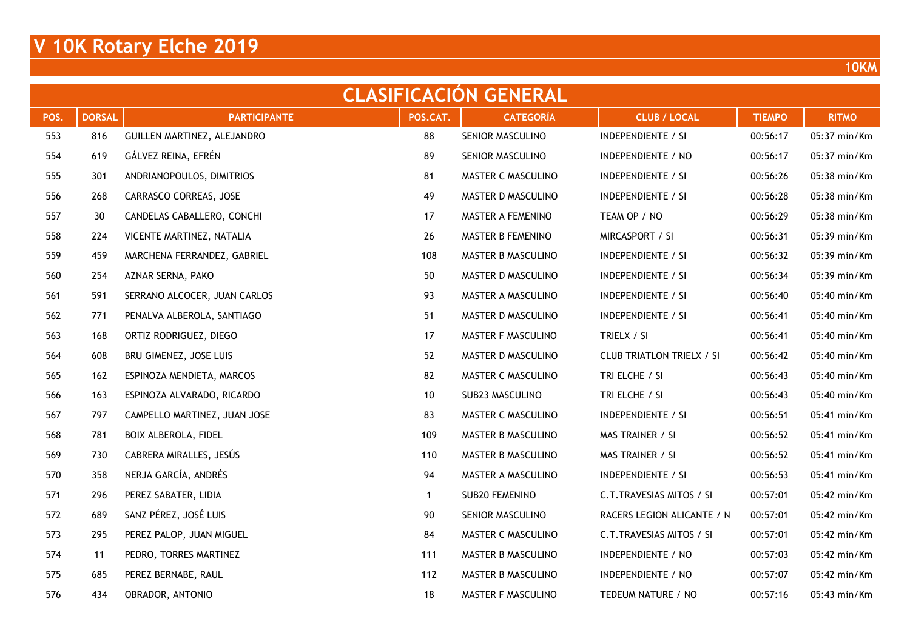|      | <b>CLASIFICACION GENERAL</b> |                              |          |                    |                                  |               |              |  |  |  |  |  |
|------|------------------------------|------------------------------|----------|--------------------|----------------------------------|---------------|--------------|--|--|--|--|--|
| POS. | <b>DORSAL</b>                | <b>PARTICIPANTE</b>          | POS.CAT. | <b>CATEGORÍA</b>   | <b>CLUB / LOCAL</b>              | <b>TIEMPO</b> | <b>RITMO</b> |  |  |  |  |  |
| 553  | 816                          | GUILLEN MARTINEZ, ALEJANDRO  | 88       | SENIOR MASCULINO   | INDEPENDIENTE / SI               | 00:56:17      | 05:37 min/Km |  |  |  |  |  |
| 554  | 619                          | GÁLVEZ REINA, EFRÉN          | 89       | SENIOR MASCULINO   | INDEPENDIENTE / NO               | 00:56:17      | 05:37 min/Km |  |  |  |  |  |
| 555  | 301                          | ANDRIANOPOULOS, DIMITRIOS    | 81       | MASTER C MASCULINO | <b>INDEPENDIENTE / SI</b>        | 00:56:26      | 05:38 min/Km |  |  |  |  |  |
| 556  | 268                          | CARRASCO CORREAS, JOSE       | 49       | MASTER D MASCULINO | <b>INDEPENDIENTE / SI</b>        | 00:56:28      | 05:38 min/Km |  |  |  |  |  |
| 557  | 30                           | CANDELAS CABALLERO, CONCHI   | 17       | MASTER A FEMENINO  | TEAM OP / NO                     | 00:56:29      | 05:38 min/Km |  |  |  |  |  |
| 558  | 224                          | VICENTE MARTINEZ, NATALIA    | 26       | MASTER B FEMENINO  | MIRCASPORT / SI                  | 00:56:31      | 05:39 min/Km |  |  |  |  |  |
| 559  | 459                          | MARCHENA FERRANDEZ, GABRIEL  | 108      | MASTER B MASCULINO | <b>INDEPENDIENTE / SI</b>        | 00:56:32      | 05:39 min/Km |  |  |  |  |  |
| 560  | 254                          | AZNAR SERNA, PAKO            | 50       | MASTER D MASCULINO | <b>INDEPENDIENTE / SI</b>        | 00:56:34      | 05:39 min/Km |  |  |  |  |  |
| 561  | 591                          | SERRANO ALCOCER, JUAN CARLOS | 93       | MASTER A MASCULINO | <b>INDEPENDIENTE / SI</b>        | 00:56:40      | 05:40 min/Km |  |  |  |  |  |
| 562  | 771                          | PENALVA ALBEROLA, SANTIAGO   | 51       | MASTER D MASCULINO | <b>INDEPENDIENTE / SI</b>        | 00:56:41      | 05:40 min/Km |  |  |  |  |  |
| 563  | 168                          | ORTIZ RODRIGUEZ, DIEGO       | 17       | MASTER F MASCULINO | TRIELX / SI                      | 00:56:41      | 05:40 min/Km |  |  |  |  |  |
| 564  | 608                          | BRU GIMENEZ, JOSE LUIS       | 52       | MASTER D MASCULINO | <b>CLUB TRIATLON TRIELX / SI</b> | 00:56:42      | 05:40 min/Km |  |  |  |  |  |
| 565  | 162                          | ESPINOZA MENDIETA, MARCOS    | 82       | MASTER C MASCULINO | TRI ELCHE / SI                   | 00:56:43      | 05:40 min/Km |  |  |  |  |  |
| 566  | 163                          | ESPINOZA ALVARADO, RICARDO   | 10       | SUB23 MASCULINO    | TRI ELCHE / SI                   | 00:56:43      | 05:40 min/Km |  |  |  |  |  |
| 567  | 797                          | CAMPELLO MARTINEZ, JUAN JOSE | 83       | MASTER C MASCULINO | <b>INDEPENDIENTE / SI</b>        | 00:56:51      | 05:41 min/Km |  |  |  |  |  |
| 568  | 781                          | BOIX ALBEROLA, FIDEL         | 109      | MASTER B MASCULINO | MAS TRAINER / SI                 | 00:56:52      | 05:41 min/Km |  |  |  |  |  |
| 569  | 730                          | CABRERA MIRALLES, JESÚS      | 110      | MASTER B MASCULINO | MAS TRAINER / SI                 | 00:56:52      | 05:41 min/Km |  |  |  |  |  |
| 570  | 358                          | NERJA GARCÍA, ANDRÉS         | 94       | MASTER A MASCULINO | <b>INDEPENDIENTE / SI</b>        | 00:56:53      | 05:41 min/Km |  |  |  |  |  |
| 571  | 296                          | PEREZ SABATER, LIDIA         | 1        | SUB20 FEMENINO     | C.T.TRAVESIAS MITOS / SI         | 00:57:01      | 05:42 min/Km |  |  |  |  |  |
| 572  | 689                          | SANZ PÉREZ, JOSÉ LUIS        | 90       | SENIOR MASCULINO   | RACERS LEGION ALICANTE / N       | 00:57:01      | 05:42 min/Km |  |  |  |  |  |
| 573  | 295                          | PEREZ PALOP, JUAN MIGUEL     | 84       | MASTER C MASCULINO | C.T.TRAVESIAS MITOS / SI         | 00:57:01      | 05:42 min/Km |  |  |  |  |  |
| 574  | 11                           | PEDRO, TORRES MARTINEZ       | 111      | MASTER B MASCULINO | INDEPENDIENTE / NO               | 00:57:03      | 05:42 min/Km |  |  |  |  |  |
| 575  | 685                          | PEREZ BERNABE, RAUL          | 112      | MASTER B MASCULINO | INDEPENDIENTE / NO               | 00:57:07      | 05:42 min/Km |  |  |  |  |  |
| 576  | 434                          | OBRADOR, ANTONIO             | 18       | MASTER F MASCULINO | TEDEUM NATURE / NO               | 00:57:16      | 05:43 min/Km |  |  |  |  |  |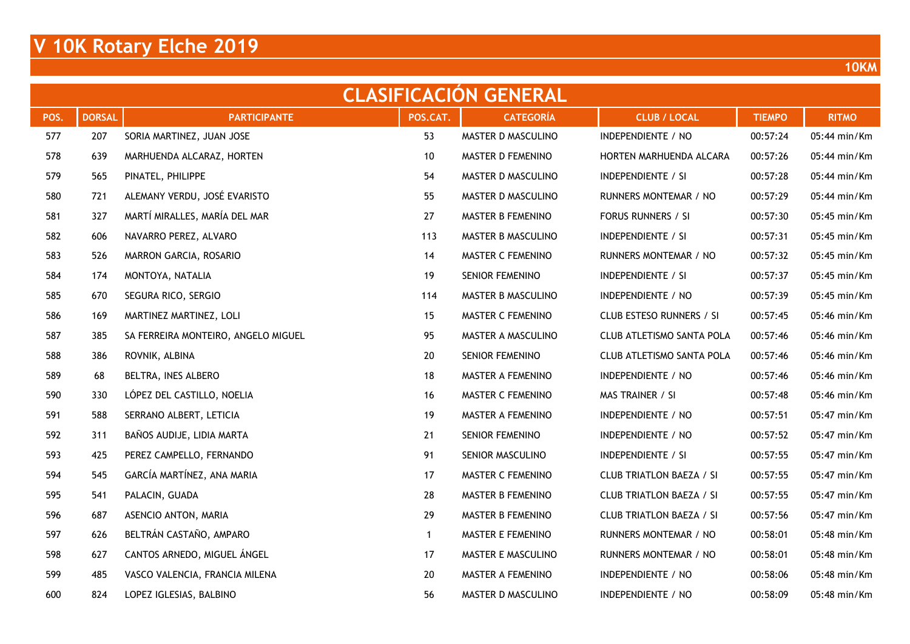| <b>CLASIFICACION GENERAL</b> |               |                                     |              |                    |                                 |               |              |  |  |  |
|------------------------------|---------------|-------------------------------------|--------------|--------------------|---------------------------------|---------------|--------------|--|--|--|
| POS.                         | <b>DORSAL</b> | <b>PARTICIPANTE</b>                 | POS.CAT.     | <b>CATEGORÍA</b>   | <b>CLUB / LOCAL</b>             | <b>TIEMPO</b> | <b>RITMO</b> |  |  |  |
| 577                          | 207           | SORIA MARTINEZ, JUAN JOSE           | 53           | MASTER D MASCULINO | INDEPENDIENTE / NO              | 00:57:24      | 05:44 min/Km |  |  |  |
| 578                          | 639           | MARHUENDA ALCARAZ, HORTEN           | 10           | MASTER D FEMENINO  | HORTEN MARHUENDA ALCARA         | 00:57:26      | 05:44 min/Km |  |  |  |
| 579                          | 565           | PINATEL, PHILIPPE                   | 54           | MASTER D MASCULINO | INDEPENDIENTE / SI              | 00:57:28      | 05:44 min/Km |  |  |  |
| 580                          | 721           | ALEMANY VERDU, JOSÉ EVARISTO        | 55           | MASTER D MASCULINO | RUNNERS MONTEMAR / NO           | 00:57:29      | 05:44 min/Km |  |  |  |
| 581                          | 327           | MARTÍ MIRALLES, MARÍA DEL MAR       | 27           | MASTER B FEMENINO  | FORUS RUNNERS / SI              | 00:57:30      | 05:45 min/Km |  |  |  |
| 582                          | 606           | NAVARRO PEREZ, ALVARO               | 113          | MASTER B MASCULINO | <b>INDEPENDIENTE / SI</b>       | 00:57:31      | 05:45 min/Km |  |  |  |
| 583                          | 526           | MARRON GARCIA, ROSARIO              | 14           | MASTER C FEMENINO  | RUNNERS MONTEMAR / NO           | 00:57:32      | 05:45 min/Km |  |  |  |
| 584                          | 174           | MONTOYA, NATALIA                    | 19           | SENIOR FEMENINO    | <b>INDEPENDIENTE / SI</b>       | 00:57:37      | 05:45 min/Km |  |  |  |
| 585                          | 670           | SEGURA RICO, SERGIO                 | 114          | MASTER B MASCULINO | INDEPENDIENTE / NO              | 00:57:39      | 05:45 min/Km |  |  |  |
| 586                          | 169           | MARTINEZ MARTINEZ, LOLI             | 15           | MASTER C FEMENINO  | CLUB ESTESO RUNNERS / SI        | 00:57:45      | 05:46 min/Km |  |  |  |
| 587                          | 385           | SA FERREIRA MONTEIRO, ANGELO MIGUEL | 95           | MASTER A MASCULINO | CLUB ATLETISMO SANTA POLA       | 00:57:46      | 05:46 min/Km |  |  |  |
| 588                          | 386           | ROVNIK, ALBINA                      | 20           | SENIOR FEMENINO    | CLUB ATLETISMO SANTA POLA       | 00:57:46      | 05:46 min/Km |  |  |  |
| 589                          | 68            | BELTRA, INES ALBERO                 | 18           | MASTER A FEMENINO  | INDEPENDIENTE / NO              | 00:57:46      | 05:46 min/Km |  |  |  |
| 590                          | 330           | LÓPEZ DEL CASTILLO, NOELIA          | 16           | MASTER C FEMENINO  | MAS TRAINER / SI                | 00:57:48      | 05:46 min/Km |  |  |  |
| 591                          | 588           | SERRANO ALBERT, LETICIA             | 19           | MASTER A FEMENINO  | INDEPENDIENTE / NO              | 00:57:51      | 05:47 min/Km |  |  |  |
| 592                          | 311           | BAÑOS AUDIJE, LIDIA MARTA           | 21           | SENIOR FEMENINO    | INDEPENDIENTE / NO              | 00:57:52      | 05:47 min/Km |  |  |  |
| 593                          | 425           | PEREZ CAMPELLO, FERNANDO            | 91           | SENIOR MASCULINO   | INDEPENDIENTE / SI              | 00:57:55      | 05:47 min/Km |  |  |  |
| 594                          | 545           | GARCÍA MARTÍNEZ, ANA MARIA          | 17           | MASTER C FEMENINO  | <b>CLUB TRIATLON BAEZA / SI</b> | 00:57:55      | 05:47 min/Km |  |  |  |
| 595                          | 541           | PALACIN, GUADA                      | 28           | MASTER B FEMENINO  | <b>CLUB TRIATLON BAEZA / SI</b> | 00:57:55      | 05:47 min/Km |  |  |  |
| 596                          | 687           | ASENCIO ANTON, MARIA                | 29           | MASTER B FEMENINO  | <b>CLUB TRIATLON BAEZA / SI</b> | 00:57:56      | 05:47 min/Km |  |  |  |
| 597                          | 626           | BELTRÁN CASTAÑO, AMPARO             | $\mathbf{1}$ | MASTER E FEMENINO  | RUNNERS MONTEMAR / NO           | 00:58:01      | 05:48 min/Km |  |  |  |
| 598                          | 627           | CANTOS ARNEDO, MIGUEL ÁNGEL         | 17           | MASTER E MASCULINO | RUNNERS MONTEMAR / NO           | 00:58:01      | 05:48 min/Km |  |  |  |
| 599                          | 485           | VASCO VALENCIA, FRANCIA MILENA      | 20           | MASTER A FEMENINO  | INDEPENDIENTE / NO              | 00:58:06      | 05:48 min/Km |  |  |  |
| 600                          | 824           | LOPEZ IGLESIAS, BALBINO             | 56           | MASTER D MASCULINO | INDEPENDIENTE / NO              | 00:58:09      | 05:48 min/Km |  |  |  |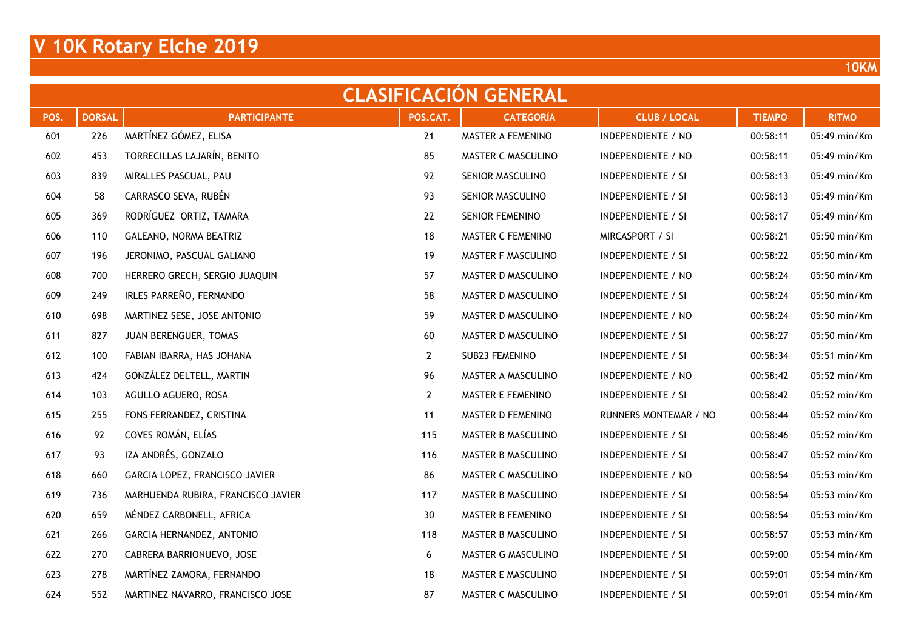| <b>CLASIFICACION GENERAL</b> |               |                                    |                |                    |                           |               |              |  |  |  |
|------------------------------|---------------|------------------------------------|----------------|--------------------|---------------------------|---------------|--------------|--|--|--|
| POS.                         | <b>DORSAL</b> | <b>PARTICIPANTE</b>                | POS.CAT.       | <b>CATEGORÍA</b>   | <b>CLUB / LOCAL</b>       | <b>TIEMPO</b> | <b>RITMO</b> |  |  |  |
| 601                          | 226           | MARTÍNEZ GÓMEZ, ELISA              | 21             | MASTER A FEMENINO  | INDEPENDIENTE / NO        | 00:58:11      | 05:49 min/Km |  |  |  |
| 602                          | 453           | TORRECILLAS LAJARÍN, BENITO        | 85             | MASTER C MASCULINO | INDEPENDIENTE / NO        | 00:58:11      | 05:49 min/Km |  |  |  |
| 603                          | 839           | MIRALLES PASCUAL, PAU              | 92             | SENIOR MASCULINO   | <b>INDEPENDIENTE / SI</b> | 00:58:13      | 05:49 min/Km |  |  |  |
| 604                          | 58            | CARRASCO SEVA, RUBÉN               | 93             | SENIOR MASCULINO   | <b>INDEPENDIENTE / SI</b> | 00:58:13      | 05:49 min/Km |  |  |  |
| 605                          | 369           | RODRÍGUEZ ORTIZ, TAMARA            | 22             | SENIOR FEMENINO    | <b>INDEPENDIENTE / SI</b> | 00:58:17      | 05:49 min/Km |  |  |  |
| 606                          | 110           | GALEANO, NORMA BEATRIZ             | 18             | MASTER C FEMENINO  | MIRCASPORT / SI           | 00:58:21      | 05:50 min/Km |  |  |  |
| 607                          | 196           | JERONIMO, PASCUAL GALIANO          | 19             | MASTER F MASCULINO | <b>INDEPENDIENTE / SI</b> | 00:58:22      | 05:50 min/Km |  |  |  |
| 608                          | 700           | HERRERO GRECH, SERGIO JUAQUIN      | 57             | MASTER D MASCULINO | INDEPENDIENTE / NO        | 00:58:24      | 05:50 min/Km |  |  |  |
| 609                          | 249           | IRLES PARREÑO, FERNANDO            | 58             | MASTER D MASCULINO | INDEPENDIENTE / SI        | 00:58:24      | 05:50 min/Km |  |  |  |
| 610                          | 698           | MARTINEZ SESE, JOSE ANTONIO        | 59             | MASTER D MASCULINO | INDEPENDIENTE / NO        | 00:58:24      | 05:50 min/Km |  |  |  |
| 611                          | 827           | JUAN BERENGUER, TOMAS              | 60             | MASTER D MASCULINO | <b>INDEPENDIENTE / SI</b> | 00:58:27      | 05:50 min/Km |  |  |  |
| 612                          | 100           | FABIAN IBARRA, HAS JOHANA          | $\mathbf{2}$   | SUB23 FEMENINO     | INDEPENDIENTE / SI        | 00:58:34      | 05:51 min/Km |  |  |  |
| 613                          | 424           | GONZÁLEZ DELTELL, MARTIN           | 96             | MASTER A MASCULINO | INDEPENDIENTE / NO        | 00:58:42      | 05:52 min/Km |  |  |  |
| 614                          | 103           | AGULLO AGUERO, ROSA                | $\overline{2}$ | MASTER E FEMENINO  | <b>INDEPENDIENTE / SI</b> | 00:58:42      | 05:52 min/Km |  |  |  |
| 615                          | 255           | FONS FERRANDEZ, CRISTINA           | 11             | MASTER D FEMENINO  | RUNNERS MONTEMAR / NO     | 00:58:44      | 05:52 min/Km |  |  |  |
| 616                          | 92            | COVES ROMÁN, ELÍAS                 | 115            | MASTER B MASCULINO | <b>INDEPENDIENTE / SI</b> | 00:58:46      | 05:52 min/Km |  |  |  |
| 617                          | 93            | IZA ANDRÉS, GONZALO                | 116            | MASTER B MASCULINO | INDEPENDIENTE / SI        | 00:58:47      | 05:52 min/Km |  |  |  |
| 618                          | 660           | GARCIA LOPEZ, FRANCISCO JAVIER     | 86             | MASTER C MASCULINO | INDEPENDIENTE / NO        | 00:58:54      | 05:53 min/Km |  |  |  |
| 619                          | 736           | MARHUENDA RUBIRA, FRANCISCO JAVIER | 117            | MASTER B MASCULINO | <b>INDEPENDIENTE / SI</b> | 00:58:54      | 05:53 min/Km |  |  |  |
| 620                          | 659           | MÉNDEZ CARBONELL, AFRICA           | 30             | MASTER B FEMENINO  | <b>INDEPENDIENTE / SI</b> | 00:58:54      | 05:53 min/Km |  |  |  |
| 621                          | 266           | GARCIA HERNANDEZ, ANTONIO          | 118            | MASTER B MASCULINO | <b>INDEPENDIENTE / SI</b> | 00:58:57      | 05:53 min/Km |  |  |  |
| 622                          | 270           | CABRERA BARRIONUEVO, JOSE          | 6              | MASTER G MASCULINO | INDEPENDIENTE / SI        | 00:59:00      | 05:54 min/Km |  |  |  |
| 623                          | 278           | MARTÍNEZ ZAMORA, FERNANDO          | 18             | MASTER E MASCULINO | <b>INDEPENDIENTE / SI</b> | 00:59:01      | 05:54 min/Km |  |  |  |
| 624                          | 552           | MARTINEZ NAVARRO, FRANCISCO JOSE   | 87             | MASTER C MASCULINO | <b>INDEPENDIENTE / SI</b> | 00:59:01      | 05:54 min/Km |  |  |  |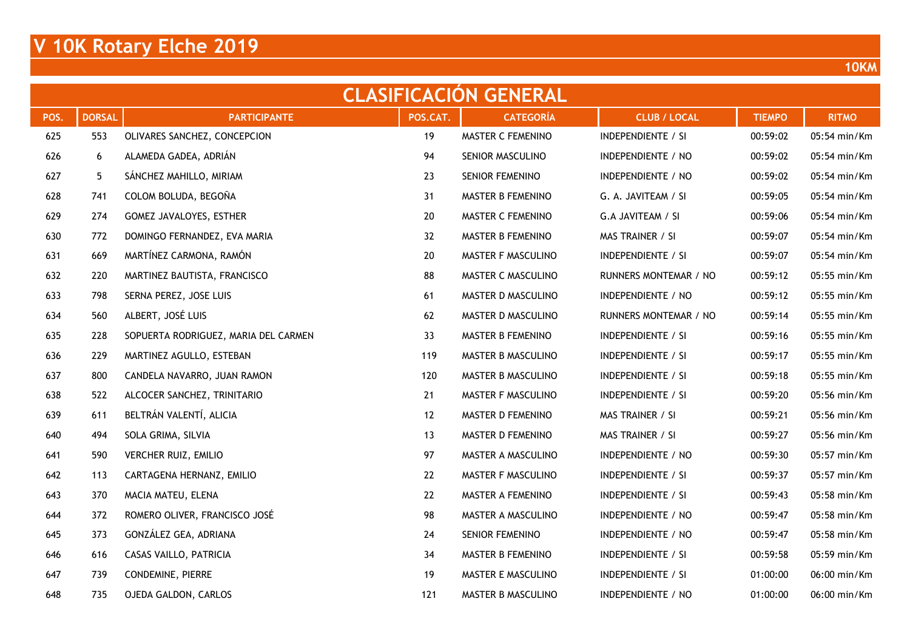| <b>CLASIFICACION GENERAL</b> |               |                                      |          |                        |                           |               |              |  |  |  |  |
|------------------------------|---------------|--------------------------------------|----------|------------------------|---------------------------|---------------|--------------|--|--|--|--|
| POS.                         | <b>DORSAL</b> | <b>PARTICIPANTE</b>                  | POS.CAT. | <b>CATEGORÍA</b>       | <b>CLUB / LOCAL</b>       | <b>TIEMPO</b> | <b>RITMO</b> |  |  |  |  |
| 625                          | 553           | OLIVARES SANCHEZ, CONCEPCION         | 19       | MASTER C FEMENINO      | <b>INDEPENDIENTE / SI</b> | 00:59:02      | 05:54 min/Km |  |  |  |  |
| 626                          | 6             | ALAMEDA GADEA, ADRIÁN                | 94       | SENIOR MASCULINO       | <b>INDEPENDIENTE / NO</b> | 00:59:02      | 05:54 min/Km |  |  |  |  |
| 627                          | 5             | SÁNCHEZ MAHILLO, MIRIAM              | 23       | SENIOR FEMENINO        | INDEPENDIENTE / NO        | 00:59:02      | 05:54 min/Km |  |  |  |  |
| 628                          | 741           | COLOM BOLUDA, BEGOÑA                 | 31       | MASTER B FEMENINO      | G. A. JAVITEAM / SI       | 00:59:05      | 05:54 min/Km |  |  |  |  |
| 629                          | 274           | GOMEZ JAVALOYES, ESTHER              | 20       | MASTER C FEMENINO      | G.A JAVITEAM / SI         | 00:59:06      | 05:54 min/Km |  |  |  |  |
| 630                          | 772           | DOMINGO FERNANDEZ, EVA MARIA         | 32       | MASTER B FEMENINO      | MAS TRAINER / SI          | 00:59:07      | 05:54 min/Km |  |  |  |  |
| 631                          | 669           | MARTÍNEZ CARMONA, RAMÓN              | 20       | MASTER F MASCULINO     | <b>INDEPENDIENTE / SI</b> | 00:59:07      | 05:54 min/Km |  |  |  |  |
| 632                          | 220           | MARTINEZ BAUTISTA, FRANCISCO         | 88       | MASTER C MASCULINO     | RUNNERS MONTEMAR / NO     | 00:59:12      | 05:55 min/Km |  |  |  |  |
| 633                          | 798           | SERNA PEREZ, JOSE LUIS               | 61       | MASTER D MASCULINO     | INDEPENDIENTE / NO        | 00:59:12      | 05:55 min/Km |  |  |  |  |
| 634                          | 560           | ALBERT, JOSÉ LUIS                    | 62       | MASTER D MASCULINO     | RUNNERS MONTEMAR / NO     | 00:59:14      | 05:55 min/Km |  |  |  |  |
| 635                          | 228           | SOPUERTA RODRIGUEZ, MARIA DEL CARMEN | 33       | MASTER B FEMENINO      | <b>INDEPENDIENTE / SI</b> | 00:59:16      | 05:55 min/Km |  |  |  |  |
| 636                          | 229           | MARTINEZ AGULLO, ESTEBAN             | 119      | MASTER B MASCULINO     | <b>INDEPENDIENTE / SI</b> | 00:59:17      | 05:55 min/Km |  |  |  |  |
| 637                          | 800           | CANDELA NAVARRO, JUAN RAMON          | 120      | MASTER B MASCULINO     | <b>INDEPENDIENTE / SI</b> | 00:59:18      | 05:55 min/Km |  |  |  |  |
| 638                          | 522           | ALCOCER SANCHEZ, TRINITARIO          | 21       | MASTER F MASCULINO     | <b>INDEPENDIENTE / SI</b> | 00:59:20      | 05:56 min/Km |  |  |  |  |
| 639                          | 611           | BELTRÁN VALENTÍ, ALICIA              | 12       | MASTER D FEMENINO      | MAS TRAINER / SI          | 00:59:21      | 05:56 min/Km |  |  |  |  |
| 640                          | 494           | SOLA GRIMA, SILVIA                   | 13       | MASTER D FEMENINO      | MAS TRAINER / SI          | 00:59:27      | 05:56 min/Km |  |  |  |  |
| 641                          | 590           | VERCHER RUIZ, EMILIO                 | 97       | MASTER A MASCULINO     | INDEPENDIENTE / NO        | 00:59:30      | 05:57 min/Km |  |  |  |  |
| 642                          | 113           | CARTAGENA HERNANZ, EMILIO            | 22       | MASTER F MASCULINO     | <b>INDEPENDIENTE / SI</b> | 00:59:37      | 05:57 min/Km |  |  |  |  |
| 643                          | 370           | MACIA MATEU, ELENA                   | 22       | MASTER A FEMENINO      | <b>INDEPENDIENTE / SI</b> | 00:59:43      | 05:58 min/Km |  |  |  |  |
| 644                          | 372           | ROMERO OLIVER, FRANCISCO JOSÉ        | 98       | MASTER A MASCULINO     | INDEPENDIENTE / NO        | 00:59:47      | 05:58 min/Km |  |  |  |  |
| 645                          | 373           | GONZÁLEZ GEA, ADRIANA                | 24       | <b>SENIOR FEMENINO</b> | INDEPENDIENTE / NO        | 00:59:47      | 05:58 min/Km |  |  |  |  |
| 646                          | 616           | CASAS VAILLO, PATRICIA               | 34       | MASTER B FEMENINO      | INDEPENDIENTE / SI        | 00:59:58      | 05:59 min/Km |  |  |  |  |
| 647                          | 739           | CONDEMINE, PIERRE                    | 19       | MASTER E MASCULINO     | <b>INDEPENDIENTE / SI</b> | 01:00:00      | 06:00 min/Km |  |  |  |  |
| 648                          | 735           | OJEDA GALDON, CARLOS                 | 121      | MASTER B MASCULINO     | INDEPENDIENTE / NO        | 01:00:00      | 06:00 min/Km |  |  |  |  |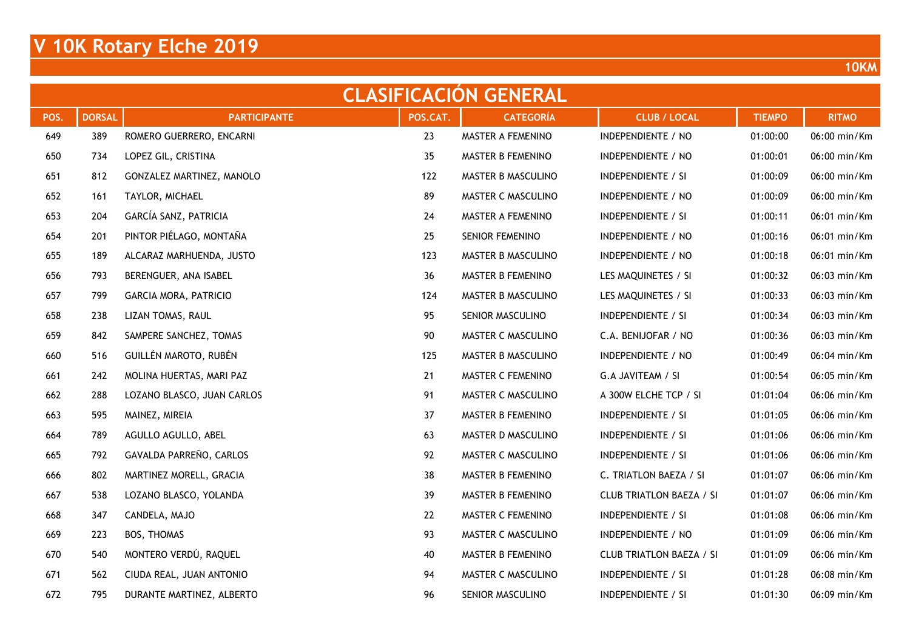| <b>CLASIFICACION GENERAL</b> |               |                            |          |                    |                                 |               |              |  |  |  |
|------------------------------|---------------|----------------------------|----------|--------------------|---------------------------------|---------------|--------------|--|--|--|
| POS.                         | <b>DORSAL</b> | <b>PARTICIPANTE</b>        | POS.CAT. | <b>CATEGORÍA</b>   | <b>CLUB / LOCAL</b>             | <b>TIEMPO</b> | <b>RITMO</b> |  |  |  |
| 649                          | 389           | ROMERO GUERRERO, ENCARNI   | 23       | MASTER A FEMENINO  | INDEPENDIENTE / NO              | 01:00:00      | 06:00 min/Km |  |  |  |
| 650                          | 734           | LOPEZ GIL, CRISTINA        | 35       | MASTER B FEMENINO  | INDEPENDIENTE / NO              | 01:00:01      | 06:00 min/Km |  |  |  |
| 651                          | 812           | GONZALEZ MARTINEZ, MANOLO  | 122      | MASTER B MASCULINO | INDEPENDIENTE / SI              | 01:00:09      | 06:00 min/Km |  |  |  |
| 652                          | 161           | TAYLOR, MICHAEL            | 89       | MASTER C MASCULINO | INDEPENDIENTE / NO              | 01:00:09      | 06:00 min/Km |  |  |  |
| 653                          | 204           | GARCÍA SANZ, PATRICIA      | 24       | MASTER A FEMENINO  | INDEPENDIENTE / SI              | 01:00:11      | 06:01 min/Km |  |  |  |
| 654                          | 201           | PINTOR PIÉLAGO, MONTAÑA    | 25       | SENIOR FEMENINO    | INDEPENDIENTE / NO              | 01:00:16      | 06:01 min/Km |  |  |  |
| 655                          | 189           | ALCARAZ MARHUENDA, JUSTO   | 123      | MASTER B MASCULINO | INDEPENDIENTE / NO              | 01:00:18      | 06:01 min/Km |  |  |  |
| 656                          | 793           | BERENGUER, ANA ISABEL      | 36       | MASTER B FEMENINO  | LES MAQUINETES / SI             | 01:00:32      | 06:03 min/Km |  |  |  |
| 657                          | 799           | GARCIA MORA, PATRICIO      | 124      | MASTER B MASCULINO | LES MAQUINETES / SI             | 01:00:33      | 06:03 min/Km |  |  |  |
| 658                          | 238           | LIZAN TOMAS, RAUL          | 95       | SENIOR MASCULINO   | <b>INDEPENDIENTE / SI</b>       | 01:00:34      | 06:03 min/Km |  |  |  |
| 659                          | 842           | SAMPERE SANCHEZ, TOMAS     | 90       | MASTER C MASCULINO | C.A. BENIJOFAR / NO             | 01:00:36      | 06:03 min/Km |  |  |  |
| 660                          | 516           | GUILLÉN MAROTO, RUBÉN      | 125      | MASTER B MASCULINO | INDEPENDIENTE / NO              | 01:00:49      | 06:04 min/Km |  |  |  |
| 661                          | 242           | MOLINA HUERTAS, MARI PAZ   | 21       | MASTER C FEMENINO  | G.A JAVITEAM / SI               | 01:00:54      | 06:05 min/Km |  |  |  |
| 662                          | 288           | LOZANO BLASCO, JUAN CARLOS | 91       | MASTER C MASCULINO | A 300W ELCHE TCP / SI           | 01:01:04      | 06:06 min/Km |  |  |  |
| 663                          | 595           | MAINEZ, MIREIA             | 37       | MASTER B FEMENINO  | <b>INDEPENDIENTE / SI</b>       | 01:01:05      | 06:06 min/Km |  |  |  |
| 664                          | 789           | AGULLO AGULLO, ABEL        | 63       | MASTER D MASCULINO | <b>INDEPENDIENTE / SI</b>       | 01:01:06      | 06:06 min/Km |  |  |  |
| 665                          | 792           | GAVALDA PARREÑO, CARLOS    | 92       | MASTER C MASCULINO | <b>INDEPENDIENTE / SI</b>       | 01:01:06      | 06:06 min/Km |  |  |  |
| 666                          | 802           | MARTINEZ MORELL, GRACIA    | 38       | MASTER B FEMENINO  | C. TRIATLON BAEZA / SI          | 01:01:07      | 06:06 min/Km |  |  |  |
| 667                          | 538           | LOZANO BLASCO, YOLANDA     | 39       | MASTER B FEMENINO  | <b>CLUB TRIATLON BAEZA / SI</b> | 01:01:07      | 06:06 min/Km |  |  |  |
| 668                          | 347           | CANDELA, MAJO              | 22       | MASTER C FEMENINO  | <b>INDEPENDIENTE / SI</b>       | 01:01:08      | 06:06 min/Km |  |  |  |
| 669                          | 223           | BOS, THOMAS                | 93       | MASTER C MASCULINO | INDEPENDIENTE / NO              | 01:01:09      | 06:06 min/Km |  |  |  |
| 670                          | 540           | MONTERO VERDÚ, RAQUEL      | 40       | MASTER B FEMENINO  | <b>CLUB TRIATLON BAEZA / SI</b> | 01:01:09      | 06:06 min/Km |  |  |  |
| 671                          | 562           | CIUDA REAL, JUAN ANTONIO   | 94       | MASTER C MASCULINO | <b>INDEPENDIENTE / SI</b>       | 01:01:28      | 06:08 min/Km |  |  |  |
| 672                          | 795           | DURANTE MARTINEZ, ALBERTO  | 96       | SENIOR MASCULINO   | <b>INDEPENDIENTE / SI</b>       | 01:01:30      | 06:09 min/Km |  |  |  |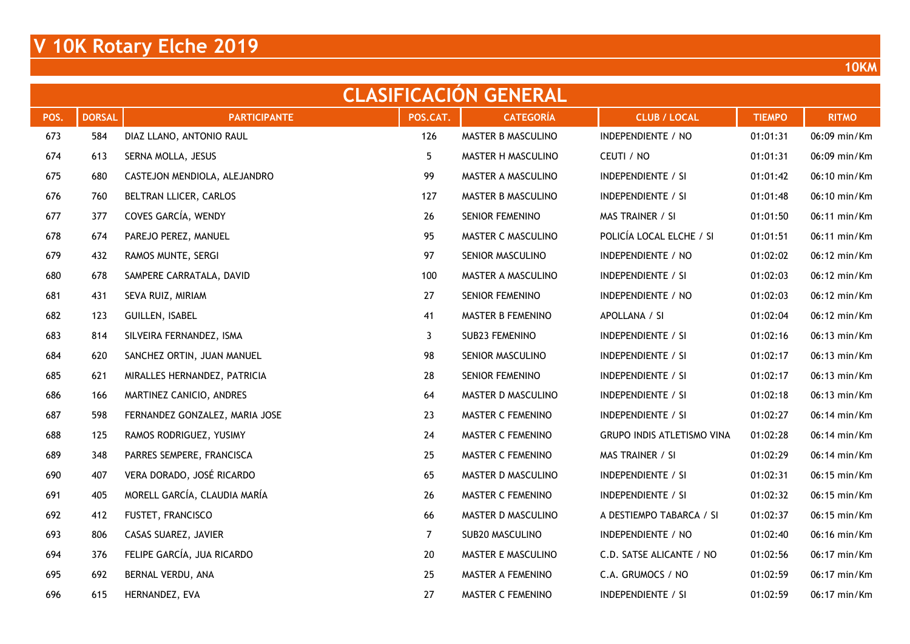| <b>CLASIFICACION GENERAL</b> |               |                                |          |                        |                                   |               |              |  |  |  |
|------------------------------|---------------|--------------------------------|----------|------------------------|-----------------------------------|---------------|--------------|--|--|--|
| POS.                         | <b>DORSAL</b> | <b>PARTICIPANTE</b>            | POS.CAT. | <b>CATEGORÍA</b>       | <b>CLUB / LOCAL</b>               | <b>TIEMPO</b> | <b>RITMO</b> |  |  |  |
| 673                          | 584           | DIAZ LLANO, ANTONIO RAUL       | 126      | MASTER B MASCULINO     | INDEPENDIENTE / NO                | 01:01:31      | 06:09 min/Km |  |  |  |
| 674                          | 613           | SERNA MOLLA, JESUS             | 5        | MASTER H MASCULINO     | CEUTI / NO                        | 01:01:31      | 06:09 min/Km |  |  |  |
| 675                          | 680           | CASTEJON MENDIOLA, ALEJANDRO   | 99       | MASTER A MASCULINO     | INDEPENDIENTE / SI                | 01:01:42      | 06:10 min/Km |  |  |  |
| 676                          | 760           | BELTRAN LLICER, CARLOS         | 127      | MASTER B MASCULINO     | <b>INDEPENDIENTE / SI</b>         | 01:01:48      | 06:10 min/Km |  |  |  |
| 677                          | 377           | COVES GARCÍA, WENDY            | 26       | <b>SENIOR FEMENINO</b> | MAS TRAINER / SI                  | 01:01:50      | 06:11 min/Km |  |  |  |
| 678                          | 674           | PAREJO PEREZ, MANUEL           | 95       | MASTER C MASCULINO     | POLICÍA LOCAL ELCHE / SI          | 01:01:51      | 06:11 min/Km |  |  |  |
| 679                          | 432           | RAMOS MUNTE, SERGI             | 97       | SENIOR MASCULINO       | INDEPENDIENTE / NO                | 01:02:02      | 06:12 min/Km |  |  |  |
| 680                          | 678           | SAMPERE CARRATALA, DAVID       | 100      | MASTER A MASCULINO     | <b>INDEPENDIENTE / SI</b>         | 01:02:03      | 06:12 min/Km |  |  |  |
| 681                          | 431           | SEVA RUIZ, MIRIAM              | 27       | SENIOR FEMENINO        | INDEPENDIENTE / NO                | 01:02:03      | 06:12 min/Km |  |  |  |
| 682                          | 123           | GUILLEN, ISABEL                | 41       | MASTER B FEMENINO      | APOLLANA / SI                     | 01:02:04      | 06:12 min/Km |  |  |  |
| 683                          | 814           | SILVEIRA FERNANDEZ, ISMA       | 3        | SUB23 FEMENINO         | <b>INDEPENDIENTE / SI</b>         | 01:02:16      | 06:13 min/Km |  |  |  |
| 684                          | 620           | SANCHEZ ORTIN, JUAN MANUEL     | 98       | SENIOR MASCULINO       | INDEPENDIENTE / SI                | 01:02:17      | 06:13 min/Km |  |  |  |
| 685                          | 621           | MIRALLES HERNANDEZ, PATRICIA   | 28       | SENIOR FEMENINO        | <b>INDEPENDIENTE / SI</b>         | 01:02:17      | 06:13 min/Km |  |  |  |
| 686                          | 166           | MARTINEZ CANICIO, ANDRES       | 64       | MASTER D MASCULINO     | <b>INDEPENDIENTE / SI</b>         | 01:02:18      | 06:13 min/Km |  |  |  |
| 687                          | 598           | FERNANDEZ GONZALEZ, MARIA JOSE | 23       | MASTER C FEMENINO      | <b>INDEPENDIENTE / SI</b>         | 01:02:27      | 06:14 min/Km |  |  |  |
| 688                          | 125           | RAMOS RODRIGUEZ, YUSIMY        | 24       | MASTER C FEMENINO      | <b>GRUPO INDIS ATLETISMO VINA</b> | 01:02:28      | 06:14 min/Km |  |  |  |
| 689                          | 348           | PARRES SEMPERE, FRANCISCA      | 25       | MASTER C FEMENINO      | MAS TRAINER / SI                  | 01:02:29      | 06:14 min/Km |  |  |  |
| 690                          | 407           | VERA DORADO, JOSÉ RICARDO      | 65       | MASTER D MASCULINO     | <b>INDEPENDIENTE / SI</b>         | 01:02:31      | 06:15 min/Km |  |  |  |
| 691                          | 405           | MORELL GARCÍA, CLAUDIA MARÍA   | 26       | MASTER C FEMENINO      | <b>INDEPENDIENTE / SI</b>         | 01:02:32      | 06:15 min/Km |  |  |  |
| 692                          | 412           | FUSTET, FRANCISCO              | 66       | MASTER D MASCULINO     | A DESTIEMPO TABARCA / SI          | 01:02:37      | 06:15 min/Km |  |  |  |
| 693                          | 806           | CASAS SUAREZ, JAVIER           | 7        | SUB20 MASCULINO        | INDEPENDIENTE / NO                | 01:02:40      | 06:16 min/Km |  |  |  |
| 694                          | 376           | FELIPE GARCÍA, JUA RICARDO     | 20       | MASTER E MASCULINO     | C.D. SATSE ALICANTE / NO          | 01:02:56      | 06:17 min/Km |  |  |  |
| 695                          | 692           | BERNAL VERDU, ANA              | 25       | MASTER A FEMENINO      | C.A. GRUMOCS / NO                 | 01:02:59      | 06:17 min/Km |  |  |  |
| 696                          | 615           | HERNANDEZ, EVA                 | 27       | MASTER C FEMENINO      | <b>INDEPENDIENTE / SI</b>         | 01:02:59      | 06:17 min/Km |  |  |  |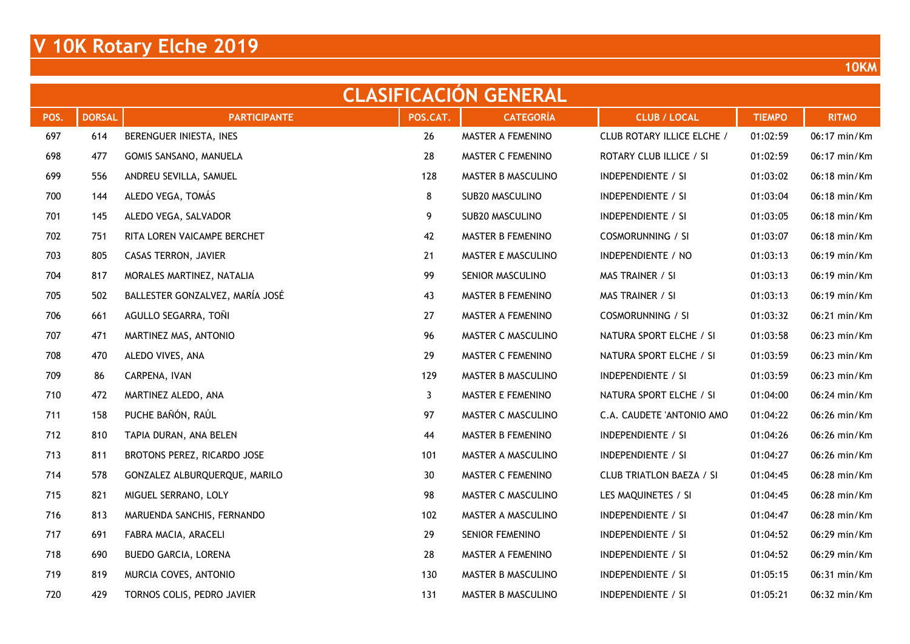| <b>CLASIFICACION GENERAL</b> |               |                                 |              |                    |                                 |               |              |  |  |  |
|------------------------------|---------------|---------------------------------|--------------|--------------------|---------------------------------|---------------|--------------|--|--|--|
| POS.                         | <b>DORSAL</b> | <b>PARTICIPANTE</b>             | POS.CAT.     | <b>CATEGORÍA</b>   | <b>CLUB / LOCAL</b>             | <b>TIEMPO</b> | <b>RITMO</b> |  |  |  |
| 697                          | 614           | BERENGUER INIESTA, INES         | 26           | MASTER A FEMENINO  | CLUB ROTARY ILLICE ELCHE /      | 01:02:59      | 06:17 min/Km |  |  |  |
| 698                          | 477           | GOMIS SANSANO, MANUELA          | 28           | MASTER C FEMENINO  | ROTARY CLUB ILLICE / SI         | 01:02:59      | 06:17 min/Km |  |  |  |
| 699                          | 556           | ANDREU SEVILLA, SAMUEL          | 128          | MASTER B MASCULINO | INDEPENDIENTE / SI              | 01:03:02      | 06:18 min/Km |  |  |  |
| 700                          | 144           | ALEDO VEGA, TOMÁS               | 8            | SUB20 MASCULINO    | INDEPENDIENTE / SI              | 01:03:04      | 06:18 min/Km |  |  |  |
| 701                          | 145           | ALEDO VEGA, SALVADOR            | 9            | SUB20 MASCULINO    | <b>INDEPENDIENTE / SI</b>       | 01:03:05      | 06:18 min/Km |  |  |  |
| 702                          | 751           | RITA LOREN VAICAMPE BERCHET     | 42           | MASTER B FEMENINO  | <b>COSMORUNNING / SI</b>        | 01:03:07      | 06:18 min/Km |  |  |  |
| 703                          | 805           | CASAS TERRON, JAVIER            | 21           | MASTER E MASCULINO | INDEPENDIENTE / NO              | 01:03:13      | 06:19 min/Km |  |  |  |
| 704                          | 817           | MORALES MARTINEZ, NATALIA       | 99           | SENIOR MASCULINO   | MAS TRAINER / SI                | 01:03:13      | 06:19 min/Km |  |  |  |
| 705                          | 502           | BALLESTER GONZALVEZ, MARÍA JOSÉ | 43           | MASTER B FEMENINO  | MAS TRAINER / SI                | 01:03:13      | 06:19 min/Km |  |  |  |
| 706                          | 661           | AGULLO SEGARRA, TOÑI            | 27           | MASTER A FEMENINO  | <b>COSMORUNNING / SI</b>        | 01:03:32      | 06:21 min/Km |  |  |  |
| 707                          | 471           | MARTINEZ MAS, ANTONIO           | 96           | MASTER C MASCULINO | NATURA SPORT ELCHE / SI         | 01:03:58      | 06:23 min/Km |  |  |  |
| 708                          | 470           | ALEDO VIVES, ANA                | 29           | MASTER C FEMENINO  | NATURA SPORT ELCHE / SI         | 01:03:59      | 06:23 min/Km |  |  |  |
| 709                          | 86            | CARPENA, IVAN                   | 129          | MASTER B MASCULINO | INDEPENDIENTE / SI              | 01:03:59      | 06:23 min/Km |  |  |  |
| 710                          | 472           | MARTINEZ ALEDO, ANA             | $\mathbf{3}$ | MASTER E FEMENINO  | NATURA SPORT ELCHE / SI         | 01:04:00      | 06:24 min/Km |  |  |  |
| 711                          | 158           | PUCHE BAÑÓN, RAÚL               | 97           | MASTER C MASCULINO | C.A. CAUDETE 'ANTONIO AMO       | 01:04:22      | 06:26 min/Km |  |  |  |
| 712                          | 810           | TAPIA DURAN, ANA BELEN          | 44           | MASTER B FEMENINO  | <b>INDEPENDIENTE / SI</b>       | 01:04:26      | 06:26 min/Km |  |  |  |
| 713                          | 811           | BROTONS PEREZ, RICARDO JOSE     | 101          | MASTER A MASCULINO | INDEPENDIENTE / SI              | 01:04:27      | 06:26 min/Km |  |  |  |
| 714                          | 578           | GONZALEZ ALBURQUERQUE, MARILO   | 30           | MASTER C FEMENINO  | <b>CLUB TRIATLON BAEZA / SI</b> | 01:04:45      | 06:28 min/Km |  |  |  |
| 715                          | 821           | MIGUEL SERRANO, LOLY            | 98           | MASTER C MASCULINO | LES MAQUINETES / SI             | 01:04:45      | 06:28 min/Km |  |  |  |
| 716                          | 813           | MARUENDA SANCHIS, FERNANDO      | 102          | MASTER A MASCULINO | <b>INDEPENDIENTE / SI</b>       | 01:04:47      | 06:28 min/Km |  |  |  |
| 717                          | 691           | FABRA MACIA, ARACELI            | 29           | SENIOR FEMENINO    | <b>INDEPENDIENTE / SI</b>       | 01:04:52      | 06:29 min/Km |  |  |  |
| 718                          | 690           | BUEDO GARCIA, LORENA            | 28           | MASTER A FEMENINO  | INDEPENDIENTE / SI              | 01:04:52      | 06:29 min/Km |  |  |  |
| 719                          | 819           | MURCIA COVES, ANTONIO           | 130          | MASTER B MASCULINO | <b>INDEPENDIENTE / SI</b>       | 01:05:15      | 06:31 min/Km |  |  |  |
| 720                          | 429           | TORNOS COLIS, PEDRO JAVIER      | 131          | MASTER B MASCULINO | <b>INDEPENDIENTE / SI</b>       | 01:05:21      | 06:32 min/Km |  |  |  |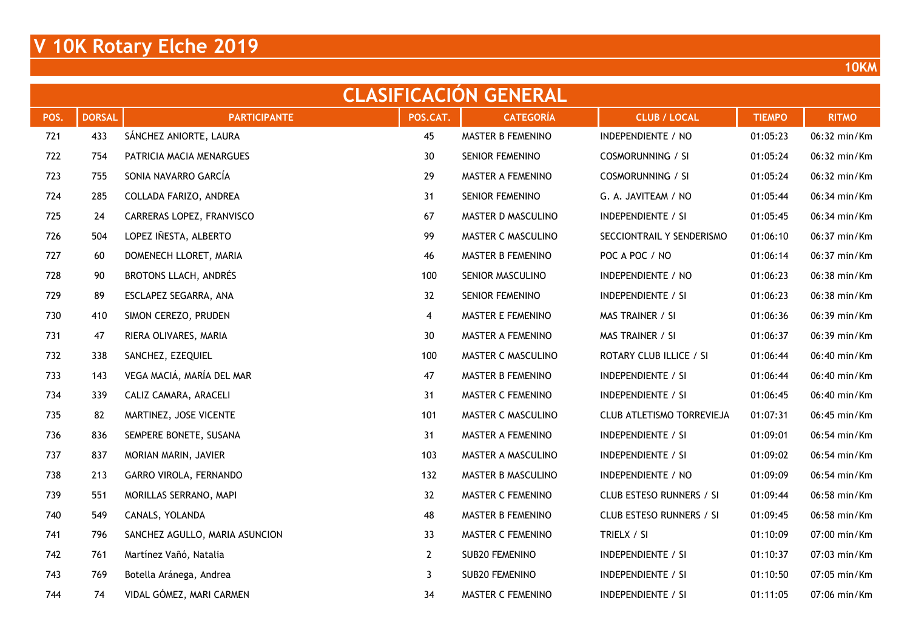| <b>CLASIFICACION GENERAL</b> |               |                                |                |                        |                           |               |              |  |  |  |
|------------------------------|---------------|--------------------------------|----------------|------------------------|---------------------------|---------------|--------------|--|--|--|
| POS.                         | <b>DORSAL</b> | <b>PARTICIPANTE</b>            | POS.CAT.       | <b>CATEGORÍA</b>       | <b>CLUB / LOCAL</b>       | <b>TIEMPO</b> | <b>RITMO</b> |  |  |  |
| 721                          | 433           | SÁNCHEZ ANIORTE, LAURA         | 45             | MASTER B FEMENINO      | INDEPENDIENTE / NO        | 01:05:23      | 06:32 min/Km |  |  |  |
| 722                          | 754           | PATRICIA MACIA MENARGUES       | 30             | <b>SENIOR FEMENINO</b> | <b>COSMORUNNING / SI</b>  | 01:05:24      | 06:32 min/Km |  |  |  |
| 723                          | 755           | SONIA NAVARRO GARCÍA           | 29             | MASTER A FEMENINO      | <b>COSMORUNNING / SI</b>  | 01:05:24      | 06:32 min/Km |  |  |  |
| 724                          | 285           | COLLADA FARIZO, ANDREA         | 31             | SENIOR FEMENINO        | G. A. JAVITEAM / NO       | 01:05:44      | 06:34 min/Km |  |  |  |
| 725                          | 24            | CARRERAS LOPEZ, FRANVISCO      | 67             | MASTER D MASCULINO     | <b>INDEPENDIENTE / SI</b> | 01:05:45      | 06:34 min/Km |  |  |  |
| 726                          | 504           | LOPEZ IÑESTA, ALBERTO          | 99             | MASTER C MASCULINO     | SECCIONTRAIL Y SENDERISMO | 01:06:10      | 06:37 min/Km |  |  |  |
| 727                          | 60            | DOMENECH LLORET, MARIA         | 46             | MASTER B FEMENINO      | POC A POC / NO            | 01:06:14      | 06:37 min/Km |  |  |  |
| 728                          | 90            | BROTONS LLACH, ANDRÉS          | 100            | SENIOR MASCULINO       | INDEPENDIENTE / NO        | 01:06:23      | 06:38 min/Km |  |  |  |
| 729                          | 89            | ESCLAPEZ SEGARRA, ANA          | 32             | SENIOR FEMENINO        | <b>INDEPENDIENTE / SI</b> | 01:06:23      | 06:38 min/Km |  |  |  |
| 730                          | 410           | SIMON CEREZO, PRUDEN           | 4              | MASTER E FEMENINO      | MAS TRAINER / SI          | 01:06:36      | 06:39 min/Km |  |  |  |
| 731                          | 47            | RIERA OLIVARES, MARIA          | 30             | MASTER A FEMENINO      | MAS TRAINER / SI          | 01:06:37      | 06:39 min/Km |  |  |  |
| 732                          | 338           | SANCHEZ, EZEQUIEL              | 100            | MASTER C MASCULINO     | ROTARY CLUB ILLICE / SI   | 01:06:44      | 06:40 min/Km |  |  |  |
| 733                          | 143           | VEGA MACIÁ, MARÍA DEL MAR      | 47             | MASTER B FEMENINO      | INDEPENDIENTE / SI        | 01:06:44      | 06:40 min/Km |  |  |  |
| 734                          | 339           | CALIZ CAMARA, ARACELI          | 31             | MASTER C FEMENINO      | INDEPENDIENTE / SI        | 01:06:45      | 06:40 min/Km |  |  |  |
| 735                          | 82            | MARTINEZ, JOSE VICENTE         | 101            | MASTER C MASCULINO     | CLUB ATLETISMO TORREVIEJA | 01:07:31      | 06:45 min/Km |  |  |  |
| 736                          | 836           | SEMPERE BONETE, SUSANA         | 31             | MASTER A FEMENINO      | <b>INDEPENDIENTE / SI</b> | 01:09:01      | 06:54 min/Km |  |  |  |
| 737                          | 837           | MORIAN MARIN, JAVIER           | 103            | MASTER A MASCULINO     | <b>INDEPENDIENTE / SI</b> | 01:09:02      | 06:54 min/Km |  |  |  |
| 738                          | 213           | GARRO VIROLA, FERNANDO         | 132            | MASTER B MASCULINO     | INDEPENDIENTE / NO        | 01:09:09      | 06:54 min/Km |  |  |  |
| 739                          | 551           | MORILLAS SERRANO, MAPI         | 32             | MASTER C FEMENINO      | CLUB ESTESO RUNNERS / SI  | 01:09:44      | 06:58 min/Km |  |  |  |
| 740                          | 549           | CANALS, YOLANDA                | 48             | MASTER B FEMENINO      | CLUB ESTESO RUNNERS / SI  | 01:09:45      | 06:58 min/Km |  |  |  |
| 741                          | 796           | SANCHEZ AGULLO, MARIA ASUNCION | 33             | MASTER C FEMENINO      | TRIELX / SI               | 01:10:09      | 07:00 min/Km |  |  |  |
| 742                          | 761           | Martínez Vañó, Natalia         | $\overline{2}$ | SUB20 FEMENINO         | <b>INDEPENDIENTE / SI</b> | 01:10:37      | 07:03 min/Km |  |  |  |
| 743                          | 769           | Botella Aránega, Andrea        | 3              | <b>SUB20 FEMENINO</b>  | <b>INDEPENDIENTE / SI</b> | 01:10:50      | 07:05 min/Km |  |  |  |
| 744                          | 74            | VIDAL GÓMEZ, MARI CARMEN       | 34             | MASTER C FEMENINO      | <b>INDEPENDIENTE / SI</b> | 01:11:05      | 07:06 min/Km |  |  |  |